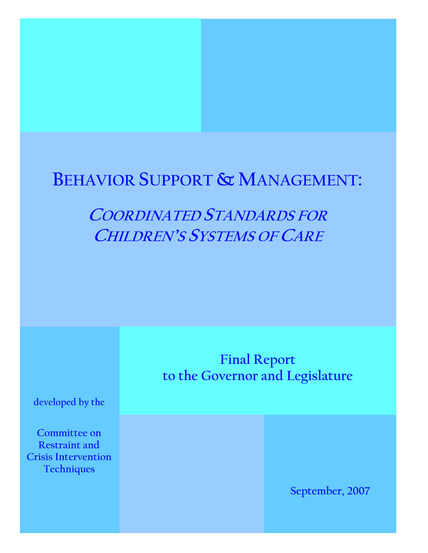# **BEHAVIOR SUPPORT & MANAGEMENT:**

# **COORDINATED STANDARDS FOR CHILDREN'S SYSTEMS OF CARE**

**Final Report to the Governor and Legislature** 

**developed by the** 

**Committee on Restraint and Crisis Intervention Techniques** 

**September, 2007**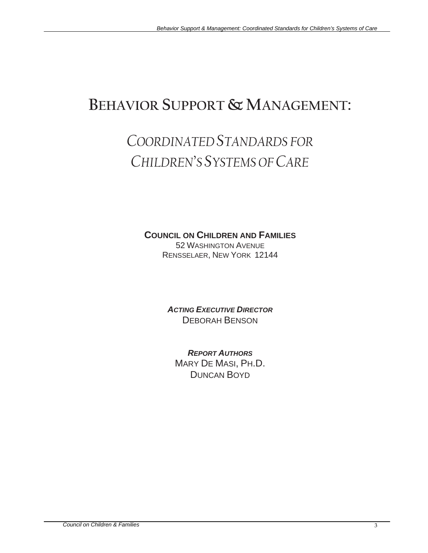## **BEHAVIOR SUPPORT & MANAGEMENT:**

# *COORDINATED STANDARDS FOR CHILDREN'S SYSTEMS OF CARE*

### **COUNCIL ON CHILDREN AND FAMILIES**

52 WASHINGTON AVENUE RENSSELAER, NEW YORK 12144

*ACTING EXECUTIVE DIRECTOR* DEBORAH BENSON

*REPORT AUTHORS* MARY DE MASI, PH.D. DUNCAN BOYD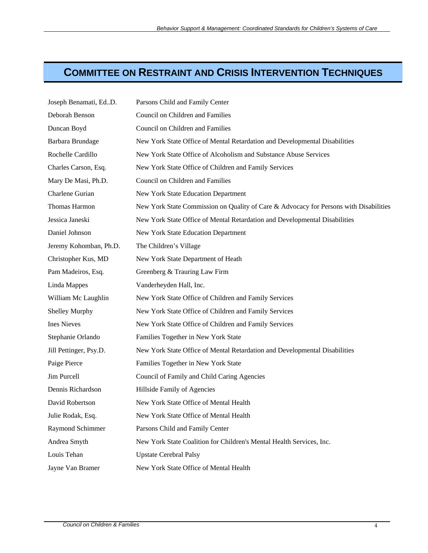## **COMMITTEE ON RESTRAINT AND CRISIS INTERVENTION TECHNIQUES**

| Joseph Benamati, EdD.  | Parsons Child and Family Center                                                       |
|------------------------|---------------------------------------------------------------------------------------|
| Deborah Benson         | Council on Children and Families                                                      |
| Duncan Boyd            | Council on Children and Families                                                      |
| Barbara Brundage       | New York State Office of Mental Retardation and Developmental Disabilities            |
| Rochelle Cardillo      | New York State Office of Alcoholism and Substance Abuse Services                      |
| Charles Carson, Esq.   | New York State Office of Children and Family Services                                 |
| Mary De Masi, Ph.D.    | Council on Children and Families                                                      |
| Charlene Gurian        | New York State Education Department                                                   |
| Thomas Harmon          | New York State Commission on Quality of Care & Advocacy for Persons with Disabilities |
| Jessica Janeski        | New York State Office of Mental Retardation and Developmental Disabilities            |
| Daniel Johnson         | New York State Education Department                                                   |
| Jeremy Kohomban, Ph.D. | The Children's Village                                                                |
| Christopher Kus, MD    | New York State Department of Heath                                                    |
| Pam Madeiros, Esq.     | Greenberg & Trauring Law Firm                                                         |
| Linda Mappes           | Vanderheyden Hall, Inc.                                                               |
| William Mc Laughlin    | New York State Office of Children and Family Services                                 |
| <b>Shelley Murphy</b>  | New York State Office of Children and Family Services                                 |
| <b>Ines Nieves</b>     | New York State Office of Children and Family Services                                 |
| Stephanie Orlando      | Families Together in New York State                                                   |
| Jill Pettinger, Psy.D. | New York State Office of Mental Retardation and Developmental Disabilities            |
| Paige Pierce           | Families Together in New York State                                                   |
| Jim Purcell            | Council of Family and Child Caring Agencies                                           |
| Dennis Richardson      | Hillside Family of Agencies                                                           |
| David Robertson        | New York State Office of Mental Health                                                |
| Julie Rodak, Esq.      | New York State Office of Mental Health                                                |
| Raymond Schimmer       | Parsons Child and Family Center                                                       |
| Andrea Smyth           | New York State Coalition for Children's Mental Health Services, Inc.                  |
| Louis Tehan            | <b>Upstate Cerebral Palsy</b>                                                         |
| Jayne Van Bramer       | New York State Office of Mental Health                                                |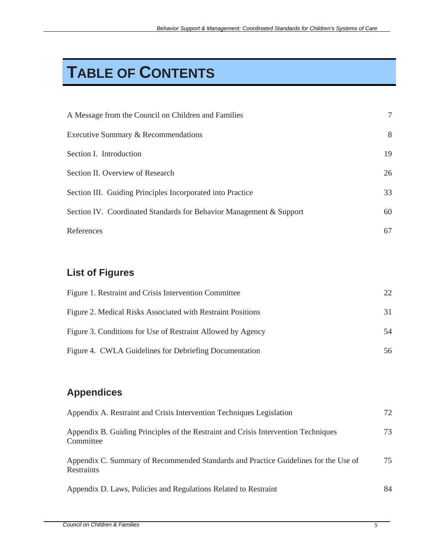# **TABLE OF CONTENTS**

| A Message from the Council on Children and Families                 | $\tau$ |
|---------------------------------------------------------------------|--------|
| Executive Summary & Recommendations                                 | 8      |
| Section I. Introduction                                             | 19     |
| Section II. Overview of Research                                    | 26     |
| Section III. Guiding Principles Incorporated into Practice          | 33     |
| Section IV. Coordinated Standards for Behavior Management & Support | 60     |
| References                                                          | 67     |

## **List of Figures**

| Figure 1. Restraint and Crisis Intervention Committee       | $22_{\circ}$ |
|-------------------------------------------------------------|--------------|
| Figure 2. Medical Risks Associated with Restraint Positions | 31           |
| Figure 3. Conditions for Use of Restraint Allowed by Agency | .54          |
| Figure 4. CWLA Guidelines for Debriefing Documentation      | 56           |

## **Appendices**

| Appendix A. Restraint and Crisis Intervention Techniques Legislation                              | 72 |
|---------------------------------------------------------------------------------------------------|----|
| Appendix B. Guiding Principles of the Restraint and Crisis Intervention Techniques<br>Committee   | 73 |
| Appendix C. Summary of Recommended Standards and Practice Guidelines for the Use of<br>Restraints | 75 |
| Appendix D. Laws, Policies and Regulations Related to Restraint                                   | 84 |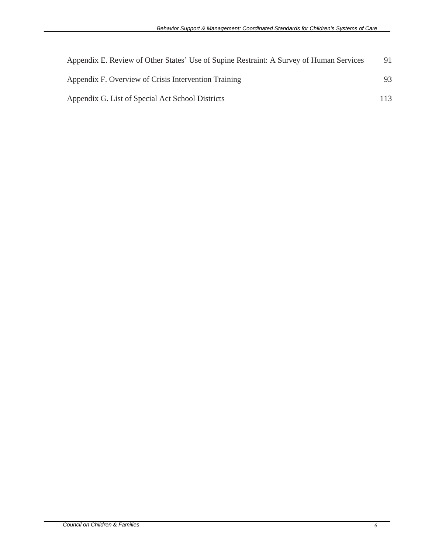| Appendix E. Review of Other States' Use of Supine Restraint: A Survey of Human Services | 91  |
|-----------------------------------------------------------------------------------------|-----|
| Appendix F. Overview of Crisis Intervention Training                                    | 93. |
| Appendix G. List of Special Act School Districts                                        | 113 |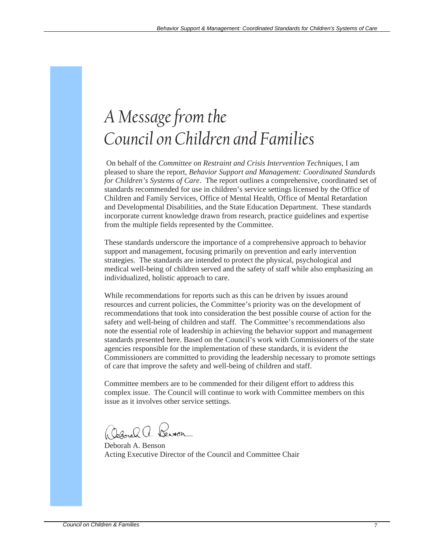# *A Message from the Council on Children and Families*

 On behalf of the *Committee on Restraint and Crisis Intervention Techniques*, I am pleased to share the report, *Behavior Support and Management: Coordinated Standards for Children's Systems of Care*. The report outlines a comprehensive, coordinated set of standards recommended for use in children's service settings licensed by the Office of Children and Family Services, Office of Mental Health, Office of Mental Retardation and Developmental Disabilities, and the State Education Department. These standards incorporate current knowledge drawn from research, practice guidelines and expertise from the multiple fields represented by the Committee.

These standards underscore the importance of a comprehensive approach to behavior support and management, focusing primarily on prevention and early intervention strategies. The standards are intended to protect the physical, psychological and medical well-being of children served and the safety of staff while also emphasizing an individualized, holistic approach to care.

While recommendations for reports such as this can be driven by issues around resources and current policies, the Committee's priority was on the development of recommendations that took into consideration the best possible course of action for the safety and well-being of children and staff. The Committee's recommendations also note the essential role of leadership in achieving the behavior support and management standards presented here. Based on the Council's work with Commissioners of the state agencies responsible for the implementation of these standards, it is evident the Commissioners are committed to providing the leadership necessary to promote settings of care that improve the safety and well-being of children and staff.

Committee members are to be commended for their diligent effort to address this complex issue. The Council will continue to work with Committee members on this issue as it involves other service settings.

Ceanah a. Den

Deborah A. Benson Acting Executive Director of the Council and Committee Chair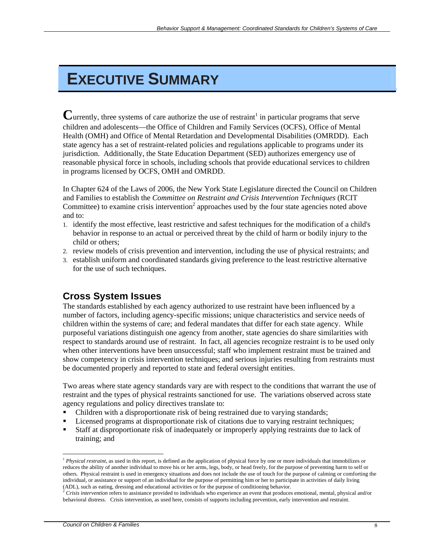# **EXECUTIVE SUMMARY**

Currently, three systems of care authorize the use of restraint<sup>1</sup> in particular programs that serve children and adolescents—the Office of Children and Family Services (OCFS), Office of Mental Health (OMH) and Office of Mental Retardation and Developmental Disabilities (OMRDD). Each state agency has a set of restraint-related policies and regulations applicable to programs under its jurisdiction. Additionally, the State Education Department (SED) authorizes emergency use of reasonable physical force in schools, including schools that provide educational services to children in programs licensed by OCFS, OMH and OMRDD.

In Chapter 624 of the Laws of 2006, the New York State Legislature directed the Council on Children and Families to establish the *Committee on Restraint and Crisis Intervention Techniques* (RCIT Committee) to examine crisis intervention<sup>2</sup> approaches used by the four state agencies noted above and to:

- 1. identify the most effective, least restrictive and safest techniques for the modification of a child's behavior in response to an actual or perceived threat by the child of harm or bodily injury to the child or others;
- 2. review models of crisis prevention and intervention, including the use of physical restraints; and
- 3. establish uniform and coordinated standards giving preference to the least restrictive alternative for the use of such techniques.

## **Cross System Issues**

The standards established by each agency authorized to use restraint have been influenced by a number of factors, including agency-specific missions; unique characteristics and service needs of children within the systems of care; and federal mandates that differ for each state agency. While purposeful variations distinguish one agency from another, state agencies do share similarities with respect to standards around use of restraint. In fact, all agencies recognize restraint is to be used only when other interventions have been unsuccessful; staff who implement restraint must be trained and show competency in crisis intervention techniques; and serious injuries resulting from restraints must be documented properly and reported to state and federal oversight entities.

Two areas where state agency standards vary are with respect to the conditions that warrant the use of restraint and the types of physical restraints sanctioned for use. The variations observed across state agency regulations and policy directives translate to:

- Children with a disproportionate risk of being restrained due to varying standards;
- Licensed programs at disproportionate risk of citations due to varying restraint techniques;
- Staff at disproportionate risk of inadequately or improperly applying restraints due to lack of training; and

 $\overline{a}$ 

<sup>&</sup>lt;sup>1</sup> *Physical restraint*, as used in this report, is defined as the application of physical force by one or more individuals that immobilizes or reduces the ability of another individual to move his or her arms, legs, body, or head freely, for the purpose of preventing harm to self or others. Physical restraint is used in emergency situations and does not include the use of touch for the purpose of calming or comforting the individual, or assistance or support of an individual for the purpose of permitting him or her to participate in activities of daily living (ADL), such as eating, dressing and educational activities or for the purpose of conditioning behavior.<br><sup>2</sup> Crisis intervention refers to assistance provided to individuals who experience an event that produces emotional,

behavioral distress. Crisis intervention, as used here, consists of supports including prevention, early intervention and restraint.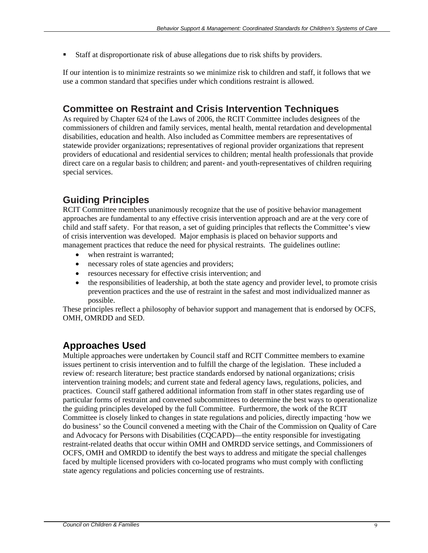Staff at disproportionate risk of abuse allegations due to risk shifts by providers.

If our intention is to minimize restraints so we minimize risk to children and staff, it follows that we use a common standard that specifies under which conditions restraint is allowed.

### **Committee on Restraint and Crisis Intervention Techniques**

As required by Chapter 624 of the Laws of 2006, the RCIT Committee includes designees of the commissioners of children and family services, mental health, mental retardation and developmental disabilities, education and health. Also included as Committee members are representatives of statewide provider organizations; representatives of regional provider organizations that represent providers of educational and residential services to children; mental health professionals that provide direct care on a regular basis to children; and parent- and youth-representatives of children requiring special services.

## **Guiding Principles**

RCIT Committee members unanimously recognize that the use of positive behavior management approaches are fundamental to any effective crisis intervention approach and are at the very core of child and staff safety. For that reason, a set of guiding principles that reflects the Committee's view of crisis intervention was developed. Major emphasis is placed on behavior supports and management practices that reduce the need for physical restraints. The guidelines outline:

- when restraint is warranted:
- necessary roles of state agencies and providers;
- resources necessary for effective crisis intervention; and
- the responsibilities of leadership, at both the state agency and provider level, to promote crisis prevention practices and the use of restraint in the safest and most individualized manner as possible.

These principles reflect a philosophy of behavior support and management that is endorsed by OCFS, OMH, OMRDD and SED.

### **Approaches Used**

Multiple approaches were undertaken by Council staff and RCIT Committee members to examine issues pertinent to crisis intervention and to fulfill the charge of the legislation. These included a review of: research literature; best practice standards endorsed by national organizations; crisis intervention training models; and current state and federal agency laws, regulations, policies, and practices. Council staff gathered additional information from staff in other states regarding use of particular forms of restraint and convened subcommittees to determine the best ways to operationalize the guiding principles developed by the full Committee. Furthermore, the work of the RCIT Committee is closely linked to changes in state regulations and policies, directly impacting 'how we do business' so the Council convened a meeting with the Chair of the Commission on Quality of Care and Advocacy for Persons with Disabilities (CQCAPD)—the entity responsible for investigating restraint-related deaths that occur within OMH and OMRDD service settings, and Commissioners of OCFS, OMH and OMRDD to identify the best ways to address and mitigate the special challenges faced by multiple licensed providers with co-located programs who must comply with conflicting state agency regulations and policies concerning use of restraints.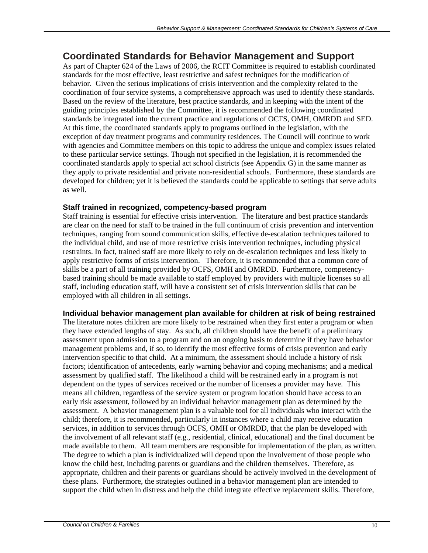### **Coordinated Standards for Behavior Management and Support**

As part of Chapter 624 of the Laws of 2006, the RCIT Committee is required to establish coordinated standards for the most effective, least restrictive and safest techniques for the modification of behavior. Given the serious implications of crisis intervention and the complexity related to the coordination of four service systems, a comprehensive approach was used to identify these standards. Based on the review of the literature, best practice standards, and in keeping with the intent of the guiding principles established by the Committee, it is recommended the following coordinated standards be integrated into the current practice and regulations of OCFS, OMH, OMRDD and SED. At this time, the coordinated standards apply to programs outlined in the legislation, with the exception of day treatment programs and community residences. The Council will continue to work with agencies and Committee members on this topic to address the unique and complex issues related to these particular service settings. Though not specified in the legislation, it is recommended the coordinated standards apply to special act school districts (see Appendix G) in the same manner as they apply to private residential and private non-residential schools. Furthermore, these standards are developed for children; yet it is believed the standards could be applicable to settings that serve adults as well.

#### **Staff trained in recognized, competency-based program**

Staff training is essential for effective crisis intervention. The literature and best practice standards are clear on the need for staff to be trained in the full continuum of crisis prevention and intervention techniques, ranging from sound communication skills, effective de-escalation techniques tailored to the individual child, and use of more restrictive crisis intervention techniques, including physical restraints. In fact, trained staff are more likely to rely on de-escalation techniques and less likely to apply restrictive forms of crisis intervention. Therefore, it is recommended that a common core of skills be a part of all training provided by OCFS, OMH and OMRDD. Furthermore, competencybased training should be made available to staff employed by providers with multiple licenses so all staff, including education staff, will have a consistent set of crisis intervention skills that can be employed with all children in all settings.

#### **Individual behavior management plan available for children at risk of being restrained**

The literature notes children are more likely to be restrained when they first enter a program or when they have extended lengths of stay. As such, all children should have the benefit of a preliminary assessment upon admission to a program and on an ongoing basis to determine if they have behavior management problems and, if so, to identify the most effective forms of crisis prevention and early intervention specific to that child. At a minimum, the assessment should include a history of risk factors; identification of antecedents, early warning behavior and coping mechanisms; and a medical assessment by qualified staff. The likelihood a child will be restrained early in a program is not dependent on the types of services received or the number of licenses a provider may have. This means all children, regardless of the service system or program location should have access to an early risk assessment, followed by an individual behavior management plan as determined by the assessment. A behavior management plan is a valuable tool for all individuals who interact with the child; therefore, it is recommended, particularly in instances where a child may receive education services, in addition to services through OCFS, OMH or OMRDD, that the plan be developed with the involvement of all relevant staff (e.g., residential, clinical, educational) and the final document be made available to them. All team members are responsible for implementation of the plan, as written. The degree to which a plan is individualized will depend upon the involvement of those people who know the child best, including parents or guardians and the children themselves. Therefore, as appropriate, children and their parents or guardians should be actively involved in the development of these plans. Furthermore, the strategies outlined in a behavior management plan are intended to support the child when in distress and help the child integrate effective replacement skills. Therefore,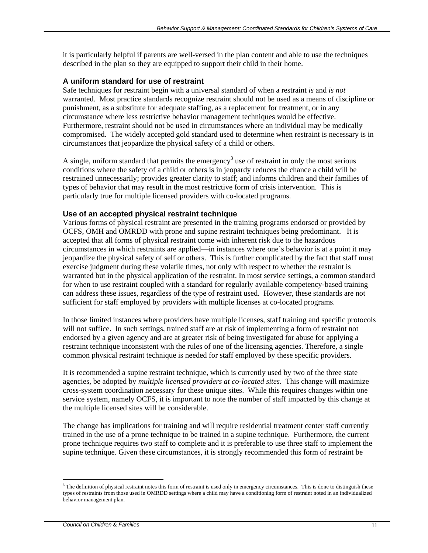it is particularly helpful if parents are well-versed in the plan content and able to use the techniques described in the plan so they are equipped to support their child in their home.

#### **A uniform standard for use of restraint**

Safe techniques for restraint begin with a universal standard of when a restraint *is* and *is not* warranted. Most practice standards recognize restraint should not be used as a means of discipline or punishment, as a substitute for adequate staffing, as a replacement for treatment, or in any circumstance where less restrictive behavior management techniques would be effective. Furthermore, restraint should not be used in circumstances where an individual may be medically compromised. The widely accepted gold standard used to determine when restraint is necessary is in circumstances that jeopardize the physical safety of a child or others.

A single, uniform standard that permits the emergency<sup>3</sup> use of restraint in only the most serious conditions where the safety of a child or others is in jeopardy reduces the chance a child will be restrained unnecessarily; provides greater clarity to staff; and informs children and their families of types of behavior that may result in the most restrictive form of crisis intervention. This is particularly true for multiple licensed providers with co-located programs.

#### **Use of an accepted physical restraint technique**

Various forms of physical restraint are presented in the training programs endorsed or provided by OCFS, OMH and OMRDD with prone and supine restraint techniques being predominant. It is accepted that all forms of physical restraint come with inherent risk due to the hazardous circumstances in which restraints are applied—in instances where one's behavior is at a point it may jeopardize the physical safety of self or others. This is further complicated by the fact that staff must exercise judgment during these volatile times, not only with respect to whether the restraint is warranted but in the physical application of the restraint. In most service settings, a common standard for when to use restraint coupled with a standard for regularly available competency-based training can address these issues, regardless of the type of restraint used. However, these standards are not sufficient for staff employed by providers with multiple licenses at co-located programs.

In those limited instances where providers have multiple licenses, staff training and specific protocols will not suffice. In such settings, trained staff are at risk of implementing a form of restraint not endorsed by a given agency and are at greater risk of being investigated for abuse for applying a restraint technique inconsistent with the rules of one of the licensing agencies. Therefore, a single common physical restraint technique is needed for staff employed by these specific providers.

It is recommended a supine restraint technique, which is currently used by two of the three state agencies, be adopted by *multiple licensed providers at co-located sites*. This change will maximize cross-system coordination necessary for these unique sites. While this requires changes within one service system, namely OCFS, it is important to note the number of staff impacted by this change at the multiple licensed sites will be considerable.

The change has implications for training and will require residential treatment center staff currently trained in the use of a prone technique to be trained in a supine technique. Furthermore, the current prone technique requires two staff to complete and it is preferable to use three staff to implement the supine technique. Given these circumstances, it is strongly recommended this form of restraint be

 $\overline{a}$  $3$  The definition of physical restraint notes this form of restraint is used only in emergency circumstances. This is done to distinguish these types of restraints from those used in OMRDD settings where a child may have a conditioning form of restraint noted in an individualized behavior management plan.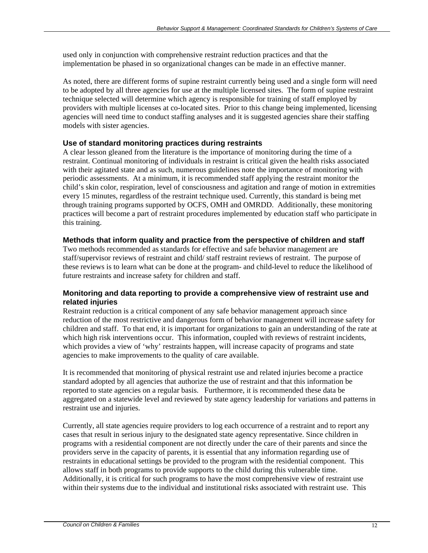used only in conjunction with comprehensive restraint reduction practices and that the implementation be phased in so organizational changes can be made in an effective manner.

As noted, there are different forms of supine restraint currently being used and a single form will need to be adopted by all three agencies for use at the multiple licensed sites. The form of supine restraint technique selected will determine which agency is responsible for training of staff employed by providers with multiple licenses at co-located sites. Prior to this change being implemented, licensing agencies will need time to conduct staffing analyses and it is suggested agencies share their staffing models with sister agencies.

#### **Use of standard monitoring practices during restraints**

A clear lesson gleaned from the literature is the importance of monitoring during the time of a restraint. Continual monitoring of individuals in restraint is critical given the health risks associated with their agitated state and as such, numerous guidelines note the importance of monitoring with periodic assessments. At a minimum, it is recommended staff applying the restraint monitor the child's skin color, respiration, level of consciousness and agitation and range of motion in extremities every 15 minutes, regardless of the restraint technique used. Currently, this standard is being met through training programs supported by OCFS, OMH and OMRDD. Additionally, these monitoring practices will become a part of restraint procedures implemented by education staff who participate in this training.

#### **Methods that inform quality and practice from the perspective of children and staff**

Two methods recommended as standards for effective and safe behavior management are staff/supervisor reviews of restraint and child/ staff restraint reviews of restraint. The purpose of these reviews is to learn what can be done at the program- and child-level to reduce the likelihood of future restraints and increase safety for children and staff.

#### **Monitoring and data reporting to provide a comprehensive view of restraint use and related injuries**

Restraint reduction is a critical component of any safe behavior management approach since reduction of the most restrictive and dangerous form of behavior management will increase safety for children and staff. To that end, it is important for organizations to gain an understanding of the rate at which high risk interventions occur. This information, coupled with reviews of restraint incidents, which provides a view of 'why' restraints happen, will increase capacity of programs and state agencies to make improvements to the quality of care available.

It is recommended that monitoring of physical restraint use and related injuries become a practice standard adopted by all agencies that authorize the use of restraint and that this information be reported to state agencies on a regular basis. Furthermore, it is recommended these data be aggregated on a statewide level and reviewed by state agency leadership for variations and patterns in restraint use and injuries.

Currently, all state agencies require providers to log each occurrence of a restraint and to report any cases that result in serious injury to the designated state agency representative. Since children in programs with a residential component are not directly under the care of their parents and since the providers serve in the capacity of parents, it is essential that any information regarding use of restraints in educational settings be provided to the program with the residential component. This allows staff in both programs to provide supports to the child during this vulnerable time. Additionally, it is critical for such programs to have the most comprehensive view of restraint use within their systems due to the individual and institutional risks associated with restraint use. This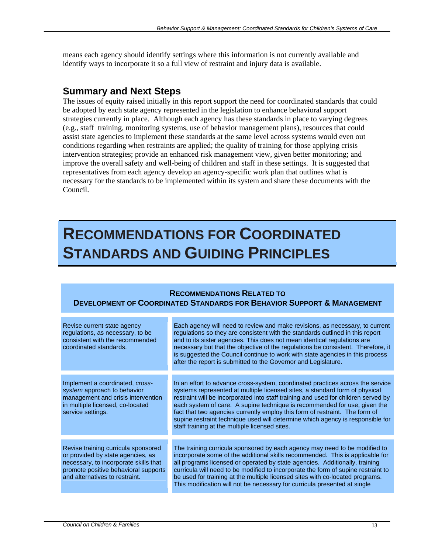means each agency should identify settings where this information is not currently available and identify ways to incorporate it so a full view of restraint and injury data is available.

### **Summary and Next Steps**

The issues of equity raised initially in this report support the need for coordinated standards that could be adopted by each state agency represented in the legislation to enhance behavioral support strategies currently in place. Although each agency has these standards in place to varying degrees (e.g., staff training, monitoring systems, use of behavior management plans), resources that could assist state agencies to implement these standards at the same level across systems would even out conditions regarding when restraints are applied; the quality of training for those applying crisis intervention strategies; provide an enhanced risk management view, given better monitoring; and improve the overall safety and well-being of children and staff in these settings. It is suggested that representatives from each agency develop an agency-specific work plan that outlines what is necessary for the standards to be implemented within its system and share these documents with the Council.

## **RECOMMENDATIONS FOR COORDINATED STANDARDS AND GUIDING PRINCIPLES**

#### **RECOMMENDATIONS RELATED TO**

#### **DEVELOPMENT OF COORDINATED STANDARDS FOR BEHAVIOR SUPPORT & MANAGEMENT**

| Revise current state agency<br>regulations, as necessary, to be<br>consistent with the recommended<br>coordinated standards.                                                                | Each agency will need to review and make revisions, as necessary, to current<br>regulations so they are consistent with the standards outlined in this report<br>and to its sister agencies. This does not mean identical regulations are<br>necessary but that the objective of the regulations be consistent. Therefore, it<br>is suggested the Council continue to work with state agencies in this process<br>after the report is submitted to the Governor and Legislature.                                                                    |
|---------------------------------------------------------------------------------------------------------------------------------------------------------------------------------------------|-----------------------------------------------------------------------------------------------------------------------------------------------------------------------------------------------------------------------------------------------------------------------------------------------------------------------------------------------------------------------------------------------------------------------------------------------------------------------------------------------------------------------------------------------------|
|                                                                                                                                                                                             |                                                                                                                                                                                                                                                                                                                                                                                                                                                                                                                                                     |
| Implement a coordinated, cross-<br>system approach to behavior<br>management and crisis intervention<br>in multiple licensed, co-located<br>service settings.                               | In an effort to advance cross-system, coordinated practices across the service<br>systems represented at multiple licensed sites, a standard form of physical<br>restraint will be incorporated into staff training and used for children served by<br>each system of care. A supine technique is recommended for use, given the<br>fact that two agencies currently employ this form of restraint. The form of<br>supine restraint technique used will determine which agency is responsible for<br>staff training at the multiple licensed sites. |
|                                                                                                                                                                                             |                                                                                                                                                                                                                                                                                                                                                                                                                                                                                                                                                     |
| Revise training curricula sponsored<br>or provided by state agencies, as<br>necessary, to incorporate skills that<br>promote positive behavioral supports<br>and alternatives to restraint. | The training curricula sponsored by each agency may need to be modified to<br>incorporate some of the additional skills recommended. This is applicable for<br>all programs licensed or operated by state agencies. Additionally, training<br>curricula will need to be modified to incorporate the form of supine restraint to<br>be used for training at the multiple licensed sites with co-located programs.<br>This modification will not be necessary for curricula presented at single                                                       |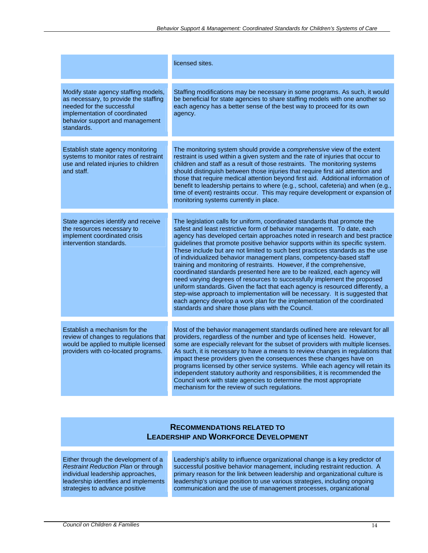|                                                                                                                                                                                              | licensed sites.                                                                                                                                                                                                                                                                                                                                                                                                                                                                                                                                                                                                                                                                                                                                                                                                                                                                                                                                                                                                     |
|----------------------------------------------------------------------------------------------------------------------------------------------------------------------------------------------|---------------------------------------------------------------------------------------------------------------------------------------------------------------------------------------------------------------------------------------------------------------------------------------------------------------------------------------------------------------------------------------------------------------------------------------------------------------------------------------------------------------------------------------------------------------------------------------------------------------------------------------------------------------------------------------------------------------------------------------------------------------------------------------------------------------------------------------------------------------------------------------------------------------------------------------------------------------------------------------------------------------------|
| Modify state agency staffing models,<br>as necessary, to provide the staffing<br>needed for the successful<br>implementation of coordinated<br>behavior support and management<br>standards. | Staffing modifications may be necessary in some programs. As such, it would<br>be beneficial for state agencies to share staffing models with one another so<br>each agency has a better sense of the best way to proceed for its own<br>agency.                                                                                                                                                                                                                                                                                                                                                                                                                                                                                                                                                                                                                                                                                                                                                                    |
| Establish state agency monitoring<br>systems to monitor rates of restraint<br>use and related injuries to children<br>and staff.                                                             | The monitoring system should provide a comprehensive view of the extent<br>restraint is used within a given system and the rate of injuries that occur to<br>children and staff as a result of those restraints. The monitoring systems<br>should distinguish between those injuries that require first aid attention and<br>those that require medical attention beyond first aid. Additional information of<br>benefit to leadership pertains to where (e.g., school, cafeteria) and when (e.g.,<br>time of event) restraints occur. This may require development or expansion of<br>monitoring systems currently in place.                                                                                                                                                                                                                                                                                                                                                                                       |
| State agencies identify and receive<br>the resources necessary to<br>implement coordinated crisis<br>intervention standards.                                                                 | The legislation calls for uniform, coordinated standards that promote the<br>safest and least restrictive form of behavior management. To date, each<br>agency has developed certain approaches noted in research and best practice<br>guidelines that promote positive behavior supports within its specific system.<br>These include but are not limited to such best practices standards as the use<br>of individualized behavior management plans, competency-based staff<br>training and monitoring of restraints. However, if the comprehensive,<br>coordinated standards presented here are to be realized, each agency will<br>need varying degrees of resources to successfully implement the proposed<br>uniform standards. Given the fact that each agency is resourced differently, a<br>step-wise approach to implementation will be necessary. It is suggested that<br>each agency develop a work plan for the implementation of the coordinated<br>standards and share those plans with the Council. |
| Establish a mechanism for the<br>review of changes to regulations that<br>would be applied to multiple licensed<br>providers with co-located programs.                                       | Most of the behavior management standards outlined here are relevant for all<br>providers, regardless of the number and type of licenses held. However,<br>some are especially relevant for the subset of providers with multiple licenses.<br>As such, it is necessary to have a means to review changes in regulations that<br>impact these providers given the consequences these changes have on<br>programs licensed by other service systems. While each agency will retain its<br>independent statutory authority and responsibilities, it is recommended the<br>Council work with state agencies to determine the most appropriate<br>mechanism for the review of such regulations.                                                                                                                                                                                                                                                                                                                         |

#### **RECOMMENDATIONS RELATED TO LEADERSHIP AND WORKFORCE DEVELOPMENT**

Either through the development of a *Restraint Reduction Plan* or through individual leadership approaches, leadership identifies and implements strategies to advance positive

Leadership's ability to influence organizational change is a key predictor of successful positive behavior management, including restraint reduction. A primary reason for the link between leadership and organizational culture is leadership's unique position to use various strategies, including ongoing communication and the use of management processes, organizational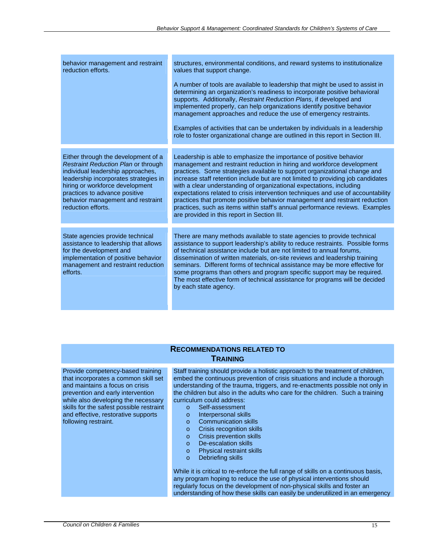| behavior management and restraint<br>reduction efforts.                                                                                                                                                                                                                                 | structures, environmental conditions, and reward systems to institutionalize<br>values that support change.<br>A number of tools are available to leadership that might be used to assist in<br>determining an organization's readiness to incorporate positive behavioral<br>supports. Additionally, Restraint Reduction Plans, if developed and<br>implemented properly, can help organizations identify positive behavior<br>management approaches and reduce the use of emergency restraints.<br>Examples of activities that can be undertaken by individuals in a leadership<br>role to foster organizational change are outlined in this report in Section III.                    |
|-----------------------------------------------------------------------------------------------------------------------------------------------------------------------------------------------------------------------------------------------------------------------------------------|------------------------------------------------------------------------------------------------------------------------------------------------------------------------------------------------------------------------------------------------------------------------------------------------------------------------------------------------------------------------------------------------------------------------------------------------------------------------------------------------------------------------------------------------------------------------------------------------------------------------------------------------------------------------------------------|
|                                                                                                                                                                                                                                                                                         |                                                                                                                                                                                                                                                                                                                                                                                                                                                                                                                                                                                                                                                                                          |
| Either through the development of a<br>Restraint Reduction Plan or through<br>individual leadership approaches,<br>leadership incorporates strategies in<br>hiring or workforce development<br>practices to advance positive<br>behavior management and restraint<br>reduction efforts. | Leadership is able to emphasize the importance of positive behavior<br>management and restraint reduction in hiring and workforce development<br>practices. Some strategies available to support organizational change and<br>increase staff retention include but are not limited to providing job candidates<br>with a clear understanding of organizational expectations, including<br>expectations related to crisis intervention techniques and use of accountability<br>practices that promote positive behavior management and restraint reduction<br>practices, such as items within staff's annual performance reviews. Examples<br>are provided in this report in Section III. |
| State agencies provide technical<br>assistance to leadership that allows<br>for the development and<br>implementation of positive behavior<br>management and restraint reduction<br>efforts.                                                                                            | There are many methods available to state agencies to provide technical<br>assistance to support leadership's ability to reduce restraints. Possible forms<br>of technical assistance include but are not limited to annual forums,<br>dissemination of written materials, on-site reviews and leadership training<br>seminars. Different forms of technical assistance may be more effective for<br>some programs than others and program specific support may be required.<br>The most effective form of technical assistance for programs will be decided<br>by each state agency.                                                                                                    |

#### **RECOMMENDATIONS RELATED TO TRAINING**

Provide competency-based training that incorporates a common skill set and maintains a focus on crisis prevention and early intervention while also developing the necessary skills for the safest possible restraint and effective, restorative supports following restraint.

Staff training should provide a holistic approach to the treatment of children, embed the continuous prevention of crisis situations and include a thorough understanding of the trauma, triggers, and re-enactments possible not only in the children but also in the adults who care for the children. Such a training curriculum could address:

- o Self-assessment
- o Interpersonal skills
- o Communication skills
- o Crisis recognition skills
- o Crisis prevention skills
- o De-escalation skills
- o Physical restraint skills
- o Debriefing skills

While it is critical to re-enforce the full range of skills on a continuous basis, any program hoping to reduce the use of physical interventions should regularly focus on the development of non-physical skills and foster an understanding of how these skills can easily be underutilized in an emergency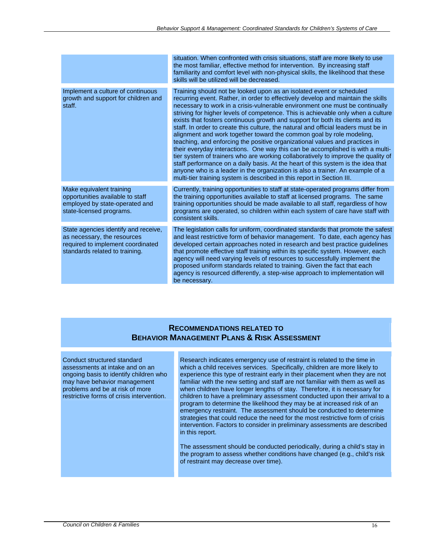|                                                                                                                                            | situation. When confronted with crisis situations, staff are more likely to use<br>the most familiar, effective method for intervention. By increasing staff<br>familiarity and comfort level with non-physical skills, the likelihood that these<br>skills will be utilized will be decreased.                                                                                                                                                                                                                                                                                                                                                                                                                                                                                                                                                                                                                                                                                                                                                                                    |
|--------------------------------------------------------------------------------------------------------------------------------------------|------------------------------------------------------------------------------------------------------------------------------------------------------------------------------------------------------------------------------------------------------------------------------------------------------------------------------------------------------------------------------------------------------------------------------------------------------------------------------------------------------------------------------------------------------------------------------------------------------------------------------------------------------------------------------------------------------------------------------------------------------------------------------------------------------------------------------------------------------------------------------------------------------------------------------------------------------------------------------------------------------------------------------------------------------------------------------------|
| Implement a culture of continuous<br>growth and support for children and<br>staff.                                                         | Training should not be looked upon as an isolated event or scheduled<br>recurring event. Rather, in order to effectively develop and maintain the skills<br>necessary to work in a crisis-vulnerable environment one must be continually<br>striving for higher levels of competence. This is achievable only when a culture<br>exists that fosters continuous growth and support for both its clients and its<br>staff. In order to create this culture, the natural and official leaders must be in<br>alignment and work together toward the common goal by role modeling,<br>teaching, and enforcing the positive organizational values and practices in<br>their everyday interactions. One way this can be accomplished is with a multi-<br>tier system of trainers who are working collaboratively to improve the quality of<br>staff performance on a daily basis. At the heart of this system is the idea that<br>anyone who is a leader in the organization is also a trainer. An example of a<br>multi-tier training system is described in this report in Section III. |
| Make equivalent training<br>opportunities available to staff<br>employed by state-operated and<br>state-licensed programs.                 | Currently, training opportunities to staff at state-operated programs differ from<br>the training opportunities available to staff at licensed programs. The same<br>training opportunities should be made available to all staff, regardless of how<br>programs are operated, so children within each system of care have staff with<br>consistent skills.                                                                                                                                                                                                                                                                                                                                                                                                                                                                                                                                                                                                                                                                                                                        |
| State agencies identify and receive,<br>as necessary, the resources<br>required to implement coordinated<br>standards related to training. | The legislation calls for uniform, coordinated standards that promote the safest<br>and least restrictive form of behavior management. To date, each agency has<br>developed certain approaches noted in research and best practice guidelines<br>that promote effective staff training within its specific system. However, each<br>agency will need varying levels of resources to successfully implement the<br>proposed uniform standards related to training. Given the fact that each<br>agency is resourced differently, a step-wise approach to implementation will<br>be necessary.                                                                                                                                                                                                                                                                                                                                                                                                                                                                                       |

#### **RECOMMENDATIONS RELATED TO BEHAVIOR MANAGEMENT PLANS & RISK ASSESSMENT**

Conduct structured standard assessments at intake and on an ongoing basis to identify children who may have behavior management problems and be at risk of more restrictive forms of crisis intervention.

Research indicates emergency use of restraint is related to the time in which a child receives services. Specifically, children are more likely to experience this type of restraint early in their placement when they are not familiar with the new setting and staff are not familiar with them as well as when children have longer lengths of stay. Therefore, it is necessary for children to have a preliminary assessment conducted upon their arrival to a program to determine the likelihood they may be at increased risk of an emergency restraint. The assessment should be conducted to determine strategies that could reduce the need for the most restrictive form of crisis intervention. Factors to consider in preliminary assessments are described in this report.

The assessment should be conducted periodically, during a child's stay in the program to assess whether conditions have changed (e.g., child's risk of restraint may decrease over time).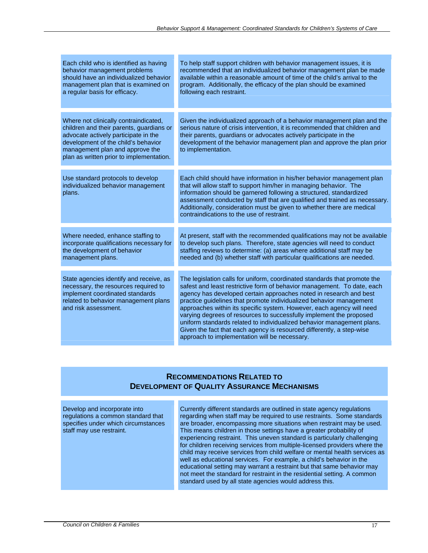| Each child who is identified as having<br>behavior management problems<br>should have an individualized behavior<br>management plan that is examined on<br>a regular basis for efficacy.                                                        | To help staff support children with behavior management issues, it is<br>recommended that an individualized behavior management plan be made<br>available within a reasonable amount of time of the child's arrival to the<br>program. Additionally, the efficacy of the plan should be examined<br>following each restraint.                                                                                                                                                                                                                                                                                                                         |
|-------------------------------------------------------------------------------------------------------------------------------------------------------------------------------------------------------------------------------------------------|-------------------------------------------------------------------------------------------------------------------------------------------------------------------------------------------------------------------------------------------------------------------------------------------------------------------------------------------------------------------------------------------------------------------------------------------------------------------------------------------------------------------------------------------------------------------------------------------------------------------------------------------------------|
| Where not clinically contraindicated,<br>children and their parents, guardians or<br>advocate actively participate in the<br>development of the child's behavior<br>management plan and approve the<br>plan as written prior to implementation. | Given the individualized approach of a behavior management plan and the<br>serious nature of crisis intervention, it is recommended that children and<br>their parents, guardians or advocates actively participate in the<br>development of the behavior management plan and approve the plan prior<br>to implementation.                                                                                                                                                                                                                                                                                                                            |
| Use standard protocols to develop<br>individualized behavior management<br>plans.                                                                                                                                                               | Each child should have information in his/her behavior management plan<br>that will allow staff to support him/her in managing behavior. The<br>information should be garnered following a structured, standardized<br>assessment conducted by staff that are qualified and trained as necessary.<br>Additionally, consideration must be given to whether there are medical<br>contraindications to the use of restraint.                                                                                                                                                                                                                             |
| Where needed, enhance staffing to<br>incorporate qualifications necessary for<br>the development of behavior<br>management plans.                                                                                                               | At present, staff with the recommended qualifications may not be available<br>to develop such plans. Therefore, state agencies will need to conduct<br>staffing reviews to determine: (a) areas where additional staff may be<br>needed and (b) whether staff with particular qualifications are needed.                                                                                                                                                                                                                                                                                                                                              |
| State agencies identify and receive, as<br>necessary, the resources required to<br>implement coordinated standards<br>related to behavior management plans<br>and risk assessment.                                                              | The legislation calls for uniform, coordinated standards that promote the<br>safest and least restrictive form of behavior management. To date, each<br>agency has developed certain approaches noted in research and best<br>practice guidelines that promote individualized behavior management<br>approaches within its specific system. However, each agency will need<br>varying degrees of resources to successfully implement the proposed<br>uniform standards related to individualized behavior management plans.<br>Given the fact that each agency is resourced differently, a step-wise<br>approach to implementation will be necessary. |

#### **RECOMMENDATIONS RELATED TO DEVELOPMENT OF QUALITY ASSURANCE MECHANISMS**

| Develop and incorporate into<br>regulations a common standard that<br>specifies under which circumstances<br>staff may use restraint. | Currently different standards are outlined in state agency regulations<br>regarding when staff may be required to use restraints. Some standards<br>are broader, encompassing more situations when restraint may be used.<br>This means children in those settings have a greater probability of<br>experiencing restraint. This uneven standard is particularly challenging<br>for children receiving services from multiple-licensed providers where the<br>child may receive services from child welfare or mental health services as<br>well as educational services. For example, a child's behavior in the<br>educational setting may warrant a restraint but that same behavior may<br>not meet the standard for restraint in the residential setting. A common<br>standard used by all state agencies would address this. |
|---------------------------------------------------------------------------------------------------------------------------------------|-----------------------------------------------------------------------------------------------------------------------------------------------------------------------------------------------------------------------------------------------------------------------------------------------------------------------------------------------------------------------------------------------------------------------------------------------------------------------------------------------------------------------------------------------------------------------------------------------------------------------------------------------------------------------------------------------------------------------------------------------------------------------------------------------------------------------------------|
|                                                                                                                                       |                                                                                                                                                                                                                                                                                                                                                                                                                                                                                                                                                                                                                                                                                                                                                                                                                                   |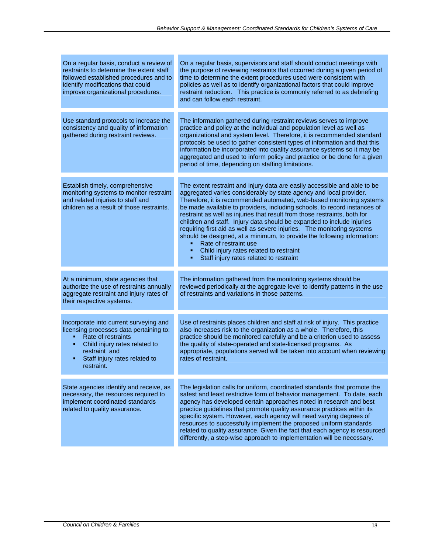| On a regular basis, conduct a review of<br>restraints to determine the extent staff<br>followed established procedures and to<br>identify modifications that could<br>improve organizational procedures.                                    | On a regular basis, supervisors and staff should conduct meetings with<br>the purpose of reviewing restraints that occurred during a given period of<br>time to determine the extent procedures used were consistent with<br>policies as well as to identify organizational factors that could improve<br>restraint reduction. This practice is commonly referred to as debriefing<br>and can follow each restraint.                                                                                                                                                                                                                                                                                                                      |
|---------------------------------------------------------------------------------------------------------------------------------------------------------------------------------------------------------------------------------------------|-------------------------------------------------------------------------------------------------------------------------------------------------------------------------------------------------------------------------------------------------------------------------------------------------------------------------------------------------------------------------------------------------------------------------------------------------------------------------------------------------------------------------------------------------------------------------------------------------------------------------------------------------------------------------------------------------------------------------------------------|
| Use standard protocols to increase the<br>consistency and quality of information<br>gathered during restraint reviews.                                                                                                                      | The information gathered during restraint reviews serves to improve<br>practice and policy at the individual and population level as well as<br>organizational and system level. Therefore, it is recommended standard<br>protocols be used to gather consistent types of information and that this<br>information be incorporated into quality assurance systems so it may be<br>aggregated and used to inform policy and practice or be done for a given<br>period of time, depending on staffing limitations.                                                                                                                                                                                                                          |
| Establish timely, comprehensive<br>monitoring systems to monitor restraint<br>and related injuries to staff and<br>children as a result of those restraints.                                                                                | The extent restraint and injury data are easily accessible and able to be<br>aggregated varies considerably by state agency and local provider.<br>Therefore, it is recommended automated, web-based monitoring systems<br>be made available to providers, including schools, to record instances of<br>restraint as well as injuries that result from those restraints, both for<br>children and staff. Injury data should be expanded to include injuries<br>requiring first aid as well as severe injuries. The monitoring systems<br>should be designed, at a minimum, to provide the following information:<br>Rate of restraint use<br>٠<br>Child injury rates related to restraint<br>Staff injury rates related to restraint<br>٠ |
| At a minimum, state agencies that<br>authorize the use of restraints annually<br>aggregate restraint and injury rates of<br>their respective systems.                                                                                       | The information gathered from the monitoring systems should be<br>reviewed periodically at the aggregate level to identify patterns in the use<br>of restraints and variations in those patterns.                                                                                                                                                                                                                                                                                                                                                                                                                                                                                                                                         |
| Incorporate into current surveying and<br>licensing processes data pertaining to:<br>Rate of restraints<br>m.<br>Child injury rates related to<br>$\mathbf{E}^{\text{max}}$<br>restraint and<br>Staff injury rates related to<br>restraint. | Use of restraints places children and staff at risk of injury. This practice<br>also increases risk to the organization as a whole. Therefore, this<br>practice should be monitored carefully and be a criterion used to assess<br>the quality of state-operated and state-licensed programs. As<br>appropriate, populations served will be taken into account when reviewing<br>rates of restraint.                                                                                                                                                                                                                                                                                                                                      |
| State agencies identify and receive, as<br>necessary, the resources required to<br>implement coordinated standards<br>related to quality assurance.                                                                                         | The legislation calls for uniform, coordinated standards that promote the<br>safest and least restrictive form of behavior management. To date, each<br>agency has developed certain approaches noted in research and best<br>practice guidelines that promote quality assurance practices within its<br>specific system. However, each agency will need varying degrees of<br>resources to successfully implement the proposed uniform standards<br>related to quality assurance. Given the fact that each agency is resourced<br>differently, a step-wise approach to implementation will be necessary.                                                                                                                                 |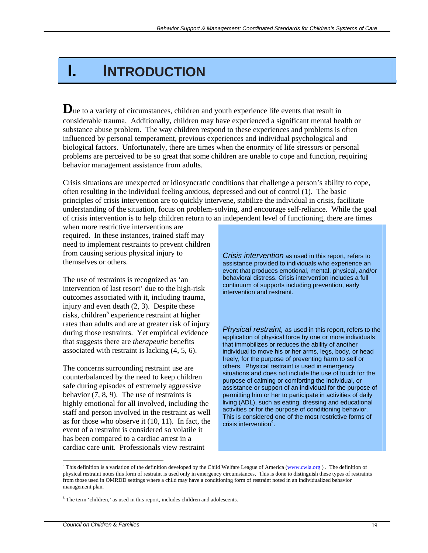## **I. INTRODUCTION**

Due to a variety of circumstances, children and youth experience life events that result in considerable trauma. Additionally, children may have experienced a significant mental health or substance abuse problem. The way children respond to these experiences and problems is often influenced by personal temperament, previous experiences and individual psychological and biological factors. Unfortunately, there are times when the enormity of life stressors or personal problems are perceived to be so great that some children are unable to cope and function, requiring behavior management assistance from adults.

Crisis situations are unexpected or idiosyncratic conditions that challenge a person's ability to cope, often resulting in the individual feeling anxious, depressed and out of control (1). The basic principles of crisis intervention are to quickly intervene, stabilize the individual in crisis, facilitate understanding of the situation, focus on problem-solving, and encourage self-reliance. While the goal of crisis intervention is to help children return to an independent level of functioning, there are times

when more restrictive interventions are required. In these instances, trained staff may need to implement restraints to prevent children from causing serious physical injury to themselves or others.

The use of restraints is recognized as 'an intervention of last resort' due to the high-risk outcomes associated with it, including trauma, injury and even death (2, 3). Despite these risks, children<sup>5</sup> experience restraint at higher rates than adults and are at greater risk of injury during those restraints. Yet empirical evidence that suggests there are *therapeutic* benefits associated with restraint is lacking (4, 5, 6).

The concerns surrounding restraint use are counterbalanced by the need to keep children safe during episodes of extremely aggressive behavior (7, 8, 9). The use of restraints is highly emotional for all involved, including the staff and person involved in the restraint as well as for those who observe it (10, 11). In fact, the event of a restraint is considered so volatile it has been compared to a cardiac arrest in a cardiac care unit. Professionals view restraint

*Crisis intervention* as used in this report, refers to assistance provided to individuals who experience an event that produces emotional, mental, physical, and/or behavioral distress. Crisis intervention includes a full continuum of supports including prevention, early intervention and restraint.

*Physical restraint,* as used in this report, refers to the application of physical force by one or more individuals that immobilizes or reduces the ability of another individual to move his or her arms, legs, body, or head freely, for the purpose of preventing harm to self or others. Physical restraint is used in emergency situations and does not include the use of touch for the purpose of calming or comforting the individual, or assistance or support of an individual for the purpose of permitting him or her to participate in activities of daily living (ADL), such as eating, dressing and educational activities or for the purpose of conditioning behavior. This is considered one of the most restrictive forms of crisis intervention $4$ .

 $\overline{a}$ 

<sup>&</sup>lt;sup>4</sup> This definition is a variation of the definition developed by the Child Welfare League of America (www.cwla.org). The definition of physical restraint notes this form of restraint is used only in emergency circumstances. This is done to distinguish these types of restraints from those used in OMRDD settings where a child may have a conditioning form of restraint noted in an individualized behavior management plan.

<sup>&</sup>lt;sup>5</sup> The term 'children,' as used in this report, includes children and adolescents.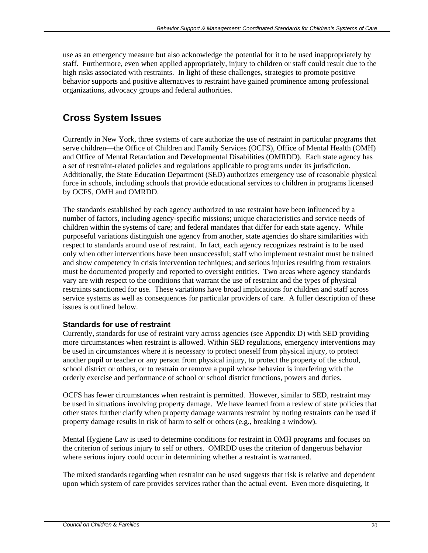use as an emergency measure but also acknowledge the potential for it to be used inappropriately by staff. Furthermore, even when applied appropriately, injury to children or staff could result due to the high risks associated with restraints. In light of these challenges, strategies to promote positive behavior supports and positive alternatives to restraint have gained prominence among professional organizations, advocacy groups and federal authorities.

## **Cross System Issues**

Currently in New York, three systems of care authorize the use of restraint in particular programs that serve children—the Office of Children and Family Services (OCFS), Office of Mental Health (OMH) and Office of Mental Retardation and Developmental Disabilities (OMRDD). Each state agency has a set of restraint-related policies and regulations applicable to programs under its jurisdiction. Additionally, the State Education Department (SED) authorizes emergency use of reasonable physical force in schools, including schools that provide educational services to children in programs licensed by OCFS, OMH and OMRDD.

The standards established by each agency authorized to use restraint have been influenced by a number of factors, including agency-specific missions; unique characteristics and service needs of children within the systems of care; and federal mandates that differ for each state agency. While purposeful variations distinguish one agency from another, state agencies do share similarities with respect to standards around use of restraint. In fact, each agency recognizes restraint is to be used only when other interventions have been unsuccessful; staff who implement restraint must be trained and show competency in crisis intervention techniques; and serious injuries resulting from restraints must be documented properly and reported to oversight entities. Two areas where agency standards vary are with respect to the conditions that warrant the use of restraint and the types of physical restraints sanctioned for use. These variations have broad implications for children and staff across service systems as well as consequences for particular providers of care. A fuller description of these issues is outlined below.

#### **Standards for use of restraint**

Currently, standards for use of restraint vary across agencies (see Appendix D) with SED providing more circumstances when restraint is allowed. Within SED regulations, emergency interventions may be used in circumstances where it is necessary to protect oneself from physical injury, to protect another pupil or teacher or any person from physical injury, to protect the property of the school, school district or others, or to restrain or remove a pupil whose behavior is interfering with the orderly exercise and performance of school or school district functions, powers and duties.

OCFS has fewer circumstances when restraint is permitted. However, similar to SED, restraint may be used in situations involving property damage. We have learned from a review of state policies that other states further clarify when property damage warrants restraint by noting restraints can be used if property damage results in risk of harm to self or others (e.g., breaking a window).

Mental Hygiene Law is used to determine conditions for restraint in OMH programs and focuses on the criterion of serious injury to self or others. OMRDD uses the criterion of dangerous behavior where serious injury could occur in determining whether a restraint is warranted.

The mixed standards regarding when restraint can be used suggests that risk is relative and dependent upon which system of care provides services rather than the actual event. Even more disquieting, it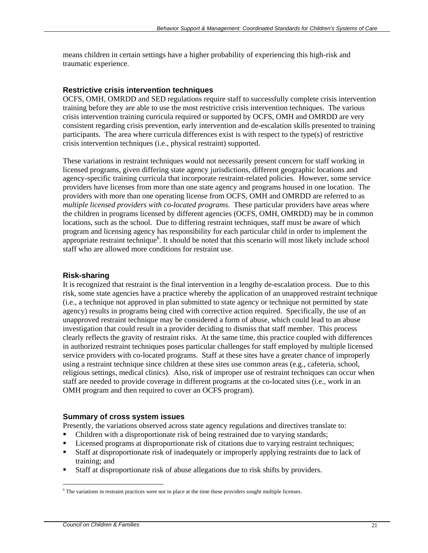means children in certain settings have a higher probability of experiencing this high-risk and traumatic experience.

#### **Restrictive crisis intervention techniques**

OCFS, OMH, OMRDD and SED regulations require staff to successfully complete crisis intervention training before they are able to use the most restrictive crisis intervention techniques. The various crisis intervention training curricula required or supported by OCFS, OMH and OMRDD are very consistent regarding crisis prevention, early intervention and de-escalation skills presented to training participants. The area where curricula differences exist is with respect to the type(s) of restrictive crisis intervention techniques (i.e., physical restraint) supported.

These variations in restraint techniques would not necessarily present concern for staff working in licensed programs, given differing state agency jurisdictions, different geographic locations and agency-specific training curricula that incorporate restraint-related policies. However, some service providers have licenses from more than one state agency and programs housed in one location. The providers with more than one operating license from OCFS, OMH and OMRDD are referred to as *multiple licensed providers with co-located programs*. These particular providers have areas where the children in programs licensed by different agencies (OCFS, OMH, OMRDD) may be in common locations, such as the school. Due to differing restraint techniques, staff must be aware of which program and licensing agency has responsibility for each particular child in order to implement the appropriate restraint technique<sup>6</sup>. It should be noted that this scenario will most likely include school staff who are allowed more conditions for restraint use.

#### **Risk-sharing**

It is recognized that restraint is the final intervention in a lengthy de-escalation process. Due to this risk, some state agencies have a practice whereby the application of an unapproved restraint technique (i.e., a technique not approved in plan submitted to state agency or technique not permitted by state agency) results in programs being cited with corrective action required. Specifically, the use of an unapproved restraint technique may be considered a form of abuse, which could lead to an abuse investigation that could result in a provider deciding to dismiss that staff member. This process clearly reflects the gravity of restraint risks. At the same time, this practice coupled with differences in authorized restraint techniques poses particular challenges for staff employed by multiple licensed service providers with co-located programs. Staff at these sites have a greater chance of improperly using a restraint technique since children at these sites use common areas (e.g., cafeteria, school, religious settings, medical clinics). Also, risk of improper use of restraint techniques can occur when staff are needed to provide coverage in different programs at the co-located sites (i.e., work in an OMH program and then required to cover an OCFS program).

#### **Summary of cross system issues**

Presently, the variations observed across state agency regulations and directives translate to:

- Children with a disproportionate risk of being restrained due to varying standards;
- **Licensed programs at disproportionate risk of citations due to varying restraint techniques;**
- Staff at disproportionate risk of inadequately or improperly applying restraints due to lack of training; and
- Staff at disproportionate risk of abuse allegations due to risk shifts by providers.

 $\overline{a}$ <sup>6</sup> The variations in restraint practices were not in place at the time these providers sought multiple licenses.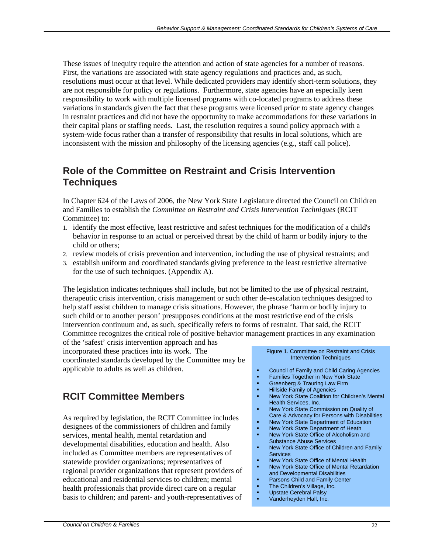These issues of inequity require the attention and action of state agencies for a number of reasons. First, the variations are associated with state agency regulations and practices and, as such, resolutions must occur at that level. While dedicated providers may identify short-term solutions, they are not responsible for policy or regulations. Furthermore, state agencies have an especially keen responsibility to work with multiple licensed programs with co-located programs to address these variations in standards given the fact that these programs were licensed *prior to* state agency changes in restraint practices and did not have the opportunity to make accommodations for these variations in their capital plans or staffing needs. Last, the resolution requires a sound policy approach with a system-wide focus rather than a transfer of responsibility that results in local solutions, which are inconsistent with the mission and philosophy of the licensing agencies (e.g., staff call police).

### **Role of the Committee on Restraint and Crisis Intervention Techniques**

In Chapter 624 of the Laws of 2006, the New York State Legislature directed the Council on Children and Families to establish the *Committee on Restraint and Crisis Intervention Techniques* (RCIT Committee) to:

- 1. identify the most effective, least restrictive and safest techniques for the modification of a child's behavior in response to an actual or perceived threat by the child of harm or bodily injury to the child or others;
- 2. review models of crisis prevention and intervention, including the use of physical restraints; and
- 3. establish uniform and coordinated standards giving preference to the least restrictive alternative for the use of such techniques. (Appendix A).

The legislation indicates techniques shall include, but not be limited to the use of physical restraint, therapeutic crisis intervention, crisis management or such other de-escalation techniques designed to help staff assist children to manage crisis situations. However, the phrase 'harm or bodily injury to such child or to another person' presupposes conditions at the most restrictive end of the crisis intervention continuum and, as such, specifically refers to forms of restraint. That said, the RCIT Committee recognizes the critical role of positive behavior management practices in any examination

of the 'safest' crisis intervention approach and has incorporated these practices into its work. The coordinated standards developed by the Committee may be applicable to adults as well as children.

## **RCIT Committee Members**

As required by legislation, the RCIT Committee includes designees of the commissioners of children and family services, mental health, mental retardation and developmental disabilities, education and health. Also included as Committee members are representatives of statewide provider organizations; representatives of regional provider organizations that represent providers of educational and residential services to children; mental health professionals that provide direct care on a regular basis to children; and parent- and youth-representatives of

#### Figure 1. Committee on Restraint and Crisis Intervention Techniques

- **Council of Family and Child Caring Agencies**<br>**Examilies Together in New York State**
- Families Together in New York State<br>Greenberg & Trauring Law Firm
- Greenberg & Trauring Law Firm<br>Billside Family of Agencies
- Hillside Family of Agencies
- New York State Coalition for Children's Mental Health Services, Inc.
- New York State Commission on Quality of Care & Advocacy for Persons with Disabilities
- New York State Department of Education
- New York State Department of Heath
- New York State Office of Alcoholism and Substance Abuse Services
- New York State Office of Children and Family Services
- **New York State Office of Mental Health**
- New York State Office of Mental Retardation and Developmental Disabilities
- **Parsons Child and Family Center**
- **The Children's Village, Inc.**
- Upstate Cerebral Palsy
- Vanderheyden Hall, Inc.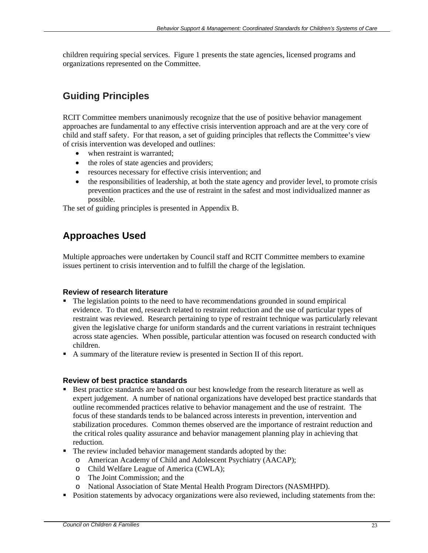children requiring special services. Figure 1 presents the state agencies, licensed programs and organizations represented on the Committee.

## **Guiding Principles**

RCIT Committee members unanimously recognize that the use of positive behavior management approaches are fundamental to any effective crisis intervention approach and are at the very core of child and staff safety. For that reason, a set of guiding principles that reflects the Committee's view of crisis intervention was developed and outlines:

- when restraint is warranted;
- the roles of state agencies and providers;
- resources necessary for effective crisis intervention; and
- the responsibilities of leadership, at both the state agency and provider level, to promote crisis prevention practices and the use of restraint in the safest and most individualized manner as possible.

The set of guiding principles is presented in Appendix B.

### **Approaches Used**

Multiple approaches were undertaken by Council staff and RCIT Committee members to examine issues pertinent to crisis intervention and to fulfill the charge of the legislation.

#### **Review of research literature**

- The legislation points to the need to have recommendations grounded in sound empirical evidence. To that end, research related to restraint reduction and the use of particular types of restraint was reviewed. Research pertaining to type of restraint technique was particularly relevant given the legislative charge for uniform standards and the current variations in restraint techniques across state agencies. When possible, particular attention was focused on research conducted with children.
- A summary of the literature review is presented in Section II of this report.

#### **Review of best practice standards**

- Best practice standards are based on our best knowledge from the research literature as well as expert judgement. A number of national organizations have developed best practice standards that outline recommended practices relative to behavior management and the use of restraint. The focus of these standards tends to be balanced across interests in prevention, intervention and stabilization procedures. Common themes observed are the importance of restraint reduction and the critical roles quality assurance and behavior management planning play in achieving that reduction.
- The review included behavior management standards adopted by the:
	- o American Academy of Child and Adolescent Psychiatry (AACAP);
	- o Child Welfare League of America (CWLA);
	- o The Joint Commission; and the
	- o National Association of State Mental Health Program Directors (NASMHPD).
- **Position statements by advocacy organizations were also reviewed, including statements from the:**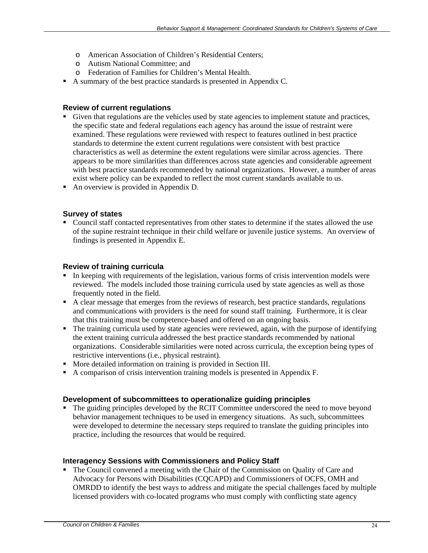- o American Association of Children's Residential Centers;
- o Autism National Committee; and
- o Federation of Families for Children's Mental Health.
- A summary of the best practice standards is presented in Appendix C.

#### **Review of current regulations**

- Given that regulations are the vehicles used by state agencies to implement statute and practices, the specific state and federal regulations each agency has around the issue of restraint were examined. These regulations were reviewed with respect to features outlined in best practice standards to determine the extent current regulations were consistent with best practice characteristics as well as determine the extent regulations were similar across agencies. There appears to be more similarities than differences across state agencies and considerable agreement with best practice standards recommended by national organizations. However, a number of areas exist where policy can be expanded to reflect the most current standards available to us.
- An overview is provided in Appendix D.

#### **Survey of states**

 Council staff contacted representatives from other states to determine if the states allowed the use of the supine restraint technique in their child welfare or juvenile justice systems. An overview of findings is presented in Appendix E.

#### **Review of training curricula**

- In keeping with requirements of the legislation, various forms of crisis intervention models were reviewed. The models included those training curricula used by state agencies as well as those frequently noted in the field.
- A clear message that emerges from the reviews of research, best practice standards, regulations and communications with providers is the need for sound staff training. Furthermore, it is clear that this training must be competence-based and offered on an ongoing basis.
- The training curricula used by state agencies were reviewed, again, with the purpose of identifying the extent training curricula addressed the best practice standards recommended by national organizations. Considerable similarities were noted across curricula, the exception being types of restrictive interventions (i.e., physical restraint).
- More detailed information on training is provided in Section III.
- A comparison of crisis intervention training models is presented in Appendix F.

#### **Development of subcommittees to operationalize guiding principles**

• The guiding principles developed by the RCIT Committee underscored the need to move beyond behavior management techniques to be used in emergency situations. As such, subcommittees were developed to determine the necessary steps required to translate the guiding principles into practice, including the resources that would be required.

#### **Interagency Sessions with Commissioners and Policy Staff**

• The Council convened a meeting with the Chair of the Commission on Quality of Care and Advocacy for Persons with Disabilities (CQCAPD) and Commissioners of OCFS, OMH and OMRDD to identify the best ways to address and mitigate the special challenges faced by multiple licensed providers with co-located programs who must comply with conflicting state agency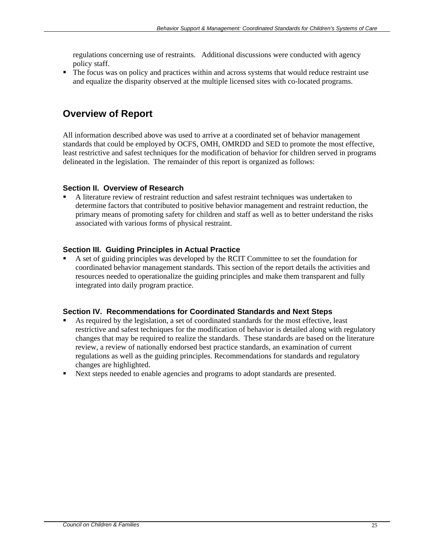regulations concerning use of restraints. Additional discussions were conducted with agency policy staff.

• The focus was on policy and practices within and across systems that would reduce restraint use and equalize the disparity observed at the multiple licensed sites with co-located programs.

### **Overview of Report**

All information described above was used to arrive at a coordinated set of behavior management standards that could be employed by OCFS, OMH, OMRDD and SED to promote the most effective, least restrictive and safest techniques for the modification of behavior for children served in programs delineated in the legislation. The remainder of this report is organized as follows:

#### **Section II. Overview of Research**

 A literature review of restraint reduction and safest restraint techniques was undertaken to determine factors that contributed to positive behavior management and restraint reduction, the primary means of promoting safety for children and staff as well as to better understand the risks associated with various forms of physical restraint.

#### **Section III. Guiding Principles in Actual Practice**

 A set of guiding principles was developed by the RCIT Committee to set the foundation for coordinated behavior management standards. This section of the report details the activities and resources needed to operationalize the guiding principles and make them transparent and fully integrated into daily program practice.

#### **Section IV. Recommendations for Coordinated Standards and Next Steps**

- As required by the legislation, a set of coordinated standards for the most effective, least restrictive and safest techniques for the modification of behavior is detailed along with regulatory changes that may be required to realize the standards. These standards are based on the literature review, a review of nationally endorsed best practice standards, an examination of current regulations as well as the guiding principles. Recommendations for standards and regulatory changes are highlighted.
- Next steps needed to enable agencies and programs to adopt standards are presented.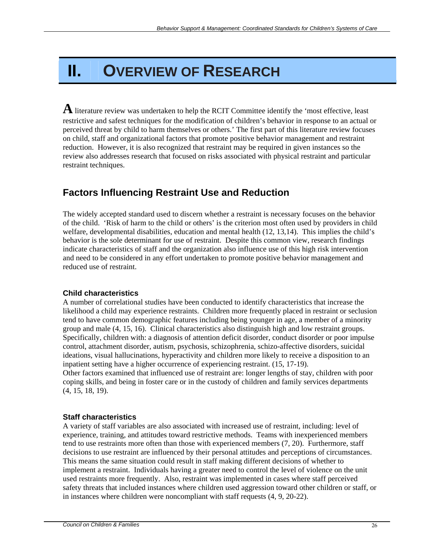# **II. OVERVIEW OF RESEARCH**

**A** literature review was undertaken to help the RCIT Committee identify the 'most effective, least restrictive and safest techniques for the modification of children's behavior in response to an actual or perceived threat by child to harm themselves or others.' The first part of this literature review focuses on child, staff and organizational factors that promote positive behavior management and restraint reduction. However, it is also recognized that restraint may be required in given instances so the review also addresses research that focused on risks associated with physical restraint and particular restraint techniques.

## **Factors Influencing Restraint Use and Reduction**

The widely accepted standard used to discern whether a restraint is necessary focuses on the behavior of the child. 'Risk of harm to the child or others' is the criterion most often used by providers in child welfare, developmental disabilities, education and mental health (12, 13,14). This implies the child's behavior is the sole determinant for use of restraint. Despite this common view, research findings indicate characteristics of staff and the organization also influence use of this high risk intervention and need to be considered in any effort undertaken to promote positive behavior management and reduced use of restraint.

#### **Child characteristics**

A number of correlational studies have been conducted to identify characteristics that increase the likelihood a child may experience restraints. Children more frequently placed in restraint or seclusion tend to have common demographic features including being younger in age, a member of a minority group and male (4, 15, 16). Clinical characteristics also distinguish high and low restraint groups. Specifically, children with: a diagnosis of attention deficit disorder, conduct disorder or poor impulse control, attachment disorder, autism, psychosis, schizophrenia, schizo-affective disorders, suicidal ideations, visual hallucinations, hyperactivity and children more likely to receive a disposition to an inpatient setting have a higher occurrence of experiencing restraint. (15, 17-19).

Other factors examined that influenced use of restraint are: longer lengths of stay, children with poor coping skills, and being in foster care or in the custody of children and family services departments (4, 15, 18, 19).

#### **Staff characteristics**

A variety of staff variables are also associated with increased use of restraint, including: level of experience, training, and attitudes toward restrictive methods. Teams with inexperienced members tend to use restraints more often than those with experienced members (7, 20). Furthermore, staff decisions to use restraint are influenced by their personal attitudes and perceptions of circumstances. This means the same situation could result in staff making different decisions of whether to implement a restraint. Individuals having a greater need to control the level of violence on the unit used restraints more frequently. Also, restraint was implemented in cases where staff perceived safety threats that included instances where children used aggression toward other children or staff, or in instances where children were noncompliant with staff requests (4, 9, 20-22).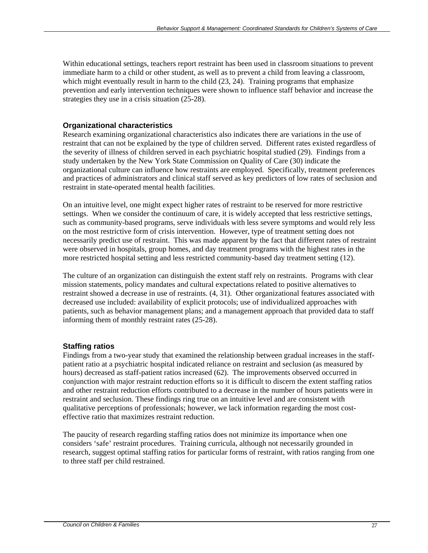Within educational settings, teachers report restraint has been used in classroom situations to prevent immediate harm to a child or other student, as well as to prevent a child from leaving a classroom, which might eventually result in harm to the child  $(23, 24)$ . Training programs that emphasize prevention and early intervention techniques were shown to influence staff behavior and increase the strategies they use in a crisis situation (25-28).

#### **Organizational characteristics**

Research examining organizational characteristics also indicates there are variations in the use of restraint that can not be explained by the type of children served. Different rates existed regardless of the severity of illness of children served in each psychiatric hospital studied (29). Findings from a study undertaken by the New York State Commission on Quality of Care (30) indicate the organizational culture can influence how restraints are employed. Specifically, treatment preferences and practices of administrators and clinical staff served as key predictors of low rates of seclusion and restraint in state-operated mental health facilities.

On an intuitive level, one might expect higher rates of restraint to be reserved for more restrictive settings. When we consider the continuum of care, it is widely accepted that less restrictive settings, such as community-based programs, serve individuals with less severe symptoms and would rely less on the most restrictive form of crisis intervention. However, type of treatment setting does not necessarily predict use of restraint. This was made apparent by the fact that different rates of restraint were observed in hospitals, group homes, and day treatment programs with the highest rates in the more restricted hospital setting and less restricted community-based day treatment setting (12).

The culture of an organization can distinguish the extent staff rely on restraints. Programs with clear mission statements, policy mandates and cultural expectations related to positive alternatives to restraint showed a decrease in use of restraints. (4, 31). Other organizational features associated with decreased use included: availability of explicit protocols; use of individualized approaches with patients, such as behavior management plans; and a management approach that provided data to staff informing them of monthly restraint rates (25-28).

#### **Staffing ratios**

Findings from a two-year study that examined the relationship between gradual increases in the staffpatient ratio at a psychiatric hospital indicated reliance on restraint and seclusion (as measured by hours) decreased as staff-patient ratios increased (62). The improvements observed occurred in conjunction with major restraint reduction efforts so it is difficult to discern the extent staffing ratios and other restraint reduction efforts contributed to a decrease in the number of hours patients were in restraint and seclusion. These findings ring true on an intuitive level and are consistent with qualitative perceptions of professionals; however, we lack information regarding the most costeffective ratio that maximizes restraint reduction.

The paucity of research regarding staffing ratios does not minimize its importance when one considers 'safe' restraint procedures. Training curricula, although not necessarily grounded in research, suggest optimal staffing ratios for particular forms of restraint, with ratios ranging from one to three staff per child restrained.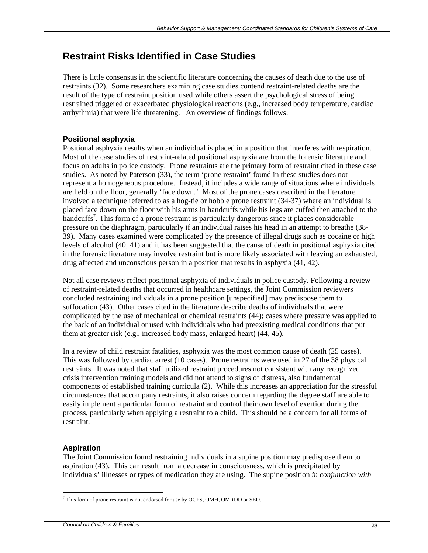### **Restraint Risks Identified in Case Studies**

There is little consensus in the scientific literature concerning the causes of death due to the use of restraints (32). Some researchers examining case studies contend restraint-related deaths are the result of the type of restraint position used while others assert the psychological stress of being restrained triggered or exacerbated physiological reactions (e.g., increased body temperature, cardiac arrhythmia) that were life threatening. An overview of findings follows.

#### **Positional asphyxia**

Positional asphyxia results when an individual is placed in a position that interferes with respiration. Most of the case studies of restraint-related positional asphyxia are from the forensic literature and focus on adults in police custody. Prone restraints are the primary form of restraint cited in these case studies. As noted by Paterson (33), the term 'prone restraint' found in these studies does not represent a homogeneous procedure. Instead, it includes a wide range of situations where individuals are held on the floor, generally 'face down.' Most of the prone cases described in the literature involved a technique referred to as a hog-tie or hobble prone restraint (34-37) where an individual is placed face down on the floor with his arms in handcuffs while his legs are cuffed then attached to the handcuffs<sup>7</sup>. This form of a prone restraint is particularly dangerous since it places considerable pressure on the diaphragm, particularly if an individual raises his head in an attempt to breathe (38- 39). Many cases examined were complicated by the presence of illegal drugs such as cocaine or high levels of alcohol (40, 41) and it has been suggested that the cause of death in positional asphyxia cited in the forensic literature may involve restraint but is more likely associated with leaving an exhausted, drug affected and unconscious person in a position that results in asphyxia (41, 42).

Not all case reviews reflect positional asphyxia of individuals in police custody. Following a review of restraint-related deaths that occurred in healthcare settings, the Joint Commission reviewers concluded restraining individuals in a prone position [unspecified] may predispose them to suffocation (43). Other cases cited in the literature describe deaths of individuals that were complicated by the use of mechanical or chemical restraints (44); cases where pressure was applied to the back of an individual or used with individuals who had preexisting medical conditions that put them at greater risk (e.g., increased body mass, enlarged heart) (44, 45).

In a review of child restraint fatalities, asphyxia was the most common cause of death (25 cases). This was followed by cardiac arrest (10 cases). Prone restraints were used in 27 of the 38 physical restraints. It was noted that staff utilized restraint procedures not consistent with any recognized crisis intervention training models and did not attend to signs of distress, also fundamental components of established training curricula (2). While this increases an appreciation for the stressful circumstances that accompany restraints, it also raises concern regarding the degree staff are able to easily implement a particular form of restraint and control their own level of exertion during the process, particularly when applying a restraint to a child. This should be a concern for all forms of restraint.

#### **Aspiration**

The Joint Commission found restraining individuals in a supine position may predispose them to aspiration (43). This can result from a decrease in consciousness, which is precipitated by individuals' illnesses or types of medication they are using. The supine position *in conjunction with* 

 $\overline{a}$ <sup>7</sup> This form of prone restraint is not endorsed for use by OCFS, OMH, OMRDD or SED.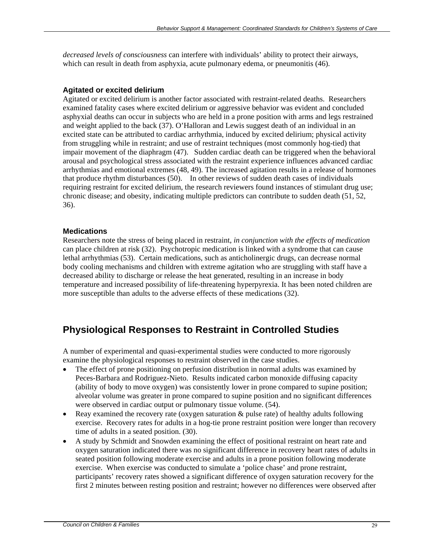*decreased levels of consciousness* can interfere with individuals' ability to protect their airways, which can result in death from asphyxia, acute pulmonary edema, or pneumonitis (46).

#### **Agitated or excited delirium**

Agitated or excited delirium is another factor associated with restraint-related deaths. Researchers examined fatality cases where excited delirium or aggressive behavior was evident and concluded asphyxial deaths can occur in subjects who are held in a prone position with arms and legs restrained and weight applied to the back (37). O'Halloran and Lewis suggest death of an individual in an excited state can be attributed to cardiac arrhythmia, induced by excited delirium; physical activity from struggling while in restraint; and use of restraint techniques (most commonly hog-tied) that impair movement of the diaphragm (47). Sudden cardiac death can be triggered when the behavioral arousal and psychological stress associated with the restraint experience influences advanced cardiac arrhythmias and emotional extremes (48, 49). The increased agitation results in a release of hormones that produce rhythm disturbances (50). In other reviews of sudden death cases of individuals requiring restraint for excited delirium, the research reviewers found instances of stimulant drug use; chronic disease; and obesity, indicating multiple predictors can contribute to sudden death (51, 52, 36).

#### **Medications**

Researchers note the stress of being placed in restraint, *in conjunction with the effects of medication* can place children at risk (32). Psychotropic medication is linked with a syndrome that can cause lethal arrhythmias (53). Certain medications, such as anticholinergic drugs, can decrease normal body cooling mechanisms and children with extreme agitation who are struggling with staff have a decreased ability to discharge or release the heat generated, resulting in an increase in body temperature and increased possibility of life-threatening hyperpyrexia. It has been noted children are more susceptible than adults to the adverse effects of these medications (32).

## **Physiological Responses to Restraint in Controlled Studies**

A number of experimental and quasi-experimental studies were conducted to more rigorously examine the physiological responses to restraint observed in the case studies.

- The effect of prone positioning on perfusion distribution in normal adults was examined by Peces-Barbara and Rodriguez-Nieto. Results indicated carbon monoxide diffusing capacity (ability of body to move oxygen) was consistently lower in prone compared to supine position; alveolar volume was greater in prone compared to supine position and no significant differences were observed in cardiac output or pulmonary tissue volume. (54).
- Reay examined the recovery rate (oxygen saturation  $\&$  pulse rate) of healthy adults following exercise. Recovery rates for adults in a hog-tie prone restraint position were longer than recovery time of adults in a seated position. (30).
- A study by Schmidt and Snowden examining the effect of positional restraint on heart rate and oxygen saturation indicated there was no significant difference in recovery heart rates of adults in seated position following moderate exercise and adults in a prone position following moderate exercise. When exercise was conducted to simulate a 'police chase' and prone restraint, participants' recovery rates showed a significant difference of oxygen saturation recovery for the first 2 minutes between resting position and restraint; however no differences were observed after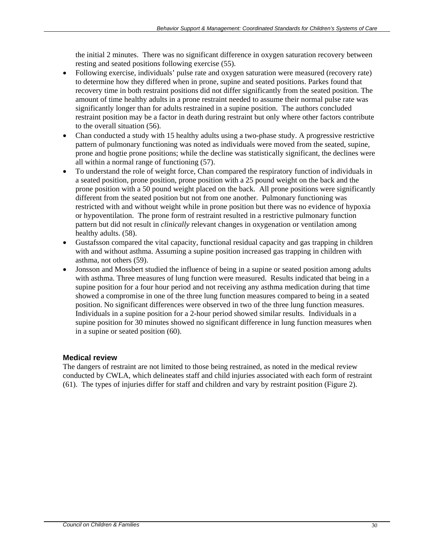the initial 2 minutes. There was no significant difference in oxygen saturation recovery between resting and seated positions following exercise (55).

- Following exercise, individuals' pulse rate and oxygen saturation were measured (recovery rate) to determine how they differed when in prone, supine and seated positions. Parkes found that recovery time in both restraint positions did not differ significantly from the seated position. The amount of time healthy adults in a prone restraint needed to assume their normal pulse rate was significantly longer than for adults restrained in a supine position. The authors concluded restraint position may be a factor in death during restraint but only where other factors contribute to the overall situation (56).
- Chan conducted a study with 15 healthy adults using a two-phase study. A progressive restrictive pattern of pulmonary functioning was noted as individuals were moved from the seated, supine, prone and hogtie prone positions; while the decline was statistically significant, the declines were all within a normal range of functioning (57).
- To understand the role of weight force, Chan compared the respiratory function of individuals in a seated position, prone position, prone position with a 25 pound weight on the back and the prone position with a 50 pound weight placed on the back. All prone positions were significantly different from the seated position but not from one another. Pulmonary functioning was restricted with and without weight while in prone position but there was no evidence of hypoxia or hypoventilation. The prone form of restraint resulted in a restrictive pulmonary function pattern but did not result in *clinically* relevant changes in oxygenation or ventilation among healthy adults. (58).
- Gustafsson compared the vital capacity, functional residual capacity and gas trapping in children with and without asthma. Assuming a supine position increased gas trapping in children with asthma, not others (59).
- Jonsson and Mossbert studied the influence of being in a supine or seated position among adults with asthma. Three measures of lung function were measured. Results indicated that being in a supine position for a four hour period and not receiving any asthma medication during that time showed a compromise in one of the three lung function measures compared to being in a seated position. No significant differences were observed in two of the three lung function measures. Individuals in a supine position for a 2-hour period showed similar results. Individuals in a supine position for 30 minutes showed no significant difference in lung function measures when in a supine or seated position (60).

#### **Medical review**

The dangers of restraint are not limited to those being restrained, as noted in the medical review conducted by CWLA, which delineates staff and child injuries associated with each form of restraint (61). The types of injuries differ for staff and children and vary by restraint position (Figure 2).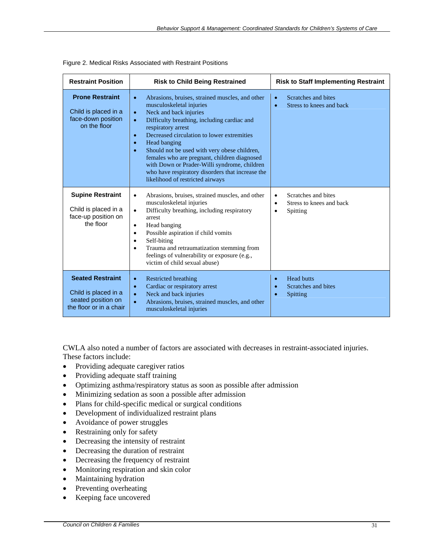| <b>Restraint Position</b>                                                                        | <b>Risk to Child Being Restrained</b>                                                                                                                                                                                                                                                                                                                                                                                                                                                                                                                          | <b>Risk to Staff Implementing Restraint</b>                                                        |  |  |
|--------------------------------------------------------------------------------------------------|----------------------------------------------------------------------------------------------------------------------------------------------------------------------------------------------------------------------------------------------------------------------------------------------------------------------------------------------------------------------------------------------------------------------------------------------------------------------------------------------------------------------------------------------------------------|----------------------------------------------------------------------------------------------------|--|--|
| <b>Prone Restraint</b><br>Child is placed in a<br>face-down position<br>on the floor             | Abrasions, bruises, strained muscles, and other<br>$\bullet$<br>musculoskeletal injuries<br>Neck and back injuries<br>$\bullet$<br>Difficulty breathing, including cardiac and<br>$\bullet$<br>respiratory arrest<br>Decreased circulation to lower extremities<br>$\bullet$<br>Head banging<br>$\bullet$<br>Should not be used with very obese children,<br>$\bullet$<br>females who are pregnant, children diagnosed<br>with Down or Prader-Willi syndrome, children<br>who have respiratory disorders that increase the<br>likelihood of restricted airways | Scratches and bites<br>Stress to knees and back<br>$\bullet$                                       |  |  |
| <b>Supine Restraint</b><br>Child is placed in a<br>face-up position on<br>the floor              | Abrasions, bruises, strained muscles, and other<br>$\bullet$<br>musculoskeletal injuries<br>Difficulty breathing, including respiratory<br>$\bullet$<br>arrest<br>Head banging<br>$\bullet$<br>Possible aspiration if child vomits<br>$\bullet$<br>Self-biting<br>$\bullet$<br>Trauma and retraumatization stemming from<br>$\bullet$<br>feelings of vulnerability or exposure (e.g.,<br>victim of child sexual abuse)                                                                                                                                         | Scratches and bites<br>$\bullet$<br>Stress to knees and back<br>$\bullet$<br>Spitting<br>$\bullet$ |  |  |
| <b>Seated Restraint</b><br>Child is placed in a<br>seated position on<br>the floor or in a chair | <b>Restricted breathing</b><br>$\bullet$<br>Cardiac or respiratory arrest<br>$\bullet$<br>Neck and back injuries<br>$\bullet$<br>Abrasions, bruises, strained muscles, and other<br>$\bullet$<br>musculoskeletal injuries                                                                                                                                                                                                                                                                                                                                      | <b>Head butts</b><br>$\bullet$<br>Scratches and bites<br>Spitting<br>$\bullet$                     |  |  |

|  | Figure 2. Medical Risks Associated with Restraint Positions |  |  |
|--|-------------------------------------------------------------|--|--|
|  |                                                             |  |  |

CWLA also noted a number of factors are associated with decreases in restraint-associated injuries. These factors include:

- Providing adequate caregiver ratios
- Providing adequate staff training
- Optimizing asthma/respiratory status as soon as possible after admission
- Minimizing sedation as soon a possible after admission
- Plans for child-specific medical or surgical conditions
- Development of individualized restraint plans
- Avoidance of power struggles
- Restraining only for safety
- Decreasing the intensity of restraint
- Decreasing the duration of restraint
- Decreasing the frequency of restraint
- Monitoring respiration and skin color
- Maintaining hydration
- Preventing overheating
- Keeping face uncovered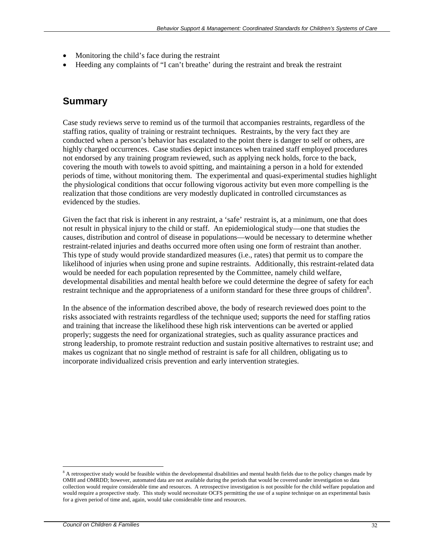- Monitoring the child's face during the restraint
- Heeding any complaints of "I can't breathe' during the restraint and break the restraint

### **Summary**

Case study reviews serve to remind us of the turmoil that accompanies restraints, regardless of the staffing ratios, quality of training or restraint techniques. Restraints, by the very fact they are conducted when a person's behavior has escalated to the point there is danger to self or others, are highly charged occurrences. Case studies depict instances when trained staff employed procedures not endorsed by any training program reviewed, such as applying neck holds, force to the back, covering the mouth with towels to avoid spitting, and maintaining a person in a hold for extended periods of time, without monitoring them. The experimental and quasi-experimental studies highlight the physiological conditions that occur following vigorous activity but even more compelling is the realization that those conditions are very modestly duplicated in controlled circumstances as evidenced by the studies.

Given the fact that risk is inherent in any restraint, a 'safe' restraint is, at a minimum, one that does not result in physical injury to the child or staff. An epidemiological study—one that studies the causes, distribution and control of disease in populations—would be necessary to determine whether restraint-related injuries and deaths occurred more often using one form of restraint than another. This type of study would provide standardized measures (i.e., rates) that permit us to compare the likelihood of injuries when using prone and supine restraints. Additionally, this restraint-related data would be needed for each population represented by the Committee, namely child welfare, developmental disabilities and mental health before we could determine the degree of safety for each restraint technique and the appropriateness of a uniform standard for these three groups of children $8$ .

In the absence of the information described above, the body of research reviewed does point to the risks associated with restraints regardless of the technique used; supports the need for staffing ratios and training that increase the likelihood these high risk interventions can be averted or applied properly; suggests the need for organizational strategies, such as quality assurance practices and strong leadership, to promote restraint reduction and sustain positive alternatives to restraint use; and makes us cognizant that no single method of restraint is safe for all children, obligating us to incorporate individualized crisis prevention and early intervention strategies.

 $\overline{a}$ 

<sup>&</sup>lt;sup>8</sup> A retrospective study would be feasible within the developmental disabilities and mental health fields due to the policy changes made by OMH and OMRDD; however, automated data are not available during the periods that would be covered under investigation so data collection would require considerable time and resources. A retrospective investigation is not possible for the child welfare population and would require a prospective study. This study would necessitate OCFS permitting the use of a supine technique on an experimental basis for a given period of time and, again, would take considerable time and resources.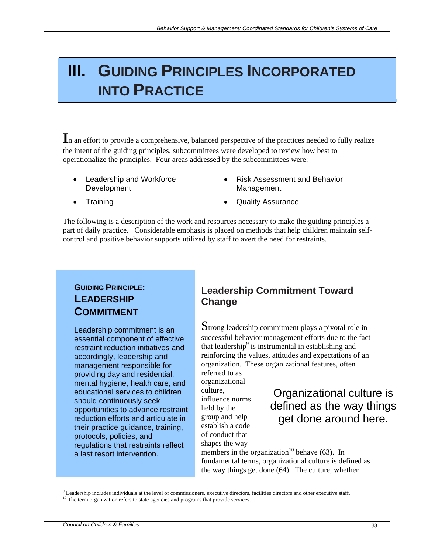## **III. GUIDING PRINCIPLES INCORPORATED INTO PRACTICE**

In an effort to provide a comprehensive, balanced perspective of the practices needed to fully realize the intent of the guiding principles, subcommittees were developed to review how best to operationalize the principles. Four areas addressed by the subcommittees were:

- Leadership and Workforce Development
- Risk Assessment and Behavior Management

- 
- **Training Quality Assurance**

The following is a description of the work and resources necessary to make the guiding principles a part of daily practice. Considerable emphasis is placed on methods that help children maintain selfcontrol and positive behavior supports utilized by staff to avert the need for restraints.

### **GUIDING PRINCIPLE: LEADERSHIP COMMITMENT**

Leadership commitment is an essential component of effective restraint reduction initiatives and accordingly, leadership and management responsible for providing day and residential, mental hygiene, health care, and educational services to children should continuously seek opportunities to advance restraint reduction efforts and articulate in their practice guidance, training, protocols, policies, and regulations that restraints reflect a last resort intervention.

## **Leadership Commitment Toward Change**

Strong leadership commitment plays a pivotal role in successful behavior management efforts due to the fact that leadership<sup>9</sup> is instrumental in establishing and reinforcing the values, attitudes and expectations of an organization. These organizational features, often

referred to as organizational culture, influence norms held by the group and help establish a code of conduct that shapes the way

## Organizational culture is defined as the way things get done around here.

members in the organization<sup>10</sup> behave (63). In fundamental terms, organizational culture is defined as the way things get done (64). The culture, whether

 $\overline{a}$ 

 $9$  Leadership includes individuals at the level of commissioners, executive directors, facilities directors and other executive staff.  $\frac{10 \text{ T}}{10 \text{ T}}$  includes the level of commission refers to state agencies and programs that provide services.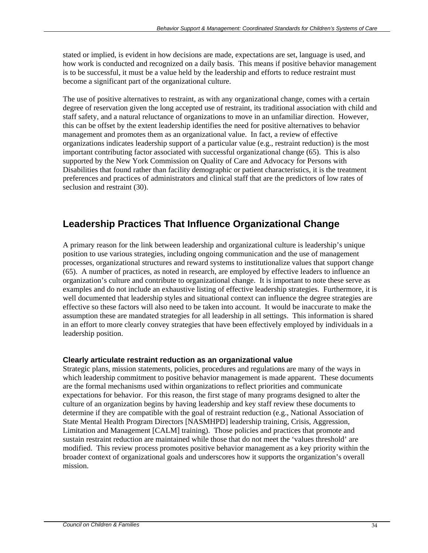stated or implied, is evident in how decisions are made, expectations are set, language is used, and how work is conducted and recognized on a daily basis. This means if positive behavior management is to be successful, it must be a value held by the leadership and efforts to reduce restraint must become a significant part of the organizational culture.

The use of positive alternatives to restraint, as with any organizational change, comes with a certain degree of reservation given the long accepted use of restraint, its traditional association with child and staff safety, and a natural reluctance of organizations to move in an unfamiliar direction. However, this can be offset by the extent leadership identifies the need for positive alternatives to behavior management and promotes them as an organizational value. In fact, a review of effective organizations indicates leadership support of a particular value (e.g., restraint reduction) is the most important contributing factor associated with successful organizational change (65). This is also supported by the New York Commission on Quality of Care and Advocacy for Persons with Disabilities that found rather than facility demographic or patient characteristics, it is the treatment preferences and practices of administrators and clinical staff that are the predictors of low rates of seclusion and restraint (30).

## **Leadership Practices That Influence Organizational Change**

A primary reason for the link between leadership and organizational culture is leadership's unique position to use various strategies, including ongoing communication and the use of management processes, organizational structures and reward systems to institutionalize values that support change (65). A number of practices, as noted in research, are employed by effective leaders to influence an organization's culture and contribute to organizational change. It is important to note these serve as examples and do not include an exhaustive listing of effective leadership strategies. Furthermore, it is well documented that leadership styles and situational context can influence the degree strategies are effective so these factors will also need to be taken into account. It would be inaccurate to make the assumption these are mandated strategies for all leadership in all settings. This information is shared in an effort to more clearly convey strategies that have been effectively employed by individuals in a leadership position.

#### **Clearly articulate restraint reduction as an organizational value**

Strategic plans, mission statements, policies, procedures and regulations are many of the ways in which leadership commitment to positive behavior management is made apparent. These documents are the formal mechanisms used within organizations to reflect priorities and communicate expectations for behavior. For this reason, the first stage of many programs designed to alter the culture of an organization begins by having leadership and key staff review these documents to determine if they are compatible with the goal of restraint reduction (e.g., National Association of State Mental Health Program Directors [NASMHPD] leadership training, Crisis, Aggression, Limitation and Management [CALM] training). Those policies and practices that promote and sustain restraint reduction are maintained while those that do not meet the 'values threshold' are modified. This review process promotes positive behavior management as a key priority within the broader context of organizational goals and underscores how it supports the organization's overall mission.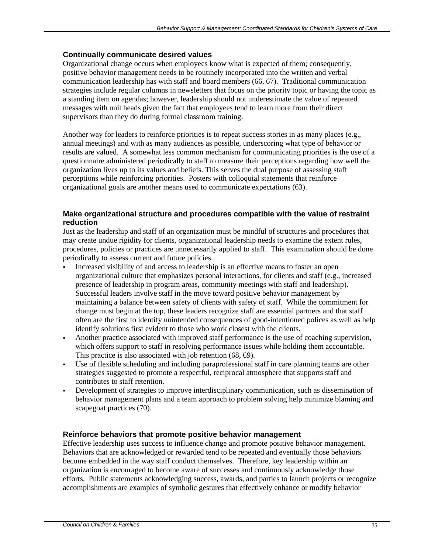#### **Continually communicate desired values**

Organizational change occurs when employees know what is expected of them; consequently, positive behavior management needs to be routinely incorporated into the written and verbal communication leadership has with staff and board members (66, 67). Traditional communication strategies include regular columns in newsletters that focus on the priority topic or having the topic as a standing item on agendas; however, leadership should not underestimate the value of repeated messages with unit heads given the fact that employees tend to learn more from their direct supervisors than they do during formal classroom training.

Another way for leaders to reinforce priorities is to repeat success stories in as many places (e.g., annual meetings) and with as many audiences as possible, underscoring what type of behavior or results are valued. A somewhat less common mechanism for communicating priorities is the use of a questionnaire administered periodically to staff to measure their perceptions regarding how well the organization lives up to its values and beliefs. This serves the dual purpose of assessing staff perceptions while reinforcing priorities. Posters with colloquial statements that reinforce organizational goals are another means used to communicate expectations (63).

#### **Make organizational structure and procedures compatible with the value of restraint reduction**

Just as the leadership and staff of an organization must be mindful of structures and procedures that may create undue rigidity for clients, organizational leadership needs to examine the extent rules, procedures, policies or practices are unnecessarily applied to staff. This examination should be done periodically to assess current and future policies.

- Increased visibility of and access to leadership is an effective means to foster an open organizational culture that emphasizes personal interactions, for clients and staff (e.g., increased presence of leadership in program areas, community meetings with staff and leadership). Successful leaders involve staff in the move toward positive behavior management by maintaining a balance between safety of clients with safety of staff. While the commitment for change must begin at the top, these leaders recognize staff are essential partners and that staff often are the first to identify unintended consequences of good-intentioned polices as well as help identify solutions first evident to those who work closest with the clients.
- Another practice associated with improved staff performance is the use of coaching supervision, which offers support to staff in resolving performance issues while holding them accountable. This practice is also associated with job retention (68, 69).
- Use of flexible scheduling and including paraprofessional staff in care planning teams are other strategies suggested to promote a respectful, reciprocal atmosphere that supports staff and contributes to staff retention.
- Development of strategies to improve interdisciplinary communication, such as dissemination of behavior management plans and a team approach to problem solving help minimize blaming and scapegoat practices (70).

#### **Reinforce behaviors that promote positive behavior management**

Effective leadership uses success to influence change and promote positive behavior management. Behaviors that are acknowledged or rewarded tend to be repeated and eventually those behaviors become embedded in the way staff conduct themselves. Therefore, key leadership within an organization is encouraged to become aware of successes and continuously acknowledge those efforts. Public statements acknowledging success, awards, and parties to launch projects or recognize accomplishments are examples of symbolic gestures that effectively enhance or modify behavior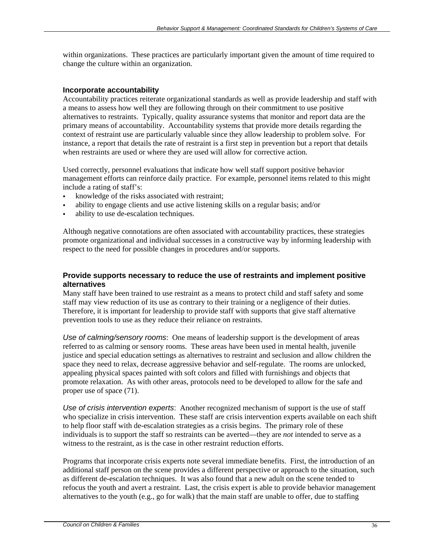within organizations. These practices are particularly important given the amount of time required to change the culture within an organization.

#### **Incorporate accountability**

Accountability practices reiterate organizational standards as well as provide leadership and staff with a means to assess how well they are following through on their commitment to use positive alternatives to restraints. Typically, quality assurance systems that monitor and report data are the primary means of accountability. Accountability systems that provide more details regarding the context of restraint use are particularly valuable since they allow leadership to problem solve. For instance, a report that details the rate of restraint is a first step in prevention but a report that details when restraints are used or where they are used will allow for corrective action.

Used correctly, personnel evaluations that indicate how well staff support positive behavior management efforts can reinforce daily practice. For example, personnel items related to this might include a rating of staff's:

- knowledge of the risks associated with restraint;
- ability to engage clients and use active listening skills on a regular basis; and/or
- ability to use de-escalation techniques.

Although negative connotations are often associated with accountability practices, these strategies promote organizational and individual successes in a constructive way by informing leadership with respect to the need for possible changes in procedures and/or supports.

#### **Provide supports necessary to reduce the use of restraints and implement positive alternatives**

Many staff have been trained to use restraint as a means to protect child and staff safety and some staff may view reduction of its use as contrary to their training or a negligence of their duties. Therefore, it is important for leadership to provide staff with supports that give staff alternative prevention tools to use as they reduce their reliance on restraints.

*Use of calming/sensory rooms*: One means of leadership support is the development of areas referred to as calming or sensory rooms. These areas have been used in mental health, juvenile justice and special education settings as alternatives to restraint and seclusion and allow children the space they need to relax, decrease aggressive behavior and self-regulate. The rooms are unlocked, appealing physical spaces painted with soft colors and filled with furnishings and objects that promote relaxation. As with other areas, protocols need to be developed to allow for the safe and proper use of space (71).

*Use of crisis intervention experts*: Another recognized mechanism of support is the use of staff who specialize in crisis intervention. These staff are crisis intervention experts available on each shift to help floor staff with de-escalation strategies as a crisis begins. The primary role of these individuals is to support the staff so restraints can be averted—they are *not* intended to serve as a witness to the restraint, as is the case in other restraint reduction efforts.

Programs that incorporate crisis experts note several immediate benefits. First, the introduction of an additional staff person on the scene provides a different perspective or approach to the situation, such as different de-escalation techniques. It was also found that a new adult on the scene tended to refocus the youth and avert a restraint. Last, the crisis expert is able to provide behavior management alternatives to the youth (e.g., go for walk) that the main staff are unable to offer, due to staffing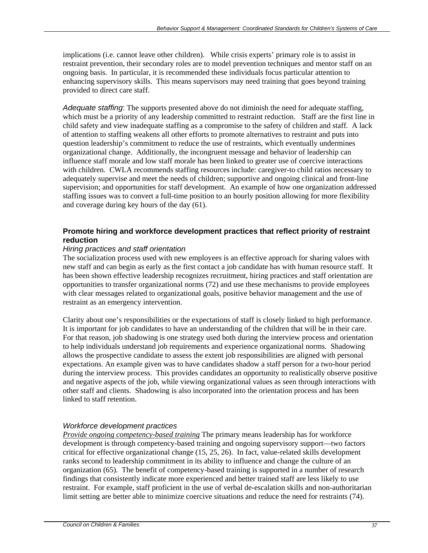implications (i.e. cannot leave other children). While crisis experts' primary role is to assist in restraint prevention, their secondary roles are to model prevention techniques and mentor staff on an ongoing basis. In particular, it is recommended these individuals focus particular attention to enhancing supervisory skills. This means supervisors may need training that goes beyond training provided to direct care staff.

*Adequate staffing*: The supports presented above do not diminish the need for adequate staffing, which must be a priority of any leadership committed to restraint reduction. Staff are the first line in child safety and view inadequate staffing as a compromise to the safety of children and staff. A lack of attention to staffing weakens all other efforts to promote alternatives to restraint and puts into question leadership's commitment to reduce the use of restraints, which eventually undermines organizational change. Additionally, the incongruent message and behavior of leadership can influence staff morale and low staff morale has been linked to greater use of coercive interactions with children. CWLA recommends staffing resources include: caregiver-to child ratios necessary to adequately supervise and meet the needs of children; supportive and ongoing clinical and front-line supervision; and opportunities for staff development. An example of how one organization addressed staffing issues was to convert a full-time position to an hourly position allowing for more flexibility and coverage during key hours of the day (61).

#### **Promote hiring and workforce development practices that reflect priority of restraint reduction**

#### *Hiring practices and staff orientation*

The socialization process used with new employees is an effective approach for sharing values with new staff and can begin as early as the first contact a job candidate has with human resource staff. It has been shown effective leadership recognizes recruitment, hiring practices and staff orientation are opportunities to transfer organizational norms (72) and use these mechanisms to provide employees with clear messages related to organizational goals, positive behavior management and the use of restraint as an emergency intervention.

Clarity about one's responsibilities or the expectations of staff is closely linked to high performance. It is important for job candidates to have an understanding of the children that will be in their care. For that reason, job shadowing is one strategy used both during the interview process and orientation to help individuals understand job requirements and experience organizational norms. Shadowing allows the prospective candidate to assess the extent job responsibilities are aligned with personal expectations. An example given was to have candidates shadow a staff person for a two-hour period during the interview process. This provides candidates an opportunity to realistically observe positive and negative aspects of the job, while viewing organizational values as seen through interactions with other staff and clients. Shadowing is also incorporated into the orientation process and has been linked to staff retention.

#### *Workforce development practices*

*Provide ongoing competency-based training* The primary means leadership has for workforce development is through competency-based training and ongoing supervisory support—two factors critical for effective organizational change (15, 25, 26). In fact, value-related skills development ranks second to leadership commitment in its ability to influence and change the culture of an organization (65). The benefit of competency-based training is supported in a number of research findings that consistently indicate more experienced and better trained staff are less likely to use restraint. For example, staff proficient in the use of verbal de-escalation skills and non-authoritarian limit setting are better able to minimize coercive situations and reduce the need for restraints (74).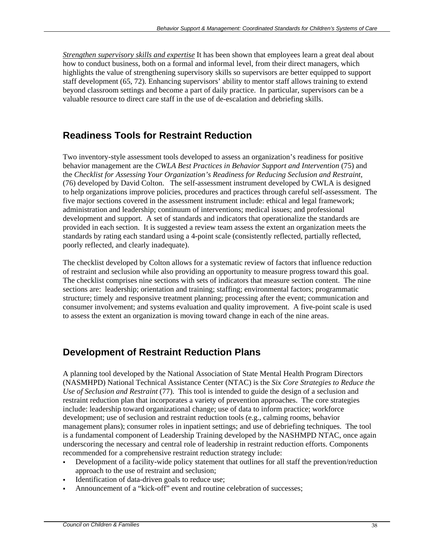*Strengthen supervisory skills and expertise* It has been shown that employees learn a great deal about how to conduct business, both on a formal and informal level, from their direct managers, which highlights the value of strengthening supervisory skills so supervisors are better equipped to support staff development (65, 72). Enhancing supervisors' ability to mentor staff allows training to extend beyond classroom settings and become a part of daily practice. In particular, supervisors can be a valuable resource to direct care staff in the use of de-escalation and debriefing skills.

## **Readiness Tools for Restraint Reduction**

Two inventory-style assessment tools developed to assess an organization's readiness for positive behavior management are the *CWLA Best Practices in Behavior Support and Intervention* (75) and the *Checklist for Assessing Your Organization's Readiness for Reducing Seclusion and Restraint*, (76) developed by David Colton. The self-assessment instrument developed by CWLA is designed to help organizations improve policies, procedures and practices through careful self-assessment. The five major sections covered in the assessment instrument include: ethical and legal framework; administration and leadership; continuum of interventions; medical issues; and professional development and support. A set of standards and indicators that operationalize the standards are provided in each section. It is suggested a review team assess the extent an organization meets the standards by rating each standard using a 4-point scale (consistently reflected, partially reflected, poorly reflected, and clearly inadequate).

The checklist developed by Colton allows for a systematic review of factors that influence reduction of restraint and seclusion while also providing an opportunity to measure progress toward this goal. The checklist comprises nine sections with sets of indicators that measure section content. The nine sections are: leadership; orientation and training; staffing; environmental factors; programmatic structure; timely and responsive treatment planning; processing after the event; communication and consumer involvement; and systems evaluation and quality improvement. A five-point scale is used to assess the extent an organization is moving toward change in each of the nine areas.

## **Development of Restraint Reduction Plans**

A planning tool developed by the National Association of State Mental Health Program Directors (NASMHPD) National Technical Assistance Center (NTAC) is the *Six Core Strategies to Reduce the Use of Seclusion and Restraint* (77). This tool is intended to guide the design of a seclusion and restraint reduction plan that incorporates a variety of prevention approaches. The core strategies include: leadership toward organizational change; use of data to inform practice; workforce development; use of seclusion and restraint reduction tools (e.g., calming rooms, behavior management plans); consumer roles in inpatient settings; and use of debriefing techniques. The tool is a fundamental component of Leadership Training developed by the NASHMPD NTAC, once again underscoring the necessary and central role of leadership in restraint reduction efforts. Components recommended for a comprehensive restraint reduction strategy include:

- Development of a facility-wide policy statement that outlines for all staff the prevention/reduction approach to the use of restraint and seclusion;
- Identification of data-driven goals to reduce use;
- Announcement of a "kick-off" event and routine celebration of successes;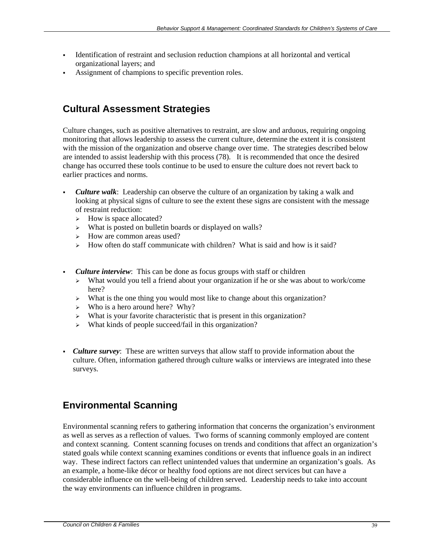- Identification of restraint and seclusion reduction champions at all horizontal and vertical organizational layers; and
- Assignment of champions to specific prevention roles.

## **Cultural Assessment Strategies**

Culture changes, such as positive alternatives to restraint, are slow and arduous, requiring ongoing monitoring that allows leadership to assess the current culture, determine the extent it is consistent with the mission of the organization and observe change over time. The strategies described below are intended to assist leadership with this process (78). It is recommended that once the desired change has occurred these tools continue to be used to ensure the culture does not revert back to earlier practices and norms.

- *Culture walk*: Leadership can observe the culture of an organization by taking a walk and looking at physical signs of culture to see the extent these signs are consistent with the message of restraint reduction:
	- $\triangleright$  How is space allocated?
	- $\triangleright$  What is posted on bulletin boards or displayed on walls?
	- $\triangleright$  How are common areas used?
	- $\geq$  How often do staff communicate with children? What is said and how is it said?
- *Culture interview*: This can be done as focus groups with staff or children
	- ¾ What would you tell a friend about your organization if he or she was about to work/come here?
	- ¾ What is the one thing you would most like to change about this organization?
	- $\triangleright$  Who is a hero around here? Why?
	- ¾ What is your favorite characteristic that is present in this organization?
	- $\triangleright$  What kinds of people succeed/fail in this organization?
- *Culture survey*: These are written surveys that allow staff to provide information about the culture. Often, information gathered through culture walks or interviews are integrated into these surveys.

## **Environmental Scanning**

Environmental scanning refers to gathering information that concerns the organization's environment as well as serves as a reflection of values. Two forms of scanning commonly employed are content and context scanning. Content scanning focuses on trends and conditions that affect an organization's stated goals while context scanning examines conditions or events that influence goals in an indirect way. These indirect factors can reflect unintended values that undermine an organization's goals. As an example, a home-like décor or healthy food options are not direct services but can have a considerable influence on the well-being of children served. Leadership needs to take into account the way environments can influence children in programs.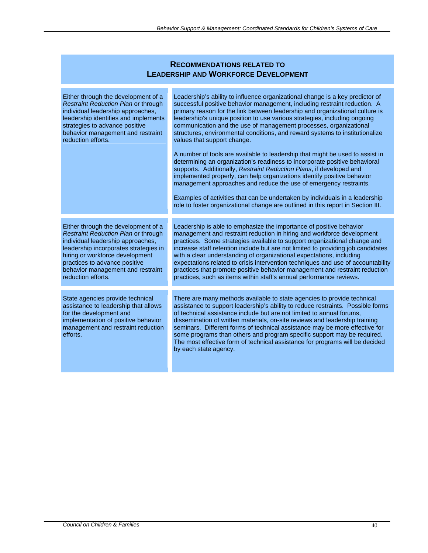| <b>RECOMMENDATIONS RELATED TO</b><br><b>LEADERSHIP AND WORKFORCE DEVELOPMENT</b>                                                                                                                                                                                                        |                                                                                                                                                                                                                                                                                                                                                                                                                                                                                                                                                                                                                                                                                                                                                                                                                                                                                                                                                                                                                                                                       |
|-----------------------------------------------------------------------------------------------------------------------------------------------------------------------------------------------------------------------------------------------------------------------------------------|-----------------------------------------------------------------------------------------------------------------------------------------------------------------------------------------------------------------------------------------------------------------------------------------------------------------------------------------------------------------------------------------------------------------------------------------------------------------------------------------------------------------------------------------------------------------------------------------------------------------------------------------------------------------------------------------------------------------------------------------------------------------------------------------------------------------------------------------------------------------------------------------------------------------------------------------------------------------------------------------------------------------------------------------------------------------------|
| Either through the development of a<br>Restraint Reduction Plan or through<br>individual leadership approaches,<br>leadership identifies and implements<br>strategies to advance positive<br>behavior management and restraint<br>reduction efforts.                                    | Leadership's ability to influence organizational change is a key predictor of<br>successful positive behavior management, including restraint reduction. A<br>primary reason for the link between leadership and organizational culture is<br>leadership's unique position to use various strategies, including ongoing<br>communication and the use of management processes, organizational<br>structures, environmental conditions, and reward systems to institutionalize<br>values that support change.<br>A number of tools are available to leadership that might be used to assist in<br>determining an organization's readiness to incorporate positive behavioral<br>supports. Additionally, Restraint Reduction Plans, if developed and<br>implemented properly, can help organizations identify positive behavior<br>management approaches and reduce the use of emergency restraints.<br>Examples of activities that can be undertaken by individuals in a leadership<br>role to foster organizational change are outlined in this report in Section III. |
| Either through the development of a<br>Restraint Reduction Plan or through<br>individual leadership approaches,<br>leadership incorporates strategies in<br>hiring or workforce development<br>practices to advance positive<br>behavior management and restraint<br>reduction efforts. | Leadership is able to emphasize the importance of positive behavior<br>management and restraint reduction in hiring and workforce development<br>practices. Some strategies available to support organizational change and<br>increase staff retention include but are not limited to providing job candidates<br>with a clear understanding of organizational expectations, including<br>expectations related to crisis intervention techniques and use of accountability<br>practices that promote positive behavior management and restraint reduction<br>practices, such as items within staff's annual performance reviews.                                                                                                                                                                                                                                                                                                                                                                                                                                      |
| State agencies provide technical<br>assistance to leadership that allows<br>for the development and<br>implementation of positive behavior<br>management and restraint reduction<br>efforts.                                                                                            | There are many methods available to state agencies to provide technical<br>assistance to support leadership's ability to reduce restraints. Possible forms<br>of technical assistance include but are not limited to annual forums,<br>dissemination of written materials, on-site reviews and leadership training<br>seminars. Different forms of technical assistance may be more effective for<br>some programs than others and program specific support may be required.<br>The most effective form of technical assistance for programs will be decided<br>by each state agency.                                                                                                                                                                                                                                                                                                                                                                                                                                                                                 |

#### *Council on Children & Families* 40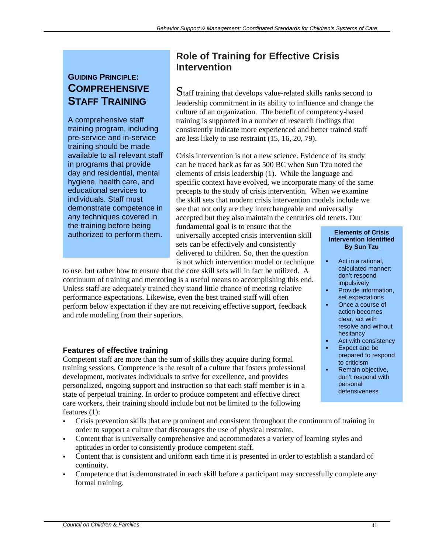## **GUIDING PRINCIPLE: COMPREHENSIVE STAFF TRAINING**

A comprehensive staff training program, including pre-service and in-service training should be made available to all relevant staff in programs that provide day and residential, mental hygiene, health care, and educational services to individuals. Staff must demonstrate competence in any techniques covered in the training before being authorized to perform them.

## **Role of Training for Effective Crisis Intervention**

Staff training that develops value-related skills ranks second to leadership commitment in its ability to influence and change the culture of an organization. The benefit of competency-based training is supported in a number of research findings that consistently indicate more experienced and better trained staff are less likely to use restraint (15, 16, 20, 79).

Crisis intervention is not a new science. Evidence of its study can be traced back as far as 500 BC when Sun Tzu noted the elements of crisis leadership (1). While the language and specific context have evolved, we incorporate many of the same precepts to the study of crisis intervention. When we examine the skill sets that modern crisis intervention models include we see that not only are they interchangeable and universally accepted but they also maintain the centuries old tenets. Our

fundamental goal is to ensure that the universally accepted crisis intervention skill sets can be effectively and consistently delivered to children. So, then the question is not which intervention model or technique

to use, but rather how to ensure that the core skill sets will in fact be utilized. A continuum of training and mentoring is a useful means to accomplishing this end. Unless staff are adequately trained they stand little chance of meeting relative performance expectations. Likewise, even the best trained staff will often perform below expectation if they are not receiving effective support, feedback and role modeling from their superiors.

### **Features of effective training**

Competent staff are more than the sum of skills they acquire during formal training sessions. Competence is the result of a culture that fosters professional development, motivates individuals to strive for excellence, and provides personalized, ongoing support and instruction so that each staff member is in a state of perpetual training. In order to produce competent and effective direct care workers, their training should include but not be limited to the following features (1):

- Crisis prevention skills that are prominent and consistent throughout the continuum of training in order to support a culture that discourages the use of physical restraint.
- Content that is universally comprehensive and accommodates a variety of learning styles and aptitudes in order to consistently produce competent staff.
- Content that is consistent and uniform each time it is presented in order to establish a standard of continuity.
- Competence that is demonstrated in each skill before a participant may successfully complete any formal training.

#### **Elements of Crisis Intervention Identified By Sun Tzu**

- Act in a rational, calculated manner; don't respond impulsively
- Provide information, set expectations
- Once a course of action becomes clear, act with resolve and without hesitancy
- Act with consistency
- Expect and be prepared to respond to criticism
- Remain objective, don't respond with personal defensiveness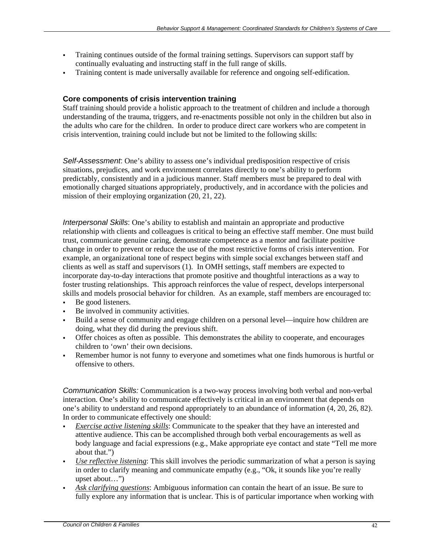- Training continues outside of the formal training settings. Supervisors can support staff by continually evaluating and instructing staff in the full range of skills.
- Training content is made universally available for reference and ongoing self-edification.

#### **Core components of crisis intervention training**

Staff training should provide a holistic approach to the treatment of children and include a thorough understanding of the trauma, triggers, and re-enactments possible not only in the children but also in the adults who care for the children. In order to produce direct care workers who are competent in crisis intervention, training could include but not be limited to the following skills:

*Self-Assessment*: One's ability to assess one's individual predisposition respective of crisis situations, prejudices, and work environment correlates directly to one's ability to perform predictably, consistently and in a judicious manner. Staff members must be prepared to deal with emotionally charged situations appropriately, productively, and in accordance with the policies and mission of their employing organization (20, 21, 22).

*Interpersonal Skills*: One's ability to establish and maintain an appropriate and productive relationship with clients and colleagues is critical to being an effective staff member. One must build trust, communicate genuine caring, demonstrate competence as a mentor and facilitate positive change in order to prevent or reduce the use of the most restrictive forms of crisis intervention. For example, an organizational tone of respect begins with simple social exchanges between staff and clients as well as staff and supervisors (1). In OMH settings, staff members are expected to incorporate day-to-day interactions that promote positive and thoughtful interactions as a way to foster trusting relationships. This approach reinforces the value of respect, develops interpersonal skills and models prosocial behavior for children. As an example, staff members are encouraged to:

- Be good listeners.
- Be involved in community activities.
- Build a sense of community and engage children on a personal level—inquire how children are doing, what they did during the previous shift.
- Offer choices as often as possible. This demonstrates the ability to cooperate, and encourages children to 'own' their own decisions.
- Remember humor is not funny to everyone and sometimes what one finds humorous is hurtful or offensive to others.

*Communication Skills:* Communication is a two-way process involving both verbal and non-verbal interaction. One's ability to communicate effectively is critical in an environment that depends on one's ability to understand and respond appropriately to an abundance of information (4, 20, 26, 82). In order to communicate effectively one should:

- *Exercise active listening skills*: Communicate to the speaker that they have an interested and attentive audience. This can be accomplished through both verbal encouragements as well as body language and facial expressions (e.g., Make appropriate eye contact and state "Tell me more about that.")
- *Use reflective listening*: This skill involves the periodic summarization of what a person is saying in order to clarify meaning and communicate empathy (e.g., "Ok, it sounds like you're really upset about…")
- *Ask clarifying questions*: Ambiguous information can contain the heart of an issue. Be sure to fully explore any information that is unclear. This is of particular importance when working with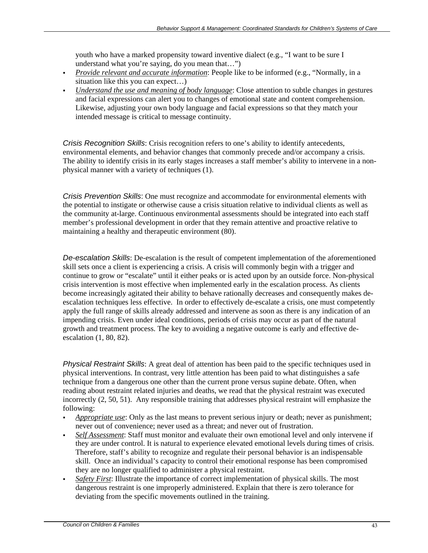youth who have a marked propensity toward inventive dialect (e.g., "I want to be sure I understand what you're saying, do you mean that…")

- *Provide relevant and accurate information*: People like to be informed (e.g., "Normally, in a situation like this you can expect…)
- *Understand the use and meaning of body language*: Close attention to subtle changes in gestures and facial expressions can alert you to changes of emotional state and content comprehension. Likewise, adjusting your own body language and facial expressions so that they match your intended message is critical to message continuity.

*Crisis Recognition Skills*: Crisis recognition refers to one's ability to identify antecedents, environmental elements, and behavior changes that commonly precede and/or accompany a crisis. The ability to identify crisis in its early stages increases a staff member's ability to intervene in a nonphysical manner with a variety of techniques (1).

*Crisis Prevention Skills*: One must recognize and accommodate for environmental elements with the potential to instigate or otherwise cause a crisis situation relative to individual clients as well as the community at-large. Continuous environmental assessments should be integrated into each staff member's professional development in order that they remain attentive and proactive relative to maintaining a healthy and therapeutic environment (80).

*De-escalation Skills*: De-escalation is the result of competent implementation of the aforementioned skill sets once a client is experiencing a crisis. A crisis will commonly begin with a trigger and continue to grow or "escalate" until it either peaks or is acted upon by an outside force. Non-physical crisis intervention is most effective when implemented early in the escalation process. As clients become increasingly agitated their ability to behave rationally decreases and consequently makes deescalation techniques less effective. In order to effectively de-escalate a crisis, one must competently apply the full range of skills already addressed and intervene as soon as there is any indication of an impending crisis. Even under ideal conditions, periods of crisis may occur as part of the natural growth and treatment process. The key to avoiding a negative outcome is early and effective deescalation (1, 80, 82).

*Physical Restraint Skills*: A great deal of attention has been paid to the specific techniques used in physical interventions. In contrast, very little attention has been paid to what distinguishes a safe technique from a dangerous one other than the current prone versus supine debate. Often, when reading about restraint related injuries and deaths, we read that the physical restraint was executed incorrectly (2, 50, 51). Any responsible training that addresses physical restraint will emphasize the following:

- **Appropriate use:** Only as the last means to prevent serious injury or death; never as punishment; never out of convenience; never used as a threat; and never out of frustration.
- *Self Assessment*: Staff must monitor and evaluate their own emotional level and only intervene if they are under control. It is natural to experience elevated emotional levels during times of crisis. Therefore, staff's ability to recognize and regulate their personal behavior is an indispensable skill. Once an individual's capacity to control their emotional response has been compromised they are no longer qualified to administer a physical restraint.
- *Safety First*: Illustrate the importance of correct implementation of physical skills. The most dangerous restraint is one improperly administered. Explain that there is zero tolerance for deviating from the specific movements outlined in the training.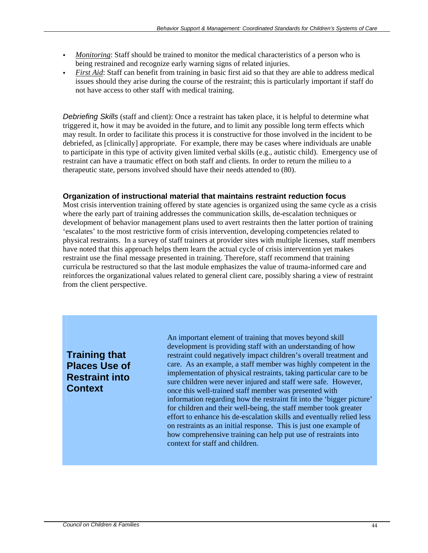- *Monitoring*: Staff should be trained to monitor the medical characteristics of a person who is being restrained and recognize early warning signs of related injuries.
- *First Aid*: Staff can benefit from training in basic first aid so that they are able to address medical issues should they arise during the course of the restraint; this is particularly important if staff do not have access to other staff with medical training.

*Debriefing Skills* (staff and client): Once a restraint has taken place, it is helpful to determine what triggered it, how it may be avoided in the future, and to limit any possible long term effects which may result. In order to facilitate this process it is constructive for those involved in the incident to be debriefed, as [clinically] appropriate. For example, there may be cases where individuals are unable to participate in this type of activity given limited verbal skills (e.g., autistic child). Emergency use of restraint can have a traumatic effect on both staff and clients. In order to return the milieu to a therapeutic state, persons involved should have their needs attended to (80).

#### **Organization of instructional material that maintains restraint reduction focus**

Most crisis intervention training offered by state agencies is organized using the same cycle as a crisis where the early part of training addresses the communication skills, de-escalation techniques or development of behavior management plans used to avert restraints then the latter portion of training 'escalates' to the most restrictive form of crisis intervention, developing competencies related to physical restraints. In a survey of staff trainers at provider sites with multiple licenses, staff members have noted that this approach helps them learn the actual cycle of crisis intervention yet makes restraint use the final message presented in training. Therefore, staff recommend that training curricula be restructured so that the last module emphasizes the value of trauma-informed care and reinforces the organizational values related to general client care, possibly sharing a view of restraint from the client perspective.

**Training that Places Use of Restraint into Context** 

An important element of training that moves beyond skill development is providing staff with an understanding of how restraint could negatively impact children's overall treatment and care. As an example, a staff member was highly competent in the implementation of physical restraints, taking particular care to be sure children were never injured and staff were safe. However, once this well-trained staff member was presented with information regarding how the restraint fit into the 'bigger picture' for children and their well-being, the staff member took greater effort to enhance his de-escalation skills and eventually relied less on restraints as an initial response. This is just one example of how comprehensive training can help put use of restraints into context for staff and children.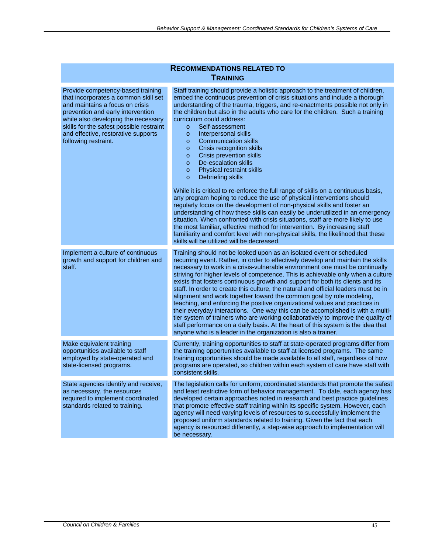| INECOMMENDATIONS RELATED TO<br><b>TRAINING</b>                                                                                                                                                                                                                                                      |                                                                                                                                                                                                                                                                                                                                                                                                                                                                                                                                                                                                                                                                                                                                                                                                                                                                                                                                                                                                                                                                                                                                                                                                                                                                                                          |
|-----------------------------------------------------------------------------------------------------------------------------------------------------------------------------------------------------------------------------------------------------------------------------------------------------|----------------------------------------------------------------------------------------------------------------------------------------------------------------------------------------------------------------------------------------------------------------------------------------------------------------------------------------------------------------------------------------------------------------------------------------------------------------------------------------------------------------------------------------------------------------------------------------------------------------------------------------------------------------------------------------------------------------------------------------------------------------------------------------------------------------------------------------------------------------------------------------------------------------------------------------------------------------------------------------------------------------------------------------------------------------------------------------------------------------------------------------------------------------------------------------------------------------------------------------------------------------------------------------------------------|
| Provide competency-based training<br>that incorporates a common skill set<br>and maintains a focus on crisis<br>prevention and early intervention<br>while also developing the necessary<br>skills for the safest possible restraint<br>and effective, restorative supports<br>following restraint. | Staff training should provide a holistic approach to the treatment of children,<br>embed the continuous prevention of crisis situations and include a thorough<br>understanding of the trauma, triggers, and re-enactments possible not only in<br>the children but also in the adults who care for the children. Such a training<br>curriculum could address:<br>Self-assessment<br>$\circ$<br>Interpersonal skills<br>$\circ$<br><b>Communication skills</b><br>$\circ$<br>Crisis recognition skills<br>$\circ$<br><b>Crisis prevention skills</b><br>$\circ$<br>De-escalation skills<br>$\circ$<br>Physical restraint skills<br>$\circ$<br>Debriefing skills<br>$\circ$<br>While it is critical to re-enforce the full range of skills on a continuous basis,<br>any program hoping to reduce the use of physical interventions should<br>regularly focus on the development of non-physical skills and foster an<br>understanding of how these skills can easily be underutilized in an emergency<br>situation. When confronted with crisis situations, staff are more likely to use<br>the most familiar, effective method for intervention. By increasing staff<br>familiarity and comfort level with non-physical skills, the likelihood that these<br>skills will be utilized will be decreased. |
| Implement a culture of continuous<br>growth and support for children and<br>staff.                                                                                                                                                                                                                  | Training should not be looked upon as an isolated event or scheduled<br>recurring event. Rather, in order to effectively develop and maintain the skills<br>necessary to work in a crisis-vulnerable environment one must be continually<br>striving for higher levels of competence. This is achievable only when a culture<br>exists that fosters continuous growth and support for both its clients and its<br>staff. In order to create this culture, the natural and official leaders must be in<br>alignment and work together toward the common goal by role modeling,<br>teaching, and enforcing the positive organizational values and practices in<br>their everyday interactions. One way this can be accomplished is with a multi-<br>tier system of trainers who are working collaboratively to improve the quality of<br>staff performance on a daily basis. At the heart of this system is the idea that<br>anyone who is a leader in the organization is also a trainer.                                                                                                                                                                                                                                                                                                                 |
| Make equivalent training<br>opportunities available to staff<br>employed by state-operated and<br>state-licensed programs.                                                                                                                                                                          | Currently, training opportunities to staff at state-operated programs differ from<br>the training opportunities available to staff at licensed programs. The same<br>training opportunities should be made available to all staff, regardless of how<br>programs are operated, so children within each system of care have staff with<br>consistent skills.                                                                                                                                                                                                                                                                                                                                                                                                                                                                                                                                                                                                                                                                                                                                                                                                                                                                                                                                              |
| State agencies identify and receive,<br>as necessary, the resources<br>required to implement coordinated<br>standards related to training.                                                                                                                                                          | The legislation calls for uniform, coordinated standards that promote the safest<br>and least restrictive form of behavior management. To date, each agency has<br>developed certain approaches noted in research and best practice guidelines<br>that promote effective staff training within its specific system. However, each<br>agency will need varying levels of resources to successfully implement the<br>proposed uniform standards related to training. Given the fact that each<br>agency is resourced differently, a step-wise approach to implementation will<br>be necessary.                                                                                                                                                                                                                                                                                                                                                                                                                                                                                                                                                                                                                                                                                                             |

## **RECOMMENDATIONS RELATED TO**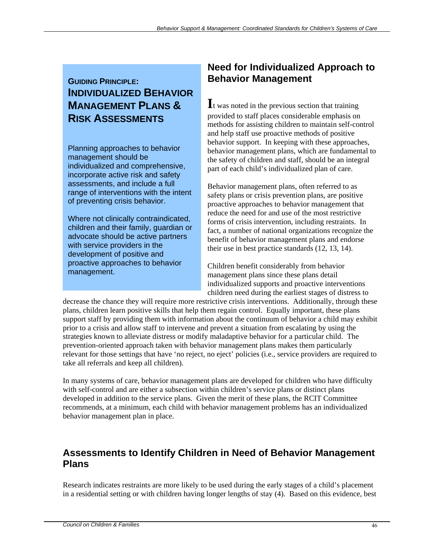## **GUIDING PRINCIPLE: INDIVIDUALIZED BEHAVIOR MANAGEMENT PLANS & RISK ASSESSMENTS**

Planning approaches to behavior management should be individualized and comprehensive, incorporate active risk and safety assessments, and include a full range of interventions with the intent of preventing crisis behavior.

Where not clinically contraindicated, children and their family, guardian or advocate should be active partners with service providers in the development of positive and proactive approaches to behavior management.

## **Need for Individualized Approach to Behavior Management**

**I**t was noted in the previous section that training provided to staff places considerable emphasis on methods for assisting children to maintain self-control and help staff use proactive methods of positive behavior support. In keeping with these approaches, behavior management plans, which are fundamental to the safety of children and staff, should be an integral part of each child's individualized plan of care.

Behavior management plans, often referred to as safety plans or crisis prevention plans, are positive proactive approaches to behavior management that reduce the need for and use of the most restrictive forms of crisis intervention, including restraints. In fact, a number of national organizations recognize the benefit of behavior management plans and endorse their use in best practice standards (12, 13, 14).

Children benefit considerably from behavior management plans since these plans detail individualized supports and proactive interventions children need during the earliest stages of distress to

decrease the chance they will require more restrictive crisis interventions. Additionally, through these plans, children learn positive skills that help them regain control. Equally important, these plans support staff by providing them with information about the continuum of behavior a child may exhibit prior to a crisis and allow staff to intervene and prevent a situation from escalating by using the strategies known to alleviate distress or modify maladaptive behavior for a particular child. The prevention-oriented approach taken with behavior management plans makes them particularly relevant for those settings that have 'no reject, no eject' policies (i.e., service providers are required to take all referrals and keep all children).

In many systems of care, behavior management plans are developed for children who have difficulty with self-control and are either a subsection within children's service plans or distinct plans developed in addition to the service plans. Given the merit of these plans, the RCIT Committee recommends, at a minimum, each child with behavior management problems has an individualized behavior management plan in place.

## **Assessments to Identify Children in Need of Behavior Management Plans**

Research indicates restraints are more likely to be used during the early stages of a child's placement in a residential setting or with children having longer lengths of stay (4). Based on this evidence, best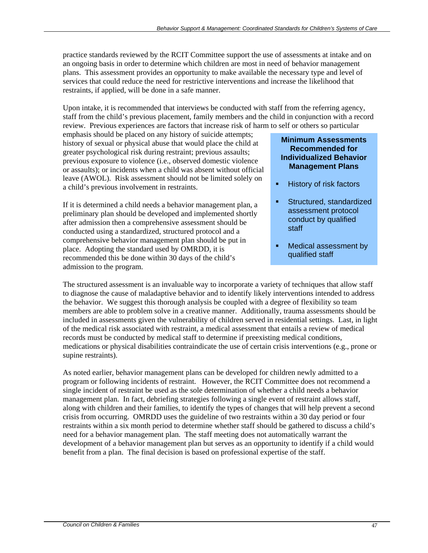practice standards reviewed by the RCIT Committee support the use of assessments at intake and on an ongoing basis in order to determine which children are most in need of behavior management plans. This assessment provides an opportunity to make available the necessary type and level of services that could reduce the need for restrictive interventions and increase the likelihood that restraints, if applied, will be done in a safe manner.

Upon intake, it is recommended that interviews be conducted with staff from the referring agency, staff from the child's previous placement, family members and the child in conjunction with a record review. Previous experiences are factors that increase risk of harm to self or others so particular

emphasis should be placed on any history of suicide attempts; history of sexual or physical abuse that would place the child at greater psychological risk during restraint; previous assaults; previous exposure to violence (i.e., observed domestic violence or assaults); or incidents when a child was absent without official leave (AWOL). Risk assessment should not be limited solely on a child's previous involvement in restraints.

If it is determined a child needs a behavior management plan, a preliminary plan should be developed and implemented shortly after admission then a comprehensive assessment should be conducted using a standardized, structured protocol and a comprehensive behavior management plan should be put in place. Adopting the standard used by OMRDD, it is recommended this be done within 30 days of the child's admission to the program.

#### **Minimum Assessments Recommended for Individualized Behavior Management Plans**

- **History of risk factors**
- Structured, standardized assessment protocol conduct by qualified staff
- Medical assessment by qualified staff

The structured assessment is an invaluable way to incorporate a variety of techniques that allow staff to diagnose the cause of maladaptive behavior and to identify likely interventions intended to address the behavior. We suggest this thorough analysis be coupled with a degree of flexibility so team members are able to problem solve in a creative manner. Additionally, trauma assessments should be included in assessments given the vulnerability of children served in residential settings. Last, in light of the medical risk associated with restraint, a medical assessment that entails a review of medical records must be conducted by medical staff to determine if preexisting medical conditions, medications or physical disabilities contraindicate the use of certain crisis interventions (e.g., prone or supine restraints).

As noted earlier, behavior management plans can be developed for children newly admitted to a program or following incidents of restraint. However, the RCIT Committee does not recommend a single incident of restraint be used as the sole determination of whether a child needs a behavior management plan. In fact, debriefing strategies following a single event of restraint allows staff, along with children and their families, to identify the types of changes that will help prevent a second crisis from occurring. OMRDD uses the guideline of two restraints within a 30 day period or four restraints within a six month period to determine whether staff should be gathered to discuss a child's need for a behavior management plan. The staff meeting does not automatically warrant the development of a behavior management plan but serves as an opportunity to identify if a child would benefit from a plan. The final decision is based on professional expertise of the staff.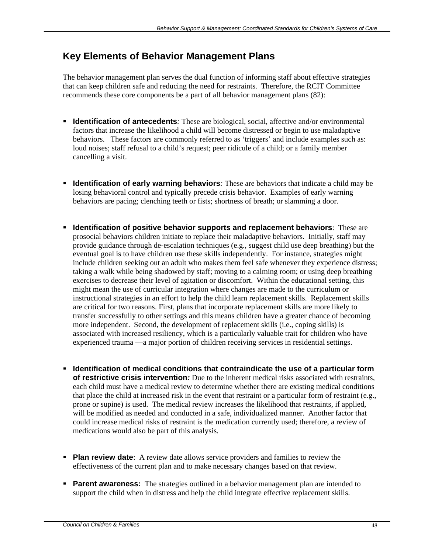## **Key Elements of Behavior Management Plans**

The behavior management plan serves the dual function of informing staff about effective strategies that can keep children safe and reducing the need for restraints. Therefore, the RCIT Committee recommends these core components be a part of all behavior management plans (82):

- **IDENTIFICATION of antecedents**: These are biological, social, affective and/or environmental factors that increase the likelihood a child will become distressed or begin to use maladaptive behaviors. These factors are commonly referred to as 'triggers' and include examples such as: loud noises; staff refusal to a child's request; peer ridicule of a child; or a family member cancelling a visit.
- **Identification of early warning behaviors**: These are behaviors that indicate a child may be losing behavioral control and typically precede crisis behavior. Examples of early warning behaviors are pacing; clenching teeth or fists; shortness of breath; or slamming a door.
- **Identification of positive behavior supports and replacement behaviors**: These are prosocial behaviors children initiate to replace their maladaptive behaviors. Initially, staff may provide guidance through de-escalation techniques (e.g., suggest child use deep breathing) but the eventual goal is to have children use these skills independently. For instance, strategies might include children seeking out an adult who makes them feel safe whenever they experience distress; taking a walk while being shadowed by staff; moving to a calming room; or using deep breathing exercises to decrease their level of agitation or discomfort. Within the educational setting, this might mean the use of curricular integration where changes are made to the curriculum or instructional strategies in an effort to help the child learn replacement skills. Replacement skills are critical for two reasons. First, plans that incorporate replacement skills are more likely to transfer successfully to other settings and this means children have a greater chance of becoming more independent. Second, the development of replacement skills (i.e., coping skills) is associated with increased resiliency, which is a particularly valuable trait for children who have experienced trauma —a major portion of children receiving services in residential settings.
- **Identification of medical conditions that contraindicate the use of a particular form of restrictive crisis intervention***:* Due to the inherent medical risks associated with restraints, each child must have a medical review to determine whether there are existing medical conditions that place the child at increased risk in the event that restraint or a particular form of restraint (e.g., prone or supine) is used. The medical review increases the likelihood that restraints, if applied, will be modified as needed and conducted in a safe, individualized manner. Another factor that could increase medical risks of restraint is the medication currently used; therefore, a review of medications would also be part of this analysis.
- **Plan review date**: A review date allows service providers and families to review the effectiveness of the current plan and to make necessary changes based on that review.
- **Parent awareness:** The strategies outlined in a behavior management plan are intended to support the child when in distress and help the child integrate effective replacement skills.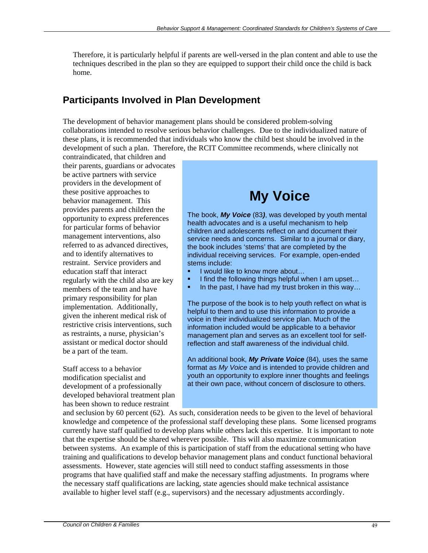Therefore, it is particularly helpful if parents are well-versed in the plan content and able to use the techniques described in the plan so they are equipped to support their child once the child is back home.

## **Participants Involved in Plan Development**

The development of behavior management plans should be considered problem-solving collaborations intended to resolve serious behavior challenges. Due to the individualized nature of these plans, it is recommended that individuals who know the child best should be involved in the development of such a plan. Therefore, the RCIT Committee recommends, where clinically not

contraindicated, that children and their parents, guardians or advocates be active partners with service providers in the development of these positive approaches to behavior management. This provides parents and children the opportunity to express preferences for particular forms of behavior management interventions, also referred to as advanced directives, and to identify alternatives to restraint. Service providers and education staff that interact regularly with the child also are key members of the team and have primary responsibility for plan implementation. Additionally, given the inherent medical risk of restrictive crisis interventions, such as restraints, a nurse, physician's assistant or medical doctor should be a part of the team.

Staff access to a behavior modification specialist and development of a professionally developed behavioral treatment plan has been shown to reduce restraint

## **My Voice**

The book, *My Voice* (83*)*, was developed by youth mental health advocates and is a useful mechanism to help children and adolescents reflect on and document their service needs and concerns. Similar to a journal or diary, the book includes 'stems' that are completed by the individual receiving services. For example, open-ended stems include:

- $\blacksquare$  I would like to know more about...
- $\blacksquare$  I find the following things helpful when I am upset...
- In the past, I have had my trust broken in this way…

The purpose of the book is to help youth reflect on what is helpful to them and to use this information to provide a voice in their individualized service plan. Much of the information included would be applicable to a behavior management plan and serves as an excellent tool for selfreflection and staff awareness of the individual child.

An additional book, *My Private Voice* (84)*,* uses the same format as *My Voice* and is intended to provide children and youth an opportunity to explore inner thoughts and feelings at their own pace, without concern of disclosure to others.

and seclusion by 60 percent (62). As such, consideration needs to be given to the level of behavioral knowledge and competence of the professional staff developing these plans. Some licensed programs currently have staff qualified to develop plans while others lack this expertise. It is important to note that the expertise should be shared wherever possible. This will also maximize communication between systems. An example of this is participation of staff from the educational setting who have training and qualifications to develop behavior management plans and conduct functional behavioral assessments. However, state agencies will still need to conduct staffing assessments in those programs that have qualified staff and make the necessary staffing adjustments. In programs where the necessary staff qualifications are lacking, state agencies should make technical assistance available to higher level staff (e.g., supervisors) and the necessary adjustments accordingly.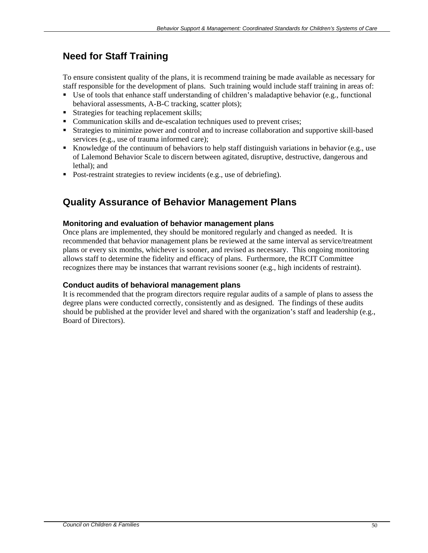## **Need for Staff Training**

To ensure consistent quality of the plans, it is recommend training be made available as necessary for staff responsible for the development of plans. Such training would include staff training in areas of:

- Use of tools that enhance staff understanding of children's maladaptive behavior (e.g., functional behavioral assessments, A-B-C tracking, scatter plots);
- Strategies for teaching replacement skills;
- Communication skills and de-escalation techniques used to prevent crises;
- Strategies to minimize power and control and to increase collaboration and supportive skill-based services (e.g., use of trauma informed care);
- Knowledge of the continuum of behaviors to help staff distinguish variations in behavior (e.g., use of Lalemond Behavior Scale to discern between agitated, disruptive, destructive, dangerous and lethal); and
- Post-restraint strategies to review incidents (e.g., use of debriefing).

## **Quality Assurance of Behavior Management Plans**

#### **Monitoring and evaluation of behavior management plans**

Once plans are implemented, they should be monitored regularly and changed as needed. It is recommended that behavior management plans be reviewed at the same interval as service/treatment plans or every six months, whichever is sooner, and revised as necessary. This ongoing monitoring allows staff to determine the fidelity and efficacy of plans. Furthermore, the RCIT Committee recognizes there may be instances that warrant revisions sooner (e.g., high incidents of restraint).

#### **Conduct audits of behavioral management plans**

It is recommended that the program directors require regular audits of a sample of plans to assess the degree plans were conducted correctly, consistently and as designed. The findings of these audits should be published at the provider level and shared with the organization's staff and leadership (e.g., Board of Directors).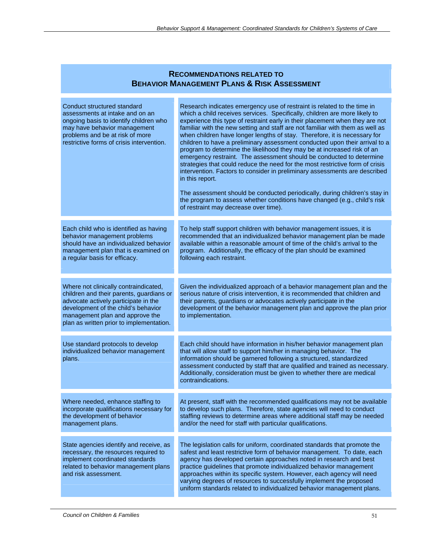#### **RECOMMENDATIONS RELATED TO BEHAVIOR MANAGEMENT PLANS & RISK ASSESSMENT**

| Conduct structured standard<br>assessments at intake and on an<br>ongoing basis to identify children who<br>may have behavior management<br>problems and be at risk of more<br>restrictive forms of crisis intervention.                        | Research indicates emergency use of restraint is related to the time in<br>which a child receives services. Specifically, children are more likely to<br>experience this type of restraint early in their placement when they are not<br>familiar with the new setting and staff are not familiar with them as well as<br>when children have longer lengths of stay. Therefore, it is necessary for<br>children to have a preliminary assessment conducted upon their arrival to a<br>program to determine the likelihood they may be at increased risk of an<br>emergency restraint. The assessment should be conducted to determine<br>strategies that could reduce the need for the most restrictive form of crisis<br>intervention. Factors to consider in preliminary assessments are described<br>in this report.<br>The assessment should be conducted periodically, during children's stay in<br>the program to assess whether conditions have changed (e.g., child's risk<br>of restraint may decrease over time). |
|-------------------------------------------------------------------------------------------------------------------------------------------------------------------------------------------------------------------------------------------------|-----------------------------------------------------------------------------------------------------------------------------------------------------------------------------------------------------------------------------------------------------------------------------------------------------------------------------------------------------------------------------------------------------------------------------------------------------------------------------------------------------------------------------------------------------------------------------------------------------------------------------------------------------------------------------------------------------------------------------------------------------------------------------------------------------------------------------------------------------------------------------------------------------------------------------------------------------------------------------------------------------------------------------|
| Each child who is identified as having<br>behavior management problems<br>should have an individualized behavior<br>management plan that is examined on<br>a regular basis for efficacy.                                                        | To help staff support children with behavior management issues, it is<br>recommended that an individualized behavior management plan be made<br>available within a reasonable amount of time of the child's arrival to the<br>program. Additionally, the efficacy of the plan should be examined<br>following each restraint.                                                                                                                                                                                                                                                                                                                                                                                                                                                                                                                                                                                                                                                                                               |
| Where not clinically contraindicated,<br>children and their parents, guardians or<br>advocate actively participate in the<br>development of the child's behavior<br>management plan and approve the<br>plan as written prior to implementation. | Given the individualized approach of a behavior management plan and the<br>serious nature of crisis intervention, it is recommended that children and<br>their parents, guardians or advocates actively participate in the<br>development of the behavior management plan and approve the plan prior<br>to implementation.                                                                                                                                                                                                                                                                                                                                                                                                                                                                                                                                                                                                                                                                                                  |
| Use standard protocols to develop<br>individualized behavior management<br>plans.                                                                                                                                                               | Each child should have information in his/her behavior management plan<br>that will allow staff to support him/her in managing behavior. The<br>information should be garnered following a structured, standardized<br>assessment conducted by staff that are qualified and trained as necessary.<br>Additionally, consideration must be given to whether there are medical<br>contraindications.                                                                                                                                                                                                                                                                                                                                                                                                                                                                                                                                                                                                                           |
| Where needed, enhance staffing to<br>incorporate qualifications necessary for<br>the development of behavior<br>management plans.                                                                                                               | At present, staff with the recommended qualifications may not be available<br>to develop such plans. Therefore, state agencies will need to conduct<br>staffing reviews to determine areas where additional staff may be needed<br>and/or the need for staff with particular qualifications.                                                                                                                                                                                                                                                                                                                                                                                                                                                                                                                                                                                                                                                                                                                                |
| State agencies identify and receive, as<br>necessary, the resources required to<br>implement coordinated standards<br>related to behavior management plans<br>and risk assessment.                                                              | The legislation calls for uniform, coordinated standards that promote the<br>safest and least restrictive form of behavior management. To date, each<br>agency has developed certain approaches noted in research and best<br>practice guidelines that promote individualized behavior management<br>approaches within its specific system. However, each agency will need<br>varying degrees of resources to successfully implement the proposed<br>uniform standards related to individualized behavior management plans.                                                                                                                                                                                                                                                                                                                                                                                                                                                                                                 |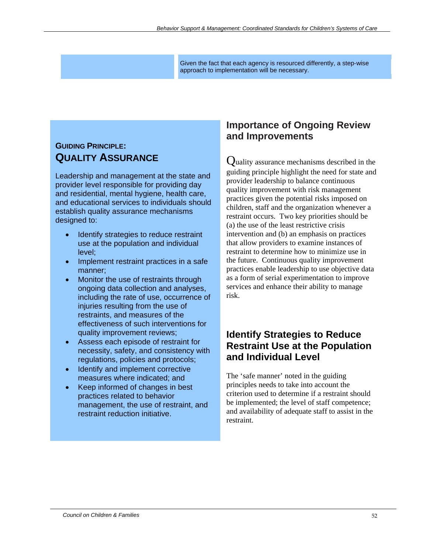Given the fact that each agency is resourced differently, a step-wise approach to implementation will be necessary.

## **GUIDING PRINCIPLE: QUALITY ASSURANCE**

Leadership and management at the state and provider level responsible for providing day and residential, mental hygiene, health care, and educational services to individuals should establish quality assurance mechanisms designed to:

- Identify strategies to reduce restraint use at the population and individual level;
- Implement restraint practices in a safe manner;
- Monitor the use of restraints through ongoing data collection and analyses, including the rate of use, occurrence of injuries resulting from the use of restraints, and measures of the effectiveness of such interventions for quality improvement reviews;
- Assess each episode of restraint for necessity, safety, and consistency with regulations, policies and protocols;
- Identify and implement corrective measures where indicated; and
- Keep informed of changes in best practices related to behavior management, the use of restraint, and restraint reduction initiative.

## **Importance of Ongoing Review and Improvements**

Quality assurance mechanisms described in the guiding principle highlight the need for state and provider leadership to balance continuous quality improvement with risk management practices given the potential risks imposed on children, staff and the organization whenever a restraint occurs. Two key priorities should be (a) the use of the least restrictive crisis intervention and (b) an emphasis on practices that allow providers to examine instances of restraint to determine how to minimize use in the future. Continuous quality improvement practices enable leadership to use objective data as a form of serial experimentation to improve services and enhance their ability to manage risk.

### **Identify Strategies to Reduce Restraint Use at the Population and Individual Level**

The 'safe manner' noted in the guiding principles needs to take into account the criterion used to determine if a restraint should be implemented; the level of staff competence; and availability of adequate staff to assist in the restraint.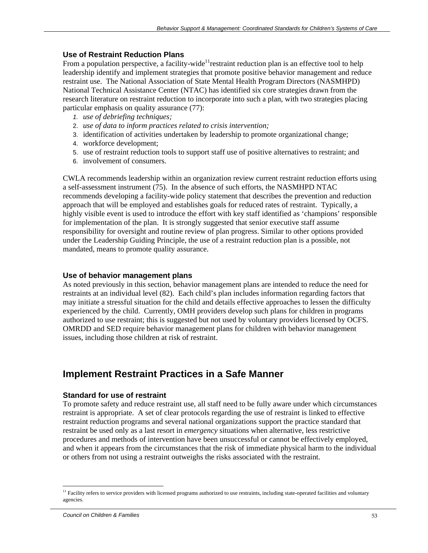#### **Use of Restraint Reduction Plans**

From a population perspective, a facility-wide<sup>11</sup> restraint reduction plan is an effective tool to help leadership identify and implement strategies that promote positive behavior management and reduce restraint use. The National Association of State Mental Health Program Directors (NASMHPD) National Technical Assistance Center (NTAC) has identified six core strategies drawn from the research literature on restraint reduction to incorporate into such a plan, with two strategies placing particular emphasis on quality assurance (77):

- *1. use of debriefing techniques;*
- 2. *use of data to inform practices related to crisis intervention;*
- 3. identification of activities undertaken by leadership to promote organizational change;
- 4. workforce development;
- 5. use of restraint reduction tools to support staff use of positive alternatives to restraint; and
- 6. involvement of consumers*.*

CWLA recommends leadership within an organization review current restraint reduction efforts using a self-assessment instrument (75). In the absence of such efforts, the NASMHPD NTAC recommends developing a facility-wide policy statement that describes the prevention and reduction approach that will be employed and establishes goals for reduced rates of restraint. Typically, a highly visible event is used to introduce the effort with key staff identified as 'champions' responsible for implementation of the plan. It is strongly suggested that senior executive staff assume responsibility for oversight and routine review of plan progress. Similar to other options provided under the Leadership Guiding Principle, the use of a restraint reduction plan is a possible, not mandated, means to promote quality assurance.

#### **Use of behavior management plans**

As noted previously in this section, behavior management plans are intended to reduce the need for restraints at an individual level (82). Each child's plan includes information regarding factors that may initiate a stressful situation for the child and details effective approaches to lessen the difficulty experienced by the child. Currently, OMH providers develop such plans for children in programs authorized to use restraint; this is suggested but not used by voluntary providers licensed by OCFS. OMRDD and SED require behavior management plans for children with behavior management issues, including those children at risk of restraint.

### **Implement Restraint Practices in a Safe Manner**

#### **Standard for use of restraint**

To promote safety and reduce restraint use, all staff need to be fully aware under which circumstances restraint is appropriate. A set of clear protocols regarding the use of restraint is linked to effective restraint reduction programs and several national organizations support the practice standard that restraint be used only as a last resort in *emergency* situations when alternative, less restrictive procedures and methods of intervention have been unsuccessful or cannot be effectively employed, and when it appears from the circumstances that the risk of immediate physical harm to the individual or others from not using a restraint outweighs the risks associated with the restraint.

 $\overline{a}$ 

<sup>&</sup>lt;sup>11</sup> Facility refers to service providers with licensed programs authorized to use restraints, including state-operated facilities and voluntary agencies.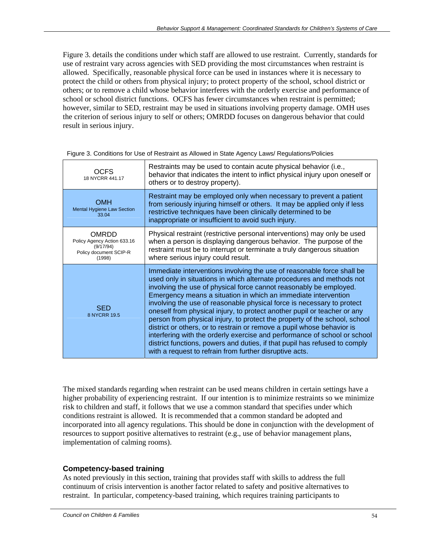Figure 3. details the conditions under which staff are allowed to use restraint. Currently, standards for use of restraint vary across agencies with SED providing the most circumstances when restraint is allowed. Specifically, reasonable physical force can be used in instances where it is necessary to protect the child or others from physical injury; to protect property of the school, school district or others; or to remove a child whose behavior interferes with the orderly exercise and performance of school or school district functions. OCFS has fewer circumstances when restraint is permitted; however, similar to SED, restraint may be used in situations involving property damage. OMH uses the criterion of serious injury to self or others; OMRDD focuses on dangerous behavior that could result in serious injury.

| OCFS<br>18 NYCRR 441.17                                                                      | Restraints may be used to contain acute physical behavior (i.e.,<br>behavior that indicates the intent to inflict physical injury upon oneself or<br>others or to destroy property).                                                                                                                                                                                                                                                                                                                                                                                                                                                                                                                                                                                                                                        |
|----------------------------------------------------------------------------------------------|-----------------------------------------------------------------------------------------------------------------------------------------------------------------------------------------------------------------------------------------------------------------------------------------------------------------------------------------------------------------------------------------------------------------------------------------------------------------------------------------------------------------------------------------------------------------------------------------------------------------------------------------------------------------------------------------------------------------------------------------------------------------------------------------------------------------------------|
| <b>OMH</b><br><b>Mental Hygiene Law Section</b><br>33.04                                     | Restraint may be employed only when necessary to prevent a patient<br>from seriously injuring himself or others. It may be applied only if less<br>restrictive techniques have been clinically determined to be<br>inappropriate or insufficient to avoid such injury.                                                                                                                                                                                                                                                                                                                                                                                                                                                                                                                                                      |
| <b>OMRDD</b><br>Policy Agency Action 633.16<br>(9/17/94)<br>Policy document SCIP-R<br>(1998) | Physical restraint (restrictive personal interventions) may only be used<br>when a person is displaying dangerous behavior. The purpose of the<br>restraint must be to interrupt or terminate a truly dangerous situation<br>where serious injury could result.                                                                                                                                                                                                                                                                                                                                                                                                                                                                                                                                                             |
| <b>SED</b><br>8 NYCRR 19.5                                                                   | Immediate interventions involving the use of reasonable force shall be<br>used only in situations in which alternate procedures and methods not<br>involving the use of physical force cannot reasonably be employed.<br>Emergency means a situation in which an immediate intervention<br>involving the use of reasonable physical force is necessary to protect<br>oneself from physical injury, to protect another pupil or teacher or any<br>person from physical injury, to protect the property of the school, school<br>district or others, or to restrain or remove a pupil whose behavior is<br>interfering with the orderly exercise and performance of school or school<br>district functions, powers and duties, if that pupil has refused to comply<br>with a request to refrain from further disruptive acts. |

Figure 3. Conditions for Use of Restraint as Allowed in State Agency Laws/ Regulations/Policies

The mixed standards regarding when restraint can be used means children in certain settings have a higher probability of experiencing restraint. If our intention is to minimize restraints so we minimize risk to children and staff, it follows that we use a common standard that specifies under which conditions restraint is allowed. It is recommended that a common standard be adopted and incorporated into all agency regulations. This should be done in conjunction with the development of resources to support positive alternatives to restraint (e.g., use of behavior management plans, implementation of calming rooms).

#### **Competency-based training**

As noted previously in this section, training that provides staff with skills to address the full continuum of crisis intervention is another factor related to safety and positive alternatives to restraint. In particular, competency-based training, which requires training participants to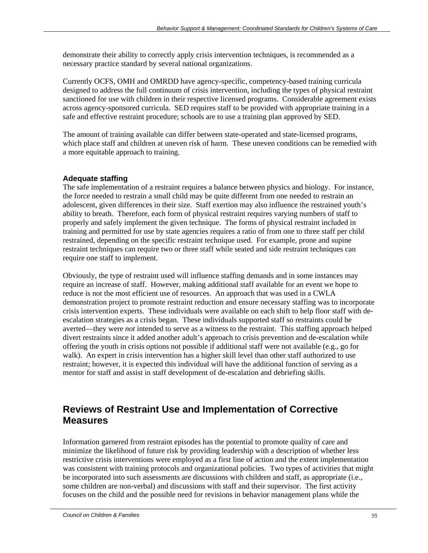demonstrate their ability to correctly apply crisis intervention techniques, is recommended as a necessary practice standard by several national organizations.

Currently OCFS, OMH and OMRDD have agency-specific, competency-based training curricula designed to address the full continuum of crisis intervention, including the types of physical restraint sanctioned for use with children in their respective licensed programs. Considerable agreement exists across agency-sponsored curricula. SED requires staff to be provided with appropriate training in a safe and effective restraint procedure; schools are to use a training plan approved by SED.

The amount of training available can differ between state-operated and state-licensed programs, which place staff and children at uneven risk of harm. These uneven conditions can be remedied with a more equitable approach to training.

#### **Adequate staffing**

The safe implementation of a restraint requires a balance between physics and biology. For instance, the force needed to restrain a small child may be quite different from one needed to restrain an adolescent, given differences in their size. Staff exertion may also influence the restrained youth's ability to breath. Therefore, each form of physical restraint requires varying numbers of staff to properly and safely implement the given technique. The forms of physical restraint included in training and permitted for use by state agencies requires a ratio of from one to three staff per child restrained, depending on the specific restraint technique used. For example, prone and supine restraint techniques can require two or three staff while seated and side restraint techniques can require one staff to implement.

Obviously, the type of restraint used will influence staffing demands and in some instances may require an increase of staff. However, making additional staff available for an event we hope to reduce is not the most efficient use of resources. An approach that was used in a CWLA demonstration project to promote restraint reduction and ensure necessary staffing was to incorporate crisis intervention experts. These individuals were available on each shift to help floor staff with deescalation strategies as a crisis began. These individuals supported staff so restraints could be averted—they were *not* intended to serve as a witness to the restraint. This staffing approach helped divert restraints since it added another adult's approach to crisis prevention and de-escalation while offering the youth in crisis options not possible if additional staff were not available (e.g., go for walk). An expert in crisis intervention has a higher skill level than other staff authorized to use restraint; however, it is expected this individual will have the additional function of serving as a mentor for staff and assist in staff development of de-escalation and debriefing skills.

## **Reviews of Restraint Use and Implementation of Corrective Measures**

Information garnered from restraint episodes has the potential to promote quality of care and minimize the likelihood of future risk by providing leadership with a description of whether less restrictive crisis interventions were employed as a first line of action and the extent implementation was consistent with training protocols and organizational policies. Two types of activities that might be incorporated into such assessments are discussions with children and staff, as appropriate (i.e., some children are non-verbal) and discussions with staff and their supervisor. The first activity focuses on the child and the possible need for revisions in behavior management plans while the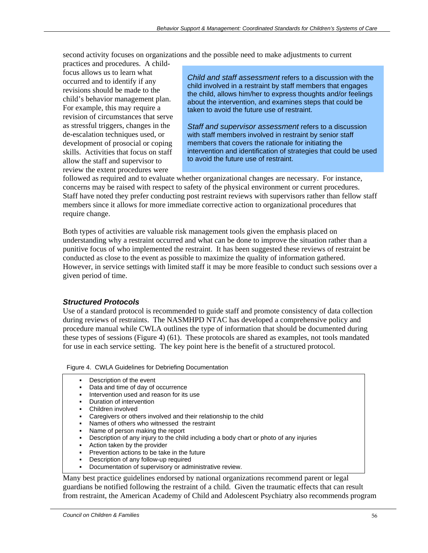second activity focuses on organizations and the possible need to make adjustments to current

practices and procedures. A childfocus allows us to learn what occurred and to identify if any revisions should be made to the child's behavior management plan. For example, this may require a revision of circumstances that serve as stressful triggers, changes in the de-escalation techniques used, or development of prosocial or coping skills. Activities that focus on staff allow the staff and supervisor to review the extent procedures were

*Child and staff assessment* refers to a discussion with the child involved in a restraint by staff members that engages the child, allows him/her to express thoughts and/or feelings about the intervention, and examines steps that could be taken to avoid the future use of restraint.

*Staff and supervisor assessment* refers to a discussion with staff members involved in restraint by senior staff members that covers the rationale for initiating the intervention and identification of strategies that could be used to avoid the future use of restraint.

followed as required and to evaluate whether organizational changes are necessary. For instance, concerns may be raised with respect to safety of the physical environment or current procedures. Staff have noted they prefer conducting post restraint reviews with supervisors rather than fellow staff members since it allows for more immediate corrective action to organizational procedures that require change.

Both types of activities are valuable risk management tools given the emphasis placed on understanding why a restraint occurred and what can be done to improve the situation rather than a punitive focus of who implemented the restraint. It has been suggested these reviews of restraint be conducted as close to the event as possible to maximize the quality of information gathered. However, in service settings with limited staff it may be more feasible to conduct such sessions over a given period of time.

#### *Structured Protocols*

Use of a standard protocol is recommended to guide staff and promote consistency of data collection during reviews of restraints. The NASMHPD NTAC has developed a comprehensive policy and procedure manual while CWLA outlines the type of information that should be documented during these types of sessions (Figure 4) (61). These protocols are shared as examples, not tools mandated for use in each service setting. The key point here is the benefit of a structured protocol.

#### Figure 4. CWLA Guidelines for Debriefing Documentation

- Description of the event
- Data and time of day of occurrence
- Intervention used and reason for its use
- Duration of intervention
- Children involved
- Caregivers or others involved and their relationship to the child
- Names of others who witnessed the restraint
- Name of person making the report
- Description of any injury to the child including a body chart or photo of any injuries
- Action taken by the provider
- Prevention actions to be take in the future
- Description of any follow-up required
- Documentation of supervisory or administrative review.

Many best practice guidelines endorsed by national organizations recommend parent or legal guardians be notified following the restraint of a child. Given the traumatic effects that can result from restraint, the American Academy of Child and Adolescent Psychiatry also recommends program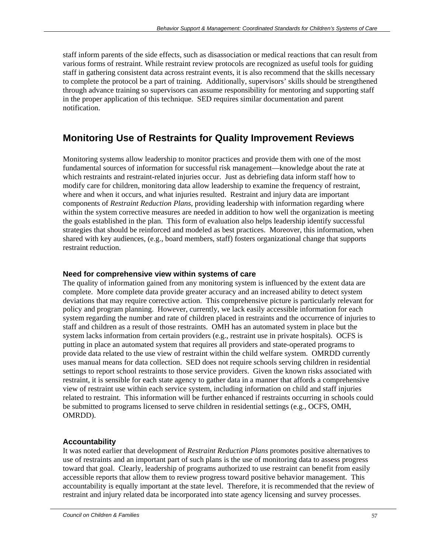staff inform parents of the side effects, such as disassociation or medical reactions that can result from various forms of restraint. While restraint review protocols are recognized as useful tools for guiding staff in gathering consistent data across restraint events, it is also recommend that the skills necessary to complete the protocol be a part of training. Additionally, supervisors' skills should be strengthened through advance training so supervisors can assume responsibility for mentoring and supporting staff in the proper application of this technique. SED requires similar documentation and parent notification.

## **Monitoring Use of Restraints for Quality Improvement Reviews**

Monitoring systems allow leadership to monitor practices and provide them with one of the most fundamental sources of information for successful risk management—knowledge about the rate at which restraints and restraint-related injuries occur. Just as debriefing data inform staff how to modify care for children, monitoring data allow leadership to examine the frequency of restraint, where and when it occurs, and what injuries resulted. Restraint and injury data are important components of *Restraint Reduction Plans*, providing leadership with information regarding where within the system corrective measures are needed in addition to how well the organization is meeting the goals established in the plan. This form of evaluation also helps leadership identify successful strategies that should be reinforced and modeled as best practices. Moreover, this information, when shared with key audiences, (e.g., board members, staff) fosters organizational change that supports restraint reduction.

#### **Need for comprehensive view within systems of care**

The quality of information gained from any monitoring system is influenced by the extent data are complete. More complete data provide greater accuracy and an increased ability to detect system deviations that may require corrective action. This comprehensive picture is particularly relevant for policy and program planning. However, currently, we lack easily accessible information for each system regarding the number and rate of children placed in restraints and the occurrence of injuries to staff and children as a result of those restraints. OMH has an automated system in place but the system lacks information from certain providers (e.g., restraint use in private hospitals). OCFS is putting in place an automated system that requires all providers and state-operated programs to provide data related to the use view of restraint within the child welfare system. OMRDD currently uses manual means for data collection. SED does not require schools serving children in residential settings to report school restraints to those service providers. Given the known risks associated with restraint, it is sensible for each state agency to gather data in a manner that affords a comprehensive view of restraint use within each service system, including information on child and staff injuries related to restraint. This information will be further enhanced if restraints occurring in schools could be submitted to programs licensed to serve children in residential settings (e.g., OCFS, OMH, OMRDD).

#### **Accountability**

It was noted earlier that development of *Restraint Reduction Plans* promotes positive alternatives to use of restraints and an important part of such plans is the use of monitoring data to assess progress toward that goal. Clearly, leadership of programs authorized to use restraint can benefit from easily accessible reports that allow them to review progress toward positive behavior management. This accountability is equally important at the state level. Therefore, it is recommended that the review of restraint and injury related data be incorporated into state agency licensing and survey processes.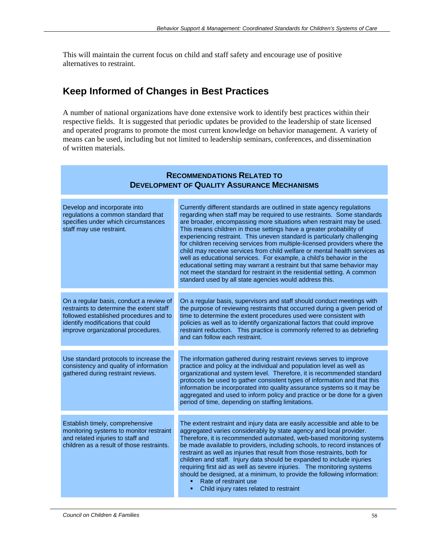This will maintain the current focus on child and staff safety and encourage use of positive alternatives to restraint.

## **Keep Informed of Changes in Best Practices**

A number of national organizations have done extensive work to identify best practices within their respective fields. It is suggested that periodic updates be provided to the leadership of state licensed and operated programs to promote the most current knowledge on behavior management. A variety of means can be used, including but not limited to leadership seminars, conferences, and dissemination of written materials.

| <b>RECOMMENDATIONS RELATED TO</b><br><b>DEVELOPMENT OF QUALITY ASSURANCE MECHANISMS</b>                                                                                                                  |                                                                                                                                                                                                                                                                                                                                                                                                                                                                                                                                                                                                                                                                                                                                                                                                                                   |
|----------------------------------------------------------------------------------------------------------------------------------------------------------------------------------------------------------|-----------------------------------------------------------------------------------------------------------------------------------------------------------------------------------------------------------------------------------------------------------------------------------------------------------------------------------------------------------------------------------------------------------------------------------------------------------------------------------------------------------------------------------------------------------------------------------------------------------------------------------------------------------------------------------------------------------------------------------------------------------------------------------------------------------------------------------|
| Develop and incorporate into<br>regulations a common standard that<br>specifies under which circumstances<br>staff may use restraint.                                                                    | Currently different standards are outlined in state agency regulations<br>regarding when staff may be required to use restraints. Some standards<br>are broader, encompassing more situations when restraint may be used.<br>This means children in those settings have a greater probability of<br>experiencing restraint. This uneven standard is particularly challenging<br>for children receiving services from multiple-licensed providers where the<br>child may receive services from child welfare or mental health services as<br>well as educational services. For example, a child's behavior in the<br>educational setting may warrant a restraint but that same behavior may<br>not meet the standard for restraint in the residential setting. A common<br>standard used by all state agencies would address this. |
| On a regular basis, conduct a review of<br>restraints to determine the extent staff<br>followed established procedures and to<br>identify modifications that could<br>improve organizational procedures. | On a regular basis, supervisors and staff should conduct meetings with<br>the purpose of reviewing restraints that occurred during a given period of<br>time to determine the extent procedures used were consistent with<br>policies as well as to identify organizational factors that could improve<br>restraint reduction. This practice is commonly referred to as debriefing<br>and can follow each restraint.                                                                                                                                                                                                                                                                                                                                                                                                              |
| Use standard protocols to increase the<br>consistency and quality of information<br>gathered during restraint reviews.                                                                                   | The information gathered during restraint reviews serves to improve<br>practice and policy at the individual and population level as well as<br>organizational and system level. Therefore, it is recommended standard<br>protocols be used to gather consistent types of information and that this<br>information be incorporated into quality assurance systems so it may be<br>aggregated and used to inform policy and practice or be done for a given<br>period of time, depending on staffing limitations.                                                                                                                                                                                                                                                                                                                  |
| Establish timely, comprehensive<br>monitoring systems to monitor restraint<br>and related injuries to staff and<br>children as a result of those restraints.                                             | The extent restraint and injury data are easily accessible and able to be<br>aggregated varies considerably by state agency and local provider.<br>Therefore, it is recommended automated, web-based monitoring systems<br>be made available to providers, including schools, to record instances of<br>restraint as well as injuries that result from those restraints, both for<br>children and staff. Injury data should be expanded to include injuries<br>requiring first aid as well as severe injuries. The monitoring systems<br>should be designed, at a minimum, to provide the following information:<br>Rate of restraint use<br>Child injury rates related to restraint                                                                                                                                              |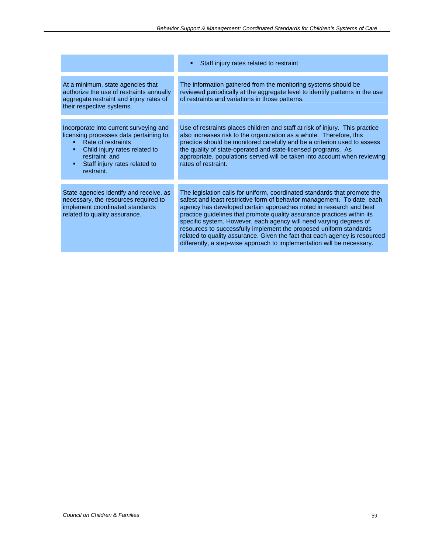|                                                                                                                                                                                                          | Staff injury rates related to restraint<br>٠                                                                                                                                                                                                                                                                                                                                                                                                                                                                                                                                                              |
|----------------------------------------------------------------------------------------------------------------------------------------------------------------------------------------------------------|-----------------------------------------------------------------------------------------------------------------------------------------------------------------------------------------------------------------------------------------------------------------------------------------------------------------------------------------------------------------------------------------------------------------------------------------------------------------------------------------------------------------------------------------------------------------------------------------------------------|
| At a minimum, state agencies that<br>authorize the use of restraints annually<br>aggregate restraint and injury rates of<br>their respective systems.                                                    | The information gathered from the monitoring systems should be<br>reviewed periodically at the aggregate level to identify patterns in the use<br>of restraints and variations in those patterns.                                                                                                                                                                                                                                                                                                                                                                                                         |
| Incorporate into current surveying and<br>licensing processes data pertaining to:<br>Rate of restraints<br>Child injury rates related to<br>restraint and<br>Staff injury rates related to<br>restraint. | Use of restraints places children and staff at risk of injury. This practice<br>also increases risk to the organization as a whole. Therefore, this<br>practice should be monitored carefully and be a criterion used to assess<br>the quality of state-operated and state-licensed programs. As<br>appropriate, populations served will be taken into account when reviewing<br>rates of restraint.                                                                                                                                                                                                      |
| State agencies identify and receive, as<br>necessary, the resources required to<br>implement coordinated standards<br>related to quality assurance.                                                      | The legislation calls for uniform, coordinated standards that promote the<br>safest and least restrictive form of behavior management. To date, each<br>agency has developed certain approaches noted in research and best<br>practice guidelines that promote quality assurance practices within its<br>specific system. However, each agency will need varying degrees of<br>resources to successfully implement the proposed uniform standards<br>related to quality assurance. Given the fact that each agency is resourced<br>differently, a step-wise approach to implementation will be necessary. |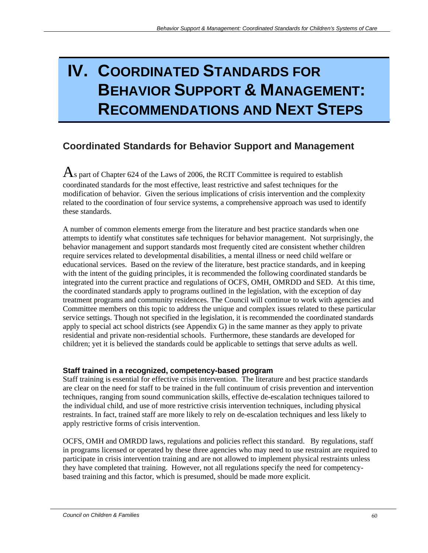# **IV. COORDINATED STANDARDS FOR BEHAVIOR SUPPORT & MANAGEMENT: RECOMMENDATIONS AND NEXT STEPS**

## **Coordinated Standards for Behavior Support and Management**

 $\overline{A}$ s part of Chapter 624 of the Laws of 2006, the RCIT Committee is required to establish coordinated standards for the most effective, least restrictive and safest techniques for the modification of behavior. Given the serious implications of crisis intervention and the complexity related to the coordination of four service systems, a comprehensive approach was used to identify these standards.

A number of common elements emerge from the literature and best practice standards when one attempts to identify what constitutes safe techniques for behavior management. Not surprisingly, the behavior management and support standards most frequently cited are consistent whether children require services related to developmental disabilities, a mental illness or need child welfare or educational services. Based on the review of the literature, best practice standards, and in keeping with the intent of the guiding principles, it is recommended the following coordinated standards be integrated into the current practice and regulations of OCFS, OMH, OMRDD and SED. At this time, the coordinated standards apply to programs outlined in the legislation, with the exception of day treatment programs and community residences. The Council will continue to work with agencies and Committee members on this topic to address the unique and complex issues related to these particular service settings. Though not specified in the legislation, it is recommended the coordinated standards apply to special act school districts (see Appendix G) in the same manner as they apply to private residential and private non-residential schools. Furthermore, these standards are developed for children; yet it is believed the standards could be applicable to settings that serve adults as well.

#### **Staff trained in a recognized, competency-based program**

Staff training is essential for effective crisis intervention. The literature and best practice standards are clear on the need for staff to be trained in the full continuum of crisis prevention and intervention techniques, ranging from sound communication skills, effective de-escalation techniques tailored to the individual child, and use of more restrictive crisis intervention techniques, including physical restraints. In fact, trained staff are more likely to rely on de-escalation techniques and less likely to apply restrictive forms of crisis intervention.

OCFS, OMH and OMRDD laws, regulations and policies reflect this standard. By regulations, staff in programs licensed or operated by these three agencies who may need to use restraint are required to participate in crisis intervention training and are not allowed to implement physical restraints unless they have completed that training. However, not all regulations specify the need for competencybased training and this factor, which is presumed, should be made more explicit.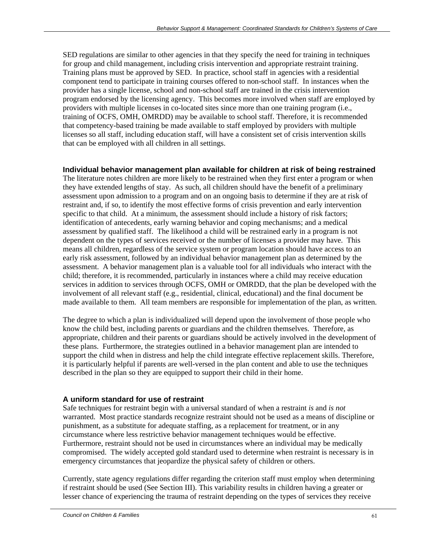SED regulations are similar to other agencies in that they specify the need for training in techniques for group and child management, including crisis intervention and appropriate restraint training. Training plans must be approved by SED. In practice, school staff in agencies with a residential component tend to participate in training courses offered to non-school staff. In instances when the provider has a single license, school and non-school staff are trained in the crisis intervention program endorsed by the licensing agency. This becomes more involved when staff are employed by providers with multiple licenses in co-located sites since more than one training program (i.e., training of OCFS, OMH, OMRDD) may be available to school staff. Therefore, it is recommended that competency-based training be made available to staff employed by providers with multiple licenses so all staff, including education staff, will have a consistent set of crisis intervention skills that can be employed with all children in all settings.

#### **Individual behavior management plan available for children at risk of being restrained**

The literature notes children are more likely to be restrained when they first enter a program or when they have extended lengths of stay. As such, all children should have the benefit of a preliminary assessment upon admission to a program and on an ongoing basis to determine if they are at risk of restraint and, if so, to identify the most effective forms of crisis prevention and early intervention specific to that child. At a minimum, the assessment should include a history of risk factors; identification of antecedents, early warning behavior and coping mechanisms; and a medical assessment by qualified staff. The likelihood a child will be restrained early in a program is not dependent on the types of services received or the number of licenses a provider may have. This means all children, regardless of the service system or program location should have access to an early risk assessment, followed by an individual behavior management plan as determined by the assessment. A behavior management plan is a valuable tool for all individuals who interact with the child; therefore, it is recommended, particularly in instances where a child may receive education services in addition to services through OCFS, OMH or OMRDD, that the plan be developed with the involvement of all relevant staff (e.g., residential, clinical, educational) and the final document be made available to them. All team members are responsible for implementation of the plan, as written.

The degree to which a plan is individualized will depend upon the involvement of those people who know the child best, including parents or guardians and the children themselves. Therefore, as appropriate, children and their parents or guardians should be actively involved in the development of these plans. Furthermore, the strategies outlined in a behavior management plan are intended to support the child when in distress and help the child integrate effective replacement skills. Therefore, it is particularly helpful if parents are well-versed in the plan content and able to use the techniques described in the plan so they are equipped to support their child in their home.

#### **A uniform standard for use of restraint**

Safe techniques for restraint begin with a universal standard of when a restraint *is* and *is not* warranted. Most practice standards recognize restraint should not be used as a means of discipline or punishment, as a substitute for adequate staffing, as a replacement for treatment, or in any circumstance where less restrictive behavior management techniques would be effective. Furthermore, restraint should not be used in circumstances where an individual may be medically compromised. The widely accepted gold standard used to determine when restraint is necessary is in emergency circumstances that jeopardize the physical safety of children or others.

Currently, state agency regulations differ regarding the criterion staff must employ when determining if restraint should be used (See Section III). This variability results in children having a greater or lesser chance of experiencing the trauma of restraint depending on the types of services they receive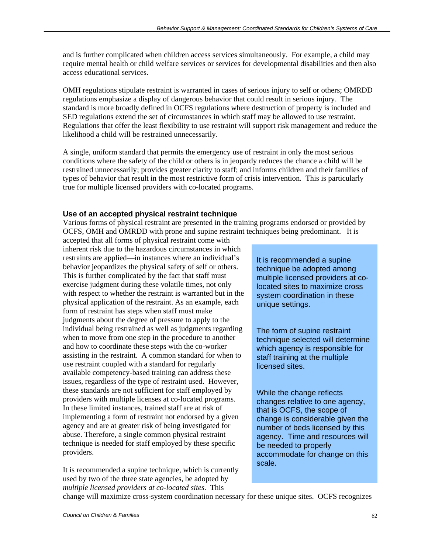and is further complicated when children access services simultaneously. For example, a child may require mental health or child welfare services or services for developmental disabilities and then also access educational services.

OMH regulations stipulate restraint is warranted in cases of serious injury to self or others; OMRDD regulations emphasize a display of dangerous behavior that could result in serious injury. The standard is more broadly defined in OCFS regulations where destruction of property is included and SED regulations extend the set of circumstances in which staff may be allowed to use restraint. Regulations that offer the least flexibility to use restraint will support risk management and reduce the likelihood a child will be restrained unnecessarily.

A single, uniform standard that permits the emergency use of restraint in only the most serious conditions where the safety of the child or others is in jeopardy reduces the chance a child will be restrained unnecessarily; provides greater clarity to staff; and informs children and their families of types of behavior that result in the most restrictive form of crisis intervention. This is particularly true for multiple licensed providers with co-located programs.

#### **Use of an accepted physical restraint technique**

Various forms of physical restraint are presented in the training programs endorsed or provided by OCFS, OMH and OMRDD with prone and supine restraint techniques being predominant. It is

accepted that all forms of physical restraint come with inherent risk due to the hazardous circumstances in which restraints are applied—in instances where an individual's behavior jeopardizes the physical safety of self or others. This is further complicated by the fact that staff must exercise judgment during these volatile times, not only with respect to whether the restraint is warranted but in the physical application of the restraint. As an example, each form of restraint has steps when staff must make judgments about the degree of pressure to apply to the individual being restrained as well as judgments regarding when to move from one step in the procedure to another and how to coordinate these steps with the co-worker assisting in the restraint. A common standard for when to use restraint coupled with a standard for regularly available competency-based training can address these issues, regardless of the type of restraint used. However, these standards are not sufficient for staff employed by providers with multiple licenses at co-located programs. In these limited instances, trained staff are at risk of implementing a form of restraint not endorsed by a given agency and are at greater risk of being investigated for abuse. Therefore, a single common physical restraint technique is needed for staff employed by these specific providers.

It is recommended a supine technique, which is currently used by two of the three state agencies, be adopted by *multiple licensed providers at co-located sites*. This

It is recommended a supine technique be adopted among multiple licensed providers at colocated sites to maximize cross system coordination in these unique settings.

The form of supine restraint technique selected will determine which agency is responsible for staff training at the multiple licensed sites.

While the change reflects changes relative to one agency, that is OCFS, the scope of change is considerable given the number of beds licensed by this agency. Time and resources will be needed to properly accommodate for change on this scale.

change will maximize cross-system coordination necessary for these unique sites. OCFS recognizes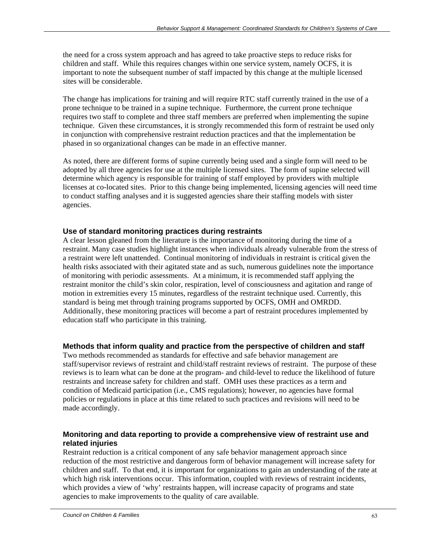the need for a cross system approach and has agreed to take proactive steps to reduce risks for children and staff. While this requires changes within one service system, namely OCFS, it is important to note the subsequent number of staff impacted by this change at the multiple licensed sites will be considerable.

The change has implications for training and will require RTC staff currently trained in the use of a prone technique to be trained in a supine technique. Furthermore, the current prone technique requires two staff to complete and three staff members are preferred when implementing the supine technique. Given these circumstances, it is strongly recommended this form of restraint be used only in conjunction with comprehensive restraint reduction practices and that the implementation be phased in so organizational changes can be made in an effective manner.

As noted, there are different forms of supine currently being used and a single form will need to be adopted by all three agencies for use at the multiple licensed sites. The form of supine selected will determine which agency is responsible for training of staff employed by providers with multiple licenses at co-located sites. Prior to this change being implemented, licensing agencies will need time to conduct staffing analyses and it is suggested agencies share their staffing models with sister agencies.

#### **Use of standard monitoring practices during restraints**

A clear lesson gleaned from the literature is the importance of monitoring during the time of a restraint. Many case studies highlight instances when individuals already vulnerable from the stress of a restraint were left unattended. Continual monitoring of individuals in restraint is critical given the health risks associated with their agitated state and as such, numerous guidelines note the importance of monitoring with periodic assessments. At a minimum, it is recommended staff applying the restraint monitor the child's skin color, respiration, level of consciousness and agitation and range of motion in extremities every 15 minutes, regardless of the restraint technique used. Currently, this standard is being met through training programs supported by OCFS, OMH and OMRDD. Additionally, these monitoring practices will become a part of restraint procedures implemented by education staff who participate in this training.

#### **Methods that inform quality and practice from the perspective of children and staff**

Two methods recommended as standards for effective and safe behavior management are staff/supervisor reviews of restraint and child/staff restraint reviews of restraint. The purpose of these reviews is to learn what can be done at the program- and child-level to reduce the likelihood of future restraints and increase safety for children and staff. OMH uses these practices as a term and condition of Medicaid participation (i.e., CMS regulations); however, no agencies have formal policies or regulations in place at this time related to such practices and revisions will need to be made accordingly.

#### **Monitoring and data reporting to provide a comprehensive view of restraint use and related injuries**

Restraint reduction is a critical component of any safe behavior management approach since reduction of the most restrictive and dangerous form of behavior management will increase safety for children and staff. To that end, it is important for organizations to gain an understanding of the rate at which high risk interventions occur. This information, coupled with reviews of restraint incidents, which provides a view of 'why' restraints happen, will increase capacity of programs and state agencies to make improvements to the quality of care available.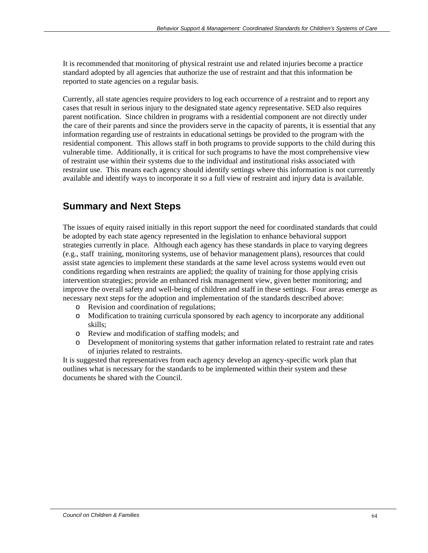It is recommended that monitoring of physical restraint use and related injuries become a practice standard adopted by all agencies that authorize the use of restraint and that this information be reported to state agencies on a regular basis.

Currently, all state agencies require providers to log each occurrence of a restraint and to report any cases that result in serious injury to the designated state agency representative. SED also requires parent notification. Since children in programs with a residential component are not directly under the care of their parents and since the providers serve in the capacity of parents, it is essential that any information regarding use of restraints in educational settings be provided to the program with the residential component. This allows staff in both programs to provide supports to the child during this vulnerable time. Additionally, it is critical for such programs to have the most comprehensive view of restraint use within their systems due to the individual and institutional risks associated with restraint use. This means each agency should identify settings where this information is not currently available and identify ways to incorporate it so a full view of restraint and injury data is available.

## **Summary and Next Steps**

The issues of equity raised initially in this report support the need for coordinated standards that could be adopted by each state agency represented in the legislation to enhance behavioral support strategies currently in place. Although each agency has these standards in place to varying degrees (e.g., staff training, monitoring systems, use of behavior management plans), resources that could assist state agencies to implement these standards at the same level across systems would even out conditions regarding when restraints are applied; the quality of training for those applying crisis intervention strategies; provide an enhanced risk management view, given better monitoring; and improve the overall safety and well-being of children and staff in these settings. Four areas emerge as necessary next steps for the adoption and implementation of the standards described above:

- o Revision and coordination of regulations;
- o Modification to training curricula sponsored by each agency to incorporate any additional skills;
- o Review and modification of staffing models; and
- o Development of monitoring systems that gather information related to restraint rate and rates of injuries related to restraints.

It is suggested that representatives from each agency develop an agency-specific work plan that outlines what is necessary for the standards to be implemented within their system and these documents be shared with the Council.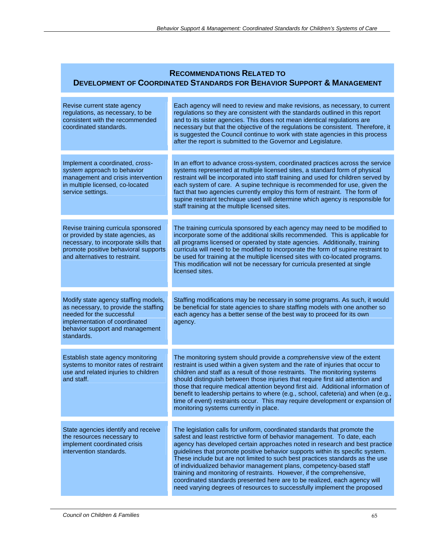### **RECOMMENDATIONS RELATED TO DEVELOPMENT OF COORDINATED STANDARDS FOR BEHAVIOR SUPPORT & MANAGEMENT**

| Revise current state agency<br>regulations, as necessary, to be<br>consistent with the recommended<br>coordinated standards.                                                                 | Each agency will need to review and make revisions, as necessary, to current<br>regulations so they are consistent with the standards outlined in this report<br>and to its sister agencies. This does not mean identical regulations are<br>necessary but that the objective of the regulations be consistent. Therefore, it<br>is suggested the Council continue to work with state agencies in this process<br>after the report is submitted to the Governor and Legislature.                                                                                                                                                                                                                                |
|----------------------------------------------------------------------------------------------------------------------------------------------------------------------------------------------|-----------------------------------------------------------------------------------------------------------------------------------------------------------------------------------------------------------------------------------------------------------------------------------------------------------------------------------------------------------------------------------------------------------------------------------------------------------------------------------------------------------------------------------------------------------------------------------------------------------------------------------------------------------------------------------------------------------------|
| Implement a coordinated, cross-<br>system approach to behavior<br>management and crisis intervention<br>in multiple licensed, co-located<br>service settings.                                | In an effort to advance cross-system, coordinated practices across the service<br>systems represented at multiple licensed sites, a standard form of physical<br>restraint will be incorporated into staff training and used for children served by<br>each system of care. A supine technique is recommended for use, given the<br>fact that two agencies currently employ this form of restraint. The form of<br>supine restraint technique used will determine which agency is responsible for<br>staff training at the multiple licensed sites.                                                                                                                                                             |
| Revise training curricula sponsored<br>or provided by state agencies, as<br>necessary, to incorporate skills that<br>promote positive behavioral supports<br>and alternatives to restraint.  | The training curricula sponsored by each agency may need to be modified to<br>incorporate some of the additional skills recommended. This is applicable for<br>all programs licensed or operated by state agencies. Additionally, training<br>curricula will need to be modified to incorporate the form of supine restraint to<br>be used for training at the multiple licensed sites with co-located programs.<br>This modification will not be necessary for curricula presented at single<br>licensed sites.                                                                                                                                                                                                |
| Modify state agency staffing models,<br>as necessary, to provide the staffing<br>needed for the successful<br>implementation of coordinated<br>behavior support and management<br>standards. | Staffing modifications may be necessary in some programs. As such, it would<br>be beneficial for state agencies to share staffing models with one another so<br>each agency has a better sense of the best way to proceed for its own<br>agency.                                                                                                                                                                                                                                                                                                                                                                                                                                                                |
| Establish state agency monitoring<br>systems to monitor rates of restraint<br>use and related injuries to children<br>and staff.                                                             | The monitoring system should provide a comprehensive view of the extent<br>restraint is used within a given system and the rate of injuries that occur to<br>children and staff as a result of those restraints. The monitoring systems<br>should distinguish between those injuries that require first aid attention and<br>those that require medical attention beyond first aid. Additional information of<br>benefit to leadership pertains to where (e.g., school, cafeteria) and when (e.g.,<br>time of event) restraints occur. This may require development or expansion of<br>monitoring systems currently in place.                                                                                   |
| State agencies identify and receive<br>the resources necessary to<br>implement coordinated crisis<br>intervention standards.                                                                 | The legislation calls for uniform, coordinated standards that promote the<br>safest and least restrictive form of behavior management. To date, each<br>agency has developed certain approaches noted in research and best practice<br>guidelines that promote positive behavior supports within its specific system.<br>These include but are not limited to such best practices standards as the use<br>of individualized behavior management plans, competency-based staff<br>training and monitoring of restraints. However, if the comprehensive,<br>coordinated standards presented here are to be realized, each agency will<br>need varying degrees of resources to successfully implement the proposed |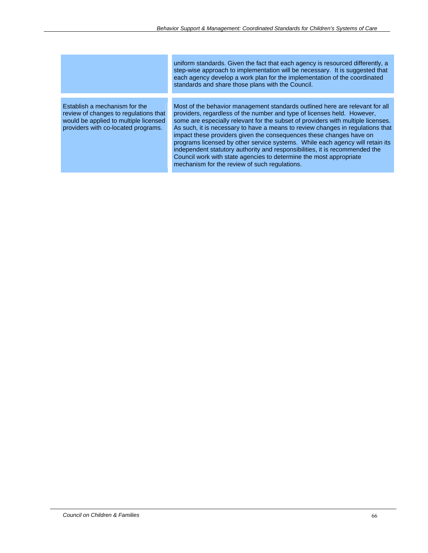uniform standards. Given the fact that each agency is resourced differently, a step-wise approach to implementation will be necessary. It is suggested that each agency develop a work plan for the implementation of the coordinated standards and share those plans with the Council.

Establish a mechanism for the review of changes to regulations that would be applied to multiple licensed providers with co-located programs.

Most of the behavior management standards outlined here are relevant for all providers, regardless of the number and type of licenses held. However, some are especially relevant for the subset of providers with multiple licenses. As such, it is necessary to have a means to review changes in regulations that impact these providers given the consequences these changes have on programs licensed by other service systems. While each agency will retain its independent statutory authority and responsibilities, it is recommended the Council work with state agencies to determine the most appropriate mechanism for the review of such regulations.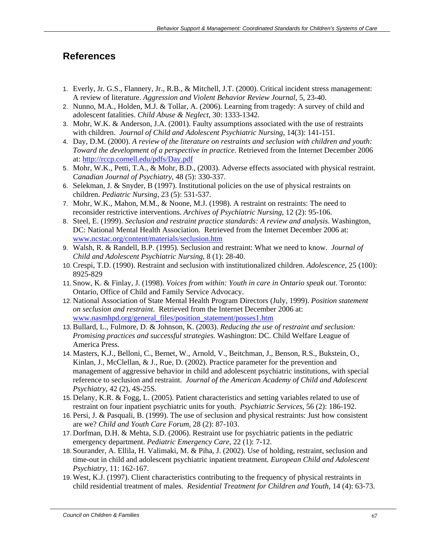### **References**

- 1. Everly, Jr. G.S., Flannery, Jr., R.B., & Mitchell, J.T. (2000). Critical incident stress management: A review of literature. *Aggression and Violent Behavior Review Journal*, 5, 23-40.
- 2. Nunno, M.A., Holden, M.J. & Tollar, A. (2006). Learning from tragedy: A survey of child and adolescent fatalities. *Child Abuse & Neglect*, 30: 1333-1342.
- 3. Mohr, W.K. & Anderson, J.A. (2001). Faulty assumptions associated with the use of restraints with children. *Journal of Child and Adolescent Psychiatric Nursing*, 14(3): 141-151.
- 4. Day, D.M. (2000). *A review of the literature on restraints and seclusion with children and youth: Toward the development of a perspective in practice*. Retrieved from the Internet December 2006 at: http://rccp.cornell.edu/pdfs/Day.pdf
- 5. Mohr, W.K., Petti, T.A., & Mohr, B.D., (2003). Adverse effects associated with physical restraint. *Canadian Journal of Psychiatry*, 48 (5): 330-337.
- 6. Selekman, J. & Snyder, B (1997). Institutional policies on the use of physical restraints on children. *Pediatric Nursing*, 23 (5): 531-537.
- 7. Mohr, W.K., Mahon, M.M., & Noone, M.J. (1998). A restraint on restraints: The need to reconsider restrictive interventions. *Archives of Psychiatric Nursing*, 12 (2): 95-106.
- 8. Steel, E. (1999). *Seclusion and restraint practice standards: A review and analysis*. Washington, DC: National Mental Health Association. Retrieved from the Internet December 2006 at: www.ncstac.org/content/materials/seclusion.htm
- 9. Walsh, R. & Randell, B.P. (1995). Seclusion and restraint: What we need to know. *Journal of Child and Adolescent Psychiatric Nursing*, 8 (1): 28-40.
- 10. Crespi, T.D. (1990). Restraint and seclusion with institutionalized children. *Adolescence*, 25 (100): 8925-829
- 11. Snow, K. & Finlay, J. (1998). *Voices from within: Youth in care in Ontario speak out*. Toronto: Ontario, Office of Child and Family Service Advocacy.
- 12. National Association of State Mental Health Program Directors (July, 1999). *Position statement on seclusion and restraint*. Retrieved from the Internet December 2006 at: www.nasmhpd.org/general\_files/position\_statement/posses1.htm
- 13. Bullard, L., Fulmore, D. & Johnson, K. (2003). *Reducing the use of restraint and seclusion: Promising practices and successful strategies.* Washington: DC. Child Welfare League of America Press.
- 14. Masters, K.J., Belloni, C., Bernet, W., Arnold, V., Beitchman, J., Benson, R.S., Bukstein, O., Kinlan, J., McClellan, & J., Rue, D. (2002). Practice parameter for the prevention and management of aggressive behavior in child and adolescent psychiatric institutions, with special reference to seclusion and restraint. *Journal of the American Academy of Child and Adolescent Psychiatry*, 42 (2), 4S-25S.
- 15. Delany, K.R. & Fogg, L. (2005). Patient characteristics and setting variables related to use of restraint on four inpatient psychiatric units for youth. *Psychiatric Services*, 56 (2): 186-192.
- 16. Persi, J. & Pasquali, B. (1999). The use of seclusion and physical restraints: Just how consistent are we? *Child and Youth Care Forum*, 28 (2): 87-103.
- 17. Dorfman, D.H. & Mehta, S.D. (2006). Restraint use for psychiatric patients in the pediatric emergency department. *Pediatric Emergency Care*, 22 (1): 7-12.
- 18. Sourander, A. Ellila, H. Valimaki, M. & Piha, J. (2002). Use of holding, restraint, seclusion and time-out in child and adolescent psychiatric inpatient treatment*. European Child and Adolescent Psychiatry,* 11: 162-167.
- 19. West, K.J. (1997). Client characteristics contributing to the frequency of physical restraints in child residential treatment of males. *Residential Treatment for Children and Youth*, 14 (4): 63-73.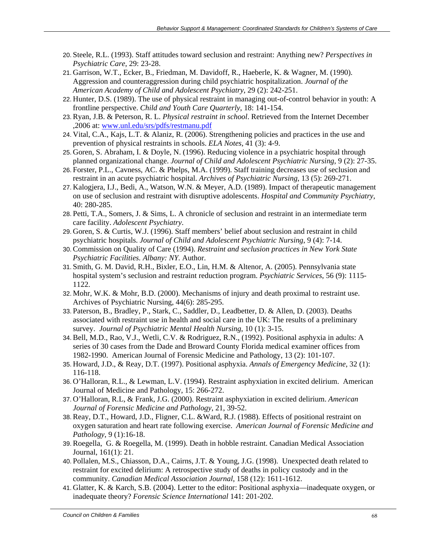- 20. Steele, R.L. (1993). Staff attitudes toward seclusion and restraint: Anything new? *Perspectives in Psychiatric Care*, 29: 23-28.
- 21. Garrison, W.T., Ecker, B., Friedman, M. Davidoff, R., Haeberle, K. & Wagner, M. (1990). Aggression and counteraggression during child psychiatric hospitalization. *Journal of the American Academy of Child and Adolescent Psychiatry*, 29 (2): 242-251.
- 22. Hunter, D.S. (1989). The use of physical restraint in managing out-of-control behavior in youth: A frontline perspective. *Child and Youth Care Quarterly*, 18: 141-154.
- 23. Ryan, J.B. & Peterson, R. L. *Physical restraint in school*. Retrieved from the Internet December ,2006 at: www.unl.edu/srs/pdfs/restmanu.pdf
- 24. Vital, C.A., Kajs, L.T. & Alaniz, R. (2006). Strengthening policies and practices in the use and prevention of physical restraints in schools. *ELA Notes*, 41 (3): 4-9.
- 25. Goren, S. Abraham, I. & Doyle, N. (1996). Reducing violence in a psychiatric hospital through planned organizational change. *Journal of Child and Adolescent Psychiatric Nursing*, 9 (2): 27-35.
- 26. Forster, P.L., Cavness, AC. & Phelps, M.A. (1999). Staff training decreases use of seclusion and restraint in an acute psychiatric hospital. *Archives of Psychiatric Nursing*, 13 (5): 269-271.
- 27. Kalogjera, I.J., Bedi, A., Watson, W.N. & Meyer, A.D. (1989). Impact of therapeutic management on use of seclusion and restraint with disruptive adolescents. *Hospital and Community Psychiatry*, 40: 280-285.
- 28. Petti, T.A., Somers, J. & Sims, L. A chronicle of seclusion and restraint in an intermediate term care facility. *Adolescent Psychiatry*.
- 29. Goren, S. & Curtis, W.J. (1996). Staff members' belief about seclusion and restraint in child psychiatric hospitals. *Journal of Child and Adolescent Psychiatric Nursing*, 9 (4): 7-14.
- 30. Commission on Quality of Care (1994). *Restraint and seclusion practices in New York State Psychiatric Facilities. Albany: NY.* Author.
- 31. Smith, G. M. David, R.H., Bixler, E.O., Lin, H.M. & Altenor, A. (2005). Pennsylvania state hospital system's seclusion and restraint reduction program. *Psychiatric Services*, 56 (9): 1115- 1122.
- 32. Mohr, W.K. & Mohr, B.D. (2000). Mechanisms of injury and death proximal to restraint use. Archives of Psychiatric Nursing, 44(6): 285-295.
- 33. Paterson, B., Bradley, P., Stark, C., Saddler, D., Leadbetter, D. & Allen, D. (2003). Deaths associated with restraint use in health and social care in the UK: The results of a preliminary survey. *Journal of Psychiatric Mental Health Nursing*, 10 (1): 3-15.
- 34. Bell, M.D., Rao, V.J., Wetli, C.V. & Rodriguez, R.N., (1992). Positional asphyxia in adults: A series of 30 cases from the Dade and Broward County Florida medical examiner offices from 1982-1990. American Journal of Forensic Medicine and Pathology, 13 (2): 101-107.
- 35. Howard, J.D., & Reay, D.T. (1997). Positional asphyxia. *Annals of Emergency Medicine*, 32 (1): 116-118.
- 36. O'Halloran, R.L., & Lewman, L.V. (1994). Restraint asphyxiation in excited delirium. American Journal of Medicine and Pathology, 15: 266-272.
- 37. O'Halloran, R.L, & Frank, J.G. (2000). Restraint asphyxiation in excited delirium. *American Journal of Forensic Medicine and Pathology*, 21, 39-52.
- 38. Reay, D.T., Howard, J.D., Fligner, C.L. &Ward, R.J. (1988). Effects of positional restraint on oxygen saturation and heart rate following exercise. *American Journal of Forensic Medicine and Pathology*, 9 (1):16-18.
- 39. Roegella, G. & Roegella, M. (1999). Death in hobble restraint. Canadian Medical Association Journal, 161(1): 21.
- 40. Pollalen, M.S., Chiasson, D.A., Cairns, J.T. & Young, J.G. (1998). Unexpected death related to restraint for excited delirium: A retrospective study of deaths in policy custody and in the community. *Canadian Medical Association Journal*, 158 (12): 1611-1612.
- 41. Glatter, K. & Karch, S.B. (2004). Letter to the editor: Positional asphyxia—inadequate oxygen, or inadequate theory? *Forensic Science International* 141: 201-202.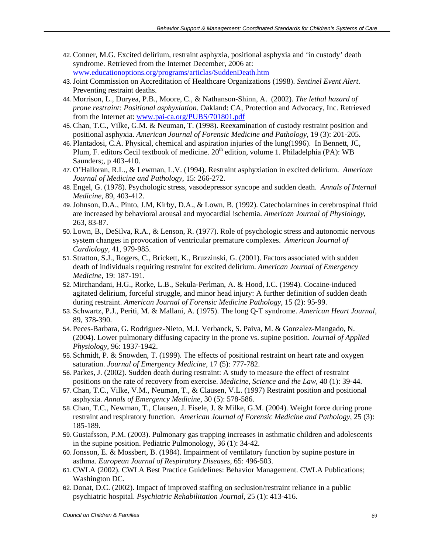- 42. Conner, M.G. Excited delirium, restraint asphyxia, positional asphyxia and 'in custody' death syndrome. Retrieved from the Internet December, 2006 at: www.educationoptions.org/programs/articlas/SuddenDeath.htm
- 43. Joint Commission on Accreditation of Healthcare Organizations (1998). *Sentinel Event Alert*. Preventing restraint deaths.
- 44. Morrison, L., Duryea, P.B., Moore, C., & Nathanson-Shinn, A. (2002). *The lethal hazard of prone restraint: Positional asphyxiation*. Oakland: CA, Protection and Advocacy, Inc. Retrieved from the Internet at: www.pai-ca.org/PUBS/701801.pdf
- 45. Chan, T.C., Vilke, G.M. & Neuman, T. (1998). Reexamination of custody restraint position and positional asphyxia. *American Journal of Forensic Medicine and Pathology*, 19 (3): 201-205.
- 46. Plantadosi, C.A. Physical, chemical and aspiration injuries of the lung(1996). In Bennett, JC, Plum, F. editors Cecil textbook of medicine.  $20<sup>th</sup>$  edition, volume 1. Philadelphia (PA): WB Saunders;, p 403-410.
- 47. O'Halloran, R.L., & Lewman, L.V. (1994). Restraint asphyxiation in excited delirium. *American Journal of Medicine and Pathology*, 15: 266-272.
- 48. Engel, G. (1978). Psychologic stress, vasodepressor syncope and sudden death. *Annals of Internal Medicine*, 89, 403-412.
- 49. Johnson, D.A., Pinto, J.M, Kirby, D.A., & Lown, B. (1992). Catecholarnines in cerebrospinal fluid are increased by behavioral arousal and myocardial ischemia. *American Journal of Physiology*, 263, 83-87.
- 50. Lown, B., DeSilva, R.A., & Lenson, R. (1977). Role of psychologic stress and autonomic nervous system changes in provocation of ventricular premature complexes. *American Journal of Cardiology*, 41, 979-985.
- 51. Stratton, S.J., Rogers, C., Brickett, K., Bruzzinski, G. (2001). Factors associated with sudden death of individuals requiring restraint for excited delirium. *American Journal of Emergency Medicine*, 19: 187-191.
- 52. Mirchandani, H.G., Rorke, L.B., Sekula-Perlman, A. & Hood, I.C. (1994). Cocaine-induced agitated delirium, forceful struggle, and minor head injury: A further definition of sudden death during restraint. *American Journal of Forensic Medicine Pathology*, 15 (2): 95-99.
- 53. Schwartz, P.J., Periti, M. & Mallani, A. (1975). The long Q-T syndrome. *American Heart Journal*, 89, 378-390.
- 54. Peces-Barbara, G. Rodriguez-Nieto, M.J. Verbanck, S. Paiva, M. & Gonzalez-Mangado, N. (2004). Lower pulmonary diffusing capacity in the prone vs. supine position. *Journal of Applied Physiology*, 96: 1937-1942.
- 55. Schmidt, P. & Snowden, T. (1999). The effects of positional restraint on heart rate and oxygen saturation. *Journal of Emergency Medicine*, 17 (5): 777-782.
- 56. Parkes, J. (2002). Sudden death during restraint: A study to measure the effect of restraint positions on the rate of recovery from exercise. *Medicine, Science and the Law*, 40 (1): 39-44.
- 57. Chan, T.C., Vilke, V.M., Neuman, T., & Clausen, V.L. (1997) Restraint position and positional asphyxia. *Annals of Emergency Medicine*, 30 (5): 578-586.
- 58. Chan, T.C., Newman, T., Clausen, J. Eisele, J. & Milke, G.M. (2004). Weight force during prone restraint and respiratory function. *American Journal of Forensic Medicine and Pathology*, 25 (3): 185-189.
- 59. Gustafsson, P.M. (2003). Pulmonary gas trapping increases in asthmatic children and adolescents in the supine position. Pediatric Pulmonology, 36 (1): 34-42.
- 60. Jonsson, E. & Mossbert, B. (1984). Impairment of ventilatory function by supine posture in asthma. *European Journal of Respiratory Diseases*, 65: 496-503.
- 61. CWLA (2002). CWLA Best Practice Guidelines: Behavior Management. CWLA Publications; Washington DC.
- 62. Donat, D.C. (2002). Impact of improved staffing on seclusion/restraint reliance in a public psychiatric hospital. *Psychiatric Rehabilitation Journal*, 25 (1): 413-416.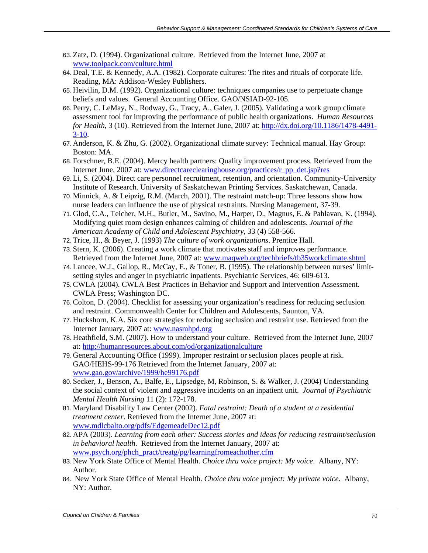- 63. Zatz, D. (1994). Organizational culture. Retrieved from the Internet June, 2007 at www.toolpack.com/culture.html
- 64. Deal, T.E. & Kennedy, A.A. (1982). Corporate cultures: The rites and rituals of corporate life. Reading, MA: Addison-Wesley Publishers.
- 65. Heivilin, D.M. (1992). Organizational culture: techniques companies use to perpetuate change beliefs and values. General Accounting Office. GAO/NSIAD-92-105.
- 66. Perry, C. LeMay, N., Rodway, G., Tracy, A., Galer, J. (2005). Validating a work group climate assessment tool for improving the performance of public health organizations. *Human Resources for Health*, 3 (10). Retrieved from the Internet June, 2007 at: http://dx.doi.org/10.1186/1478-4491-  $3-10.$
- 67. Anderson, K. & Zhu, G. (2002). Organizational climate survey: Technical manual. Hay Group: Boston: MA.
- 68. Forschner, B.E. (2004). Mercy health partners: Quality improvement process. Retrieved from the Internet June, 2007 at: www.directcareclearinghouse.org/practices/r\_pp\_det.jsp?res
- 69. Li, S. (2004). Direct care personnel recruitment, retention, and orientation. Community-University Institute of Research. University of Saskatchewan Printing Services. Saskatchewan, Canada.
- 70. Minnick, A. & Leipzig, R.M. (March, 2001). The restraint match-up: Three lessons show how nurse leaders can influence the use of physical restraints. Nursing Management, 37-39.
- 71. Glod, C.A., Teicher, M.H., Butler, M., Savino, M., Harper, D., Magnus, E. & Pahlavan, K. (1994). Modifying quiet room design enhances calming of children and adolescents. *Journal of the American Academy of Child and Adolescent Psychiatry*, 33 (4) 558-566.
- 72. Trice, H., & Beyer, J. (1993) *The culture of work organizations*. Prentice Hall.
- 73. Stern, K. (2006). Creating a work climate that motivates staff and improves performance. Retrieved from the Internet June, 2007 at: www.maqweb.org/techbriefs/tb35workclimate.shtml
- 74. Lancee, W.J., Gallop, R., McCay, E., & Toner, B. (1995). The relationship between nurses' limitsetting styles and anger in psychiatric inpatients. Psychiatric Services, 46: 609-613.
- 75. CWLA (2004). CWLA Best Practices in Behavior and Support and Intervention Assessment. CWLA Press; Washington DC.
- 76. Colton, D. (2004). Checklist for assessing your organization's readiness for reducing seclusion and restraint. Commonwealth Center for Children and Adolescents, Saunton, VA.
- 77. Huckshorn, K.A. Six core strategies for reducing seclusion and restraint use. Retrieved from the Internet January, 2007 at: www.nasmhpd.org
- 78. Heathfield, S.M. (2007). How to understand your culture. Retrieved from the Internet June, 2007 at: http://humanresources.about.com/od/organizationalculture
- 79. General Accounting Office (1999). Improper restraint or seclusion places people at risk. GAO/HEHS-99-176 Retrieved from the Internet January, 2007 at: www.gao.gov/archive/1999/he99176.pdf
- 80. Secker, J., Benson, A., Balfe, E., Lipsedge, M, Robinson, S. & Walker, J. (2004) Understanding the social context of violent and aggressive incidents on an inpatient unit. *Journal of Psychiatric Mental Health Nursing* 11 (2): 172-178.
- 81. Maryland Disability Law Center (2002). *Fatal restraint: Death of a student at a residential treatment center*. Retrieved from the Internet June, 2007 at: www.mdlcbalto.org/pdfs/EdgemeadeDec12.pdf
- 82. APA (2003). *Learning from each other: Success stories and ideas for reducing restraint/seclusion in behavioral health*. Retrieved from the Internet January, 2007 at: www.psych.org/phch\_pract/treatg/pg/learningfromeachother.cfm
- 83. New York State Office of Mental Health. *Choice thru voice project: My voice*. Albany, NY: Author.
- 84. New York State Office of Mental Health. *Choice thru voice project: My private voice*. Albany, NY: Author.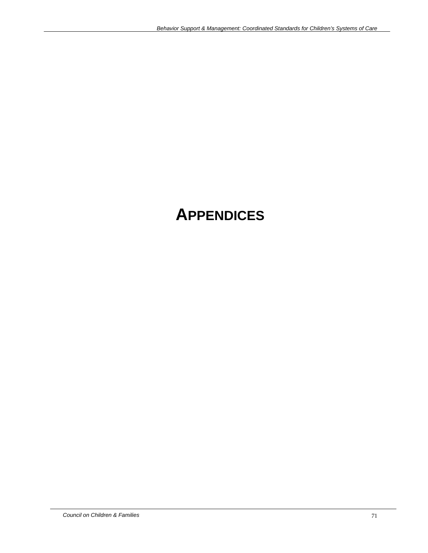## **APPENDICES**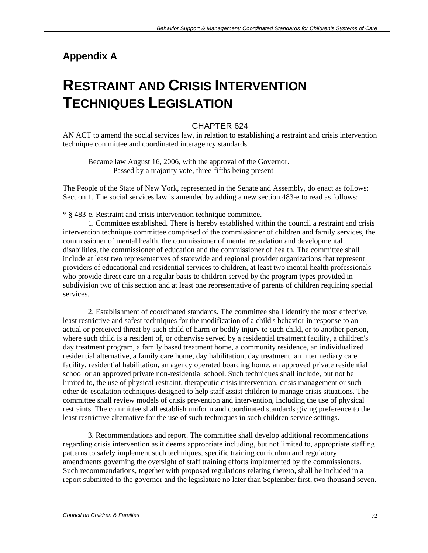## **Appendix A**

## **RESTRAINT AND CRISIS INTERVENTION TECHNIQUES LEGISLATION**

#### CHAPTER 624

AN ACT to amend the social services law, in relation to establishing a restraint and crisis intervention technique committee and coordinated interagency standards

Became law August 16, 2006, with the approval of the Governor. Passed by a majority vote, three-fifths being present

The People of the State of New York, represented in the Senate and Assembly, do enact as follows: Section 1. The social services law is amended by adding a new section 483-e to read as follows:

\* § 483-e. Restraint and crisis intervention technique committee.

1. Committee established. There is hereby established within the council a restraint and crisis intervention technique committee comprised of the commissioner of children and family services, the commissioner of mental health, the commissioner of mental retardation and developmental disabilities, the commissioner of education and the commissioner of health. The committee shall include at least two representatives of statewide and regional provider organizations that represent providers of educational and residential services to children, at least two mental health professionals who provide direct care on a regular basis to children served by the program types provided in subdivision two of this section and at least one representative of parents of children requiring special services.

2. Establishment of coordinated standards. The committee shall identify the most effective, least restrictive and safest techniques for the modification of a child's behavior in response to an actual or perceived threat by such child of harm or bodily injury to such child, or to another person, where such child is a resident of, or otherwise served by a residential treatment facility, a children's day treatment program, a family based treatment home, a community residence, an individualized residential alternative, a family care home, day habilitation, day treatment, an intermediary care facility, residential habilitation, an agency operated boarding home, an approved private residential school or an approved private non-residential school. Such techniques shall include, but not be limited to, the use of physical restraint, therapeutic crisis intervention, crisis management or such other de-escalation techniques designed to help staff assist children to manage crisis situations. The committee shall review models of crisis prevention and intervention, including the use of physical restraints. The committee shall establish uniform and coordinated standards giving preference to the least restrictive alternative for the use of such techniques in such children service settings.

3. Recommendations and report. The committee shall develop additional recommendations regarding crisis intervention as it deems appropriate including, but not limited to, appropriate staffing patterns to safely implement such techniques, specific training curriculum and regulatory amendments governing the oversight of staff training efforts implemented by the commissioners. Such recommendations, together with proposed regulations relating thereto, shall be included in a report submitted to the governor and the legislature no later than September first, two thousand seven.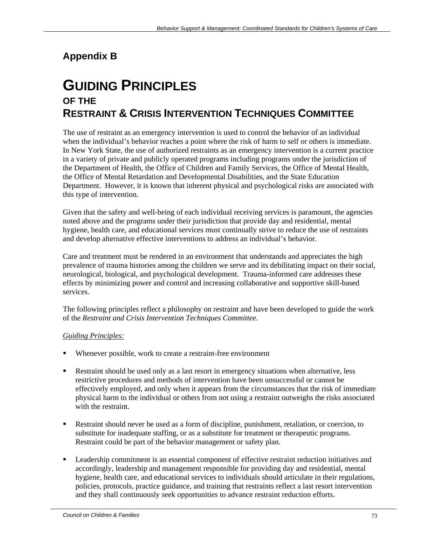# **Appendix B**

# **GUIDING PRINCIPLES OF THE RESTRAINT & CRISIS INTERVENTION TECHNIQUES COMMITTEE**

The use of restraint as an emergency intervention is used to control the behavior of an individual when the individual's behavior reaches a point where the risk of harm to self or others is immediate. In New York State, the use of authorized restraints as an emergency intervention is a current practice in a variety of private and publicly operated programs including programs under the jurisdiction of the Department of Health, the Office of Children and Family Services, the Office of Mental Health, the Office of Mental Retardation and Developmental Disabilities, and the State Education Department. However, it is known that inherent physical and psychological risks are associated with this type of intervention.

Given that the safety and well-being of each individual receiving services is paramount, the agencies noted above and the programs under their jurisdiction that provide day and residential, mental hygiene, health care, and educational services must continually strive to reduce the use of restraints and develop alternative effective interventions to address an individual's behavior.

Care and treatment must be rendered in an environment that understands and appreciates the high prevalence of trauma histories among the children we serve and its debilitating impact on their social, neurological, biological, and psychological development. Trauma-informed care addresses these effects by minimizing power and control and increasing collaborative and supportive skill-based services.

The following principles reflect a philosophy on restraint and have been developed to guide the work of the *Restraint and Crisis Intervention Techniques Committee*.

# *Guiding Principles:*

- Whenever possible, work to create a restraint-free environment
- Restraint should be used only as a last resort in emergency situations when alternative, less restrictive procedures and methods of intervention have been unsuccessful or cannot be effectively employed, and only when it appears from the circumstances that the risk of immediate physical harm to the individual or others from not using a restraint outweighs the risks associated with the restraint.
- Restraint should never be used as a form of discipline, punishment, retaliation, or coercion, to substitute for inadequate staffing, or as a substitute for treatment or therapeutic programs. Restraint could be part of the behavior management or safety plan.
- Leadership commitment is an essential component of effective restraint reduction initiatives and accordingly, leadership and management responsible for providing day and residential, mental hygiene, health care, and educational services to individuals should articulate in their regulations, policies, protocols, practice guidance, and training that restraints reflect a last resort intervention and they shall continuously seek opportunities to advance restraint reduction efforts.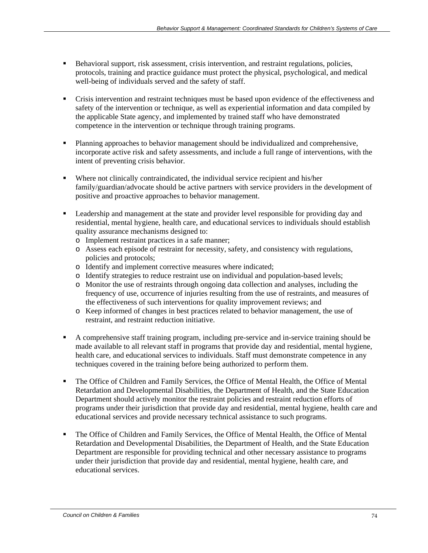- **Behavioral support, risk assessment, crisis intervention, and restraint regulations, policies,** protocols, training and practice guidance must protect the physical, psychological, and medical well-being of individuals served and the safety of staff.
- Crisis intervention and restraint techniques must be based upon evidence of the effectiveness and safety of the intervention or technique, as well as experiential information and data compiled by the applicable State agency, and implemented by trained staff who have demonstrated competence in the intervention or technique through training programs.
- Planning approaches to behavior management should be individualized and comprehensive, incorporate active risk and safety assessments, and include a full range of interventions, with the intent of preventing crisis behavior.
- Where not clinically contraindicated, the individual service recipient and his/her family/guardian/advocate should be active partners with service providers in the development of positive and proactive approaches to behavior management.
- **Example 1** Leadership and management at the state and provider level responsible for providing day and residential, mental hygiene, health care, and educational services to individuals should establish quality assurance mechanisms designed to:
	- o Implement restraint practices in a safe manner;
	- o Assess each episode of restraint for necessity, safety, and consistency with regulations, policies and protocols;
	- o Identify and implement corrective measures where indicated;
	- o Identify strategies to reduce restraint use on individual and population-based levels;
	- o Monitor the use of restraints through ongoing data collection and analyses, including the frequency of use, occurrence of injuries resulting from the use of restraints, and measures of the effectiveness of such interventions for quality improvement reviews; and
	- o Keep informed of changes in best practices related to behavior management, the use of restraint, and restraint reduction initiative.
- A comprehensive staff training program, including pre-service and in-service training should be made available to all relevant staff in programs that provide day and residential, mental hygiene, health care, and educational services to individuals. Staff must demonstrate competence in any techniques covered in the training before being authorized to perform them.
- The Office of Children and Family Services, the Office of Mental Health, the Office of Mental Retardation and Developmental Disabilities, the Department of Health, and the State Education Department should actively monitor the restraint policies and restraint reduction efforts of programs under their jurisdiction that provide day and residential, mental hygiene, health care and educational services and provide necessary technical assistance to such programs.
- The Office of Children and Family Services, the Office of Mental Health, the Office of Mental Retardation and Developmental Disabilities, the Department of Health, and the State Education Department are responsible for providing technical and other necessary assistance to programs under their jurisdiction that provide day and residential, mental hygiene, health care, and educational services.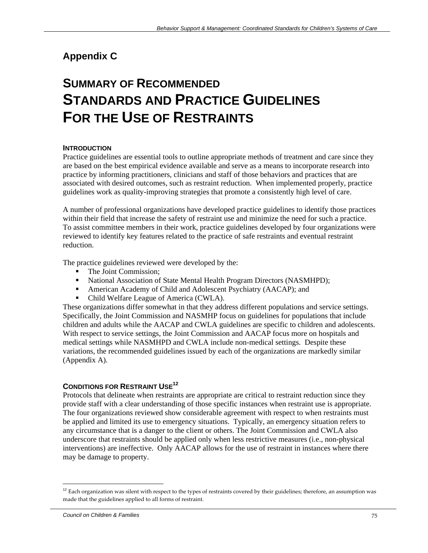# **Appendix C**

# **SUMMARY OF RECOMMENDED STANDARDS AND PRACTICE GUIDELINES FOR THE USE OF RESTRAINTS**

## **INTRODUCTION**

Practice guidelines are essential tools to outline appropriate methods of treatment and care since they are based on the best empirical evidence available and serve as a means to incorporate research into practice by informing practitioners, clinicians and staff of those behaviors and practices that are associated with desired outcomes, such as restraint reduction. When implemented properly, practice guidelines work as quality-improving strategies that promote a consistently high level of care.

A number of professional organizations have developed practice guidelines to identify those practices within their field that increase the safety of restraint use and minimize the need for such a practice. To assist committee members in their work, practice guidelines developed by four organizations were reviewed to identify key features related to the practice of safe restraints and eventual restraint reduction.

The practice guidelines reviewed were developed by the:

- The Joint Commission;
- National Association of State Mental Health Program Directors (NASMHPD);
- American Academy of Child and Adolescent Psychiatry (AACAP); and
- Child Welfare League of America (CWLA).

These organizations differ somewhat in that they address different populations and service settings. Specifically, the Joint Commission and NASMHP focus on guidelines for populations that include children and adults while the AACAP and CWLA guidelines are specific to children and adolescents. With respect to service settings, the Joint Commission and AACAP focus more on hospitals and medical settings while NASMHPD and CWLA include non-medical settings. Despite these variations, the recommended guidelines issued by each of the organizations are markedly similar (Appendix A).

#### **CONDITIONS FOR RESTRAINT USE12**

Protocols that delineate when restraints are appropriate are critical to restraint reduction since they provide staff with a clear understanding of those specific instances when restraint use is appropriate. The four organizations reviewed show considerable agreement with respect to when restraints must be applied and limited its use to emergency situations. Typically, an emergency situation refers to any circumstance that is a danger to the client or others. The Joint Commission and CWLA also underscore that restraints should be applied only when less restrictive measures (i.e., non-physical interventions) are ineffective. Only AACAP allows for the use of restraint in instances where there may be damage to property.

 $\overline{a}$ 

 $12$  Each organization was silent with respect to the types of restraints covered by their guidelines; therefore, an assumption was made that the guidelines applied to all forms of restraint.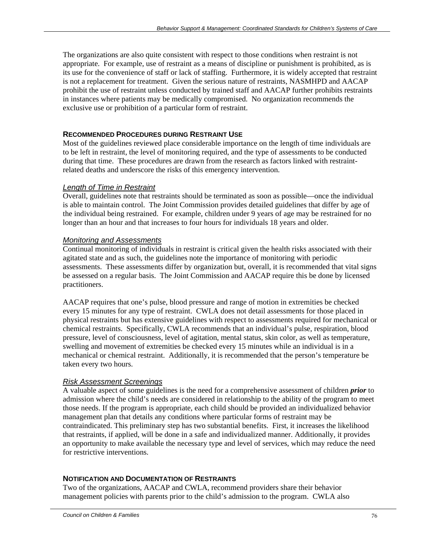The organizations are also quite consistent with respect to those conditions when restraint is not appropriate. For example, use of restraint as a means of discipline or punishment is prohibited, as is its use for the convenience of staff or lack of staffing. Furthermore, it is widely accepted that restraint is not a replacement for treatment. Given the serious nature of restraints, NASMHPD and AACAP prohibit the use of restraint unless conducted by trained staff and AACAP further prohibits restraints in instances where patients may be medically compromised. No organization recommends the exclusive use or prohibition of a particular form of restraint.

#### **RECOMMENDED PROCEDURES DURING RESTRAINT USE**

Most of the guidelines reviewed place considerable importance on the length of time individuals are to be left in restraint, the level of monitoring required, and the type of assessments to be conducted during that time. These procedures are drawn from the research as factors linked with restraintrelated deaths and underscore the risks of this emergency intervention.

#### *Length of Time in Restraint*

Overall, guidelines note that restraints should be terminated as soon as possible—once the individual is able to maintain control. The Joint Commission provides detailed guidelines that differ by age of the individual being restrained. For example, children under 9 years of age may be restrained for no longer than an hour and that increases to four hours for individuals 18 years and older.

#### *Monitoring and Assessments*

Continual monitoring of individuals in restraint is critical given the health risks associated with their agitated state and as such, the guidelines note the importance of monitoring with periodic assessments. These assessments differ by organization but, overall, it is recommended that vital signs be assessed on a regular basis. The Joint Commission and AACAP require this be done by licensed practitioners.

AACAP requires that one's pulse, blood pressure and range of motion in extremities be checked every 15 minutes for any type of restraint. CWLA does not detail assessments for those placed in physical restraints but has extensive guidelines with respect to assessments required for mechanical or chemical restraints. Specifically, CWLA recommends that an individual's pulse, respiration, blood pressure, level of consciousness, level of agitation, mental status, skin color, as well as temperature, swelling and movement of extremities be checked every 15 minutes while an individual is in a mechanical or chemical restraint. Additionally, it is recommended that the person's temperature be taken every two hours.

#### *Risk Assessment Screenings*

A valuable aspect of some guidelines is the need for a comprehensive assessment of children *prior* to admission where the child's needs are considered in relationship to the ability of the program to meet those needs. If the program is appropriate, each child should be provided an individualized behavior management plan that details any conditions where particular forms of restraint may be contraindicated. This preliminary step has two substantial benefits. First, it increases the likelihood that restraints, if applied, will be done in a safe and individualized manner. Additionally, it provides an opportunity to make available the necessary type and level of services, which may reduce the need for restrictive interventions.

#### **NOTIFICATION AND DOCUMENTATION OF RESTRAINTS**

Two of the organizations, AACAP and CWLA, recommend providers share their behavior management policies with parents prior to the child's admission to the program. CWLA also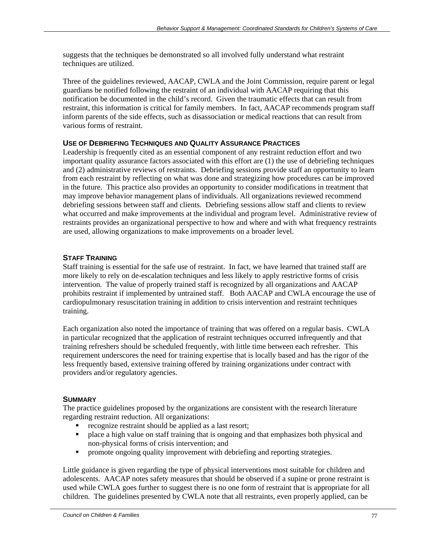suggests that the techniques be demonstrated so all involved fully understand what restraint techniques are utilized.

Three of the guidelines reviewed, AACAP, CWLA and the Joint Commission, require parent or legal guardians be notified following the restraint of an individual with AACAP requiring that this notification be documented in the child's record. Given the traumatic effects that can result from restraint, this information is critical for family members. In fact, AACAP recommends program staff inform parents of the side effects, such as disassociation or medical reactions that can result from various forms of restraint.

#### **USE OF DEBRIEFING TECHNIQUES AND QUALITY ASSURANCE PRACTICES**

Leadership is frequently cited as an essential component of any restraint reduction effort and two important quality assurance factors associated with this effort are (1) the use of debriefing techniques and (2) administrative reviews of restraints. Debriefing sessions provide staff an opportunity to learn from each restraint by reflecting on what was done and strategizing how procedures can be improved in the future. This practice also provides an opportunity to consider modifications in treatment that may improve behavior management plans of individuals. All organizations reviewed recommend debriefing sessions between staff and clients. Debriefing sessions allow staff and clients to review what occurred and make improvements at the individual and program level. Administrative review of restraints provides an organizational perspective to how and where and with what frequency restraints are used, allowing organizations to make improvements on a broader level.

#### **STAFF TRAINING**

Staff training is essential for the safe use of restraint. In fact, we have learned that trained staff are more likely to rely on de-escalation techniques and less likely to apply restrictive forms of crisis intervention. The value of properly trained staff is recognized by all organizations and AACAP prohibits restraint if implemented by untrained staff. Both AACAP and CWLA encourage the use of cardiopulmonary resuscitation training in addition to crisis intervention and restraint techniques training.

Each organization also noted the importance of training that was offered on a regular basis. CWLA in particular recognized that the application of restraint techniques occurred infrequently and that training refreshers should be scheduled frequently, with little time between each refresher. This requirement underscores the need for training expertise that is locally based and has the rigor of the less frequently based, extensive training offered by training organizations under contract with providers and/or regulatory agencies.

#### **SUMMARY**

The practice guidelines proposed by the organizations are consistent with the research literature regarding restraint reduction. All organizations:

- **recognize restraint should be applied as a last resort;**
- **•** place a high value on staff training that is ongoing and that emphasizes both physical and non-physical forms of crisis intervention; and
- promote ongoing quality improvement with debriefing and reporting strategies.

Little guidance is given regarding the type of physical interventions most suitable for children and adolescents. AACAP notes safety measures that should be observed if a supine or prone restraint is used while CWLA goes further to suggest there is no one form of restraint that is appropriate for all children. The guidelines presented by CWLA note that all restraints, even properly applied, can be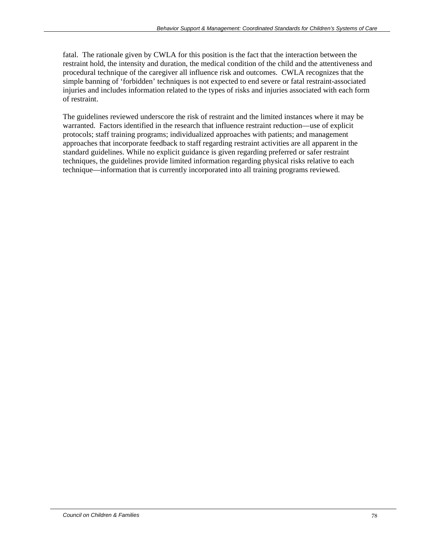fatal. The rationale given by CWLA for this position is the fact that the interaction between the restraint hold, the intensity and duration, the medical condition of the child and the attentiveness and procedural technique of the caregiver all influence risk and outcomes. CWLA recognizes that the simple banning of 'forbidden' techniques is not expected to end severe or fatal restraint-associated injuries and includes information related to the types of risks and injuries associated with each form of restraint.

The guidelines reviewed underscore the risk of restraint and the limited instances where it may be warranted. Factors identified in the research that influence restraint reduction—use of explicit protocols; staff training programs; individualized approaches with patients; and management approaches that incorporate feedback to staff regarding restraint activities are all apparent in the standard guidelines. While no explicit guidance is given regarding preferred or safer restraint techniques, the guidelines provide limited information regarding physical risks relative to each technique—information that is currently incorporated into all training programs reviewed.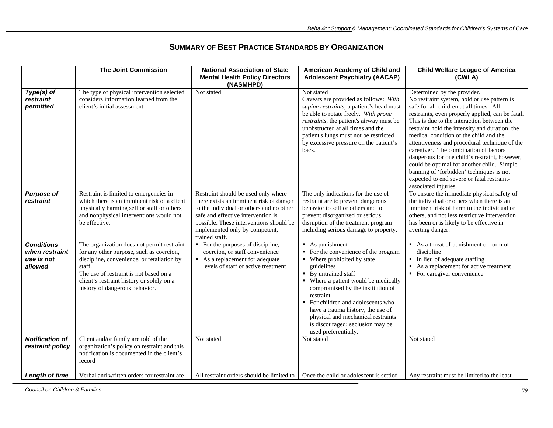|                                                              | <b>The Joint Commission</b>                                                                                                                                                                                                                                             | <b>National Association of State</b><br><b>Mental Health Policy Directors</b><br>(NASMHPD)                                                                                                                                                                      | American Academy of Child and<br><b>Adolescent Psychiatry (AACAP)</b>                                                                                                                                                                                                                                                                                                                                          | <b>Child Welfare League of America</b><br>(CWLA)                                                                                                                                                                                                                                                                                                                                                                                                                                                                                                                                                                               |
|--------------------------------------------------------------|-------------------------------------------------------------------------------------------------------------------------------------------------------------------------------------------------------------------------------------------------------------------------|-----------------------------------------------------------------------------------------------------------------------------------------------------------------------------------------------------------------------------------------------------------------|----------------------------------------------------------------------------------------------------------------------------------------------------------------------------------------------------------------------------------------------------------------------------------------------------------------------------------------------------------------------------------------------------------------|--------------------------------------------------------------------------------------------------------------------------------------------------------------------------------------------------------------------------------------------------------------------------------------------------------------------------------------------------------------------------------------------------------------------------------------------------------------------------------------------------------------------------------------------------------------------------------------------------------------------------------|
| Type(s) of<br>restraint<br>permitted                         | The type of physical intervention selected<br>considers information learned from the<br>client's initial assessment                                                                                                                                                     | Not stated                                                                                                                                                                                                                                                      | Not stated<br>Caveats are provided as follows: With<br>supine restraints, a patient's head must<br>be able to rotate freely. With prone<br>restraints, the patient's airway must be<br>unobstructed at all times and the<br>patient's lungs must not be restricted<br>by excessive pressure on the patient's<br>back.                                                                                          | Determined by the provider.<br>No restraint system, hold or use pattern is<br>safe for all children at all times. All<br>restraints, even properly applied, can be fatal.<br>This is due to the interaction between the<br>restraint hold the intensity and duration, the<br>medical condition of the child and the<br>attentiveness and procedural technique of the<br>caregiver. The combination of factors<br>dangerous for one child's restraint, however,<br>could be optimal for another child. Simple<br>banning of 'forbidden' techniques is not<br>expected to end severe or fatal restraint-<br>associated injuries. |
| <b>Purpose of</b><br>restraint                               | Restraint is limited to emergencies in<br>which there is an imminent risk of a client<br>physically harming self or staff or others,<br>and nonphysical interventions would not<br>be effective.                                                                        | Restraint should be used only where<br>there exists an imminent risk of danger<br>to the individual or others and no other<br>safe and effective intervention is<br>possible. These interventions should be<br>implemented only by competent,<br>trained staff. | The only indications for the use of<br>restraint are to prevent dangerous<br>behavior to self or others and to<br>prevent disorganized or serious<br>disruption of the treatment program<br>including serious damage to property.                                                                                                                                                                              | To ensure the immediate physical safety of<br>the individual or others when there is an<br>imminent risk of harm to the individual or<br>others, and not less restrictive intervention<br>has been or is likely to be effective in<br>averting danger.                                                                                                                                                                                                                                                                                                                                                                         |
| <b>Conditions</b><br>when restraint<br>use is not<br>allowed | The organization does not permit restraint<br>for any other purpose, such as coercion,<br>discipline, convenience, or retaliation by<br>staff.<br>The use of restraint is not based on a<br>client's restraint history or solely on a<br>history of dangerous behavior. | • For the purposes of discipline,<br>coercion, or staff convenience<br>As a replacement for adequate<br>levels of staff or active treatment                                                                                                                     | $\blacksquare$ As punishment<br>• For the convenience of the program<br>• Where prohibited by state<br>guidelines<br>• By untrained staff<br>• Where a patient would be medically<br>compromised by the institution of<br>restraint<br>For children and adolescents who<br>have a trauma history, the use of<br>physical and mechanical restraints<br>is discouraged; seclusion may be<br>used preferentially. | As a threat of punishment or form of<br>discipline<br>• In lieu of adequate staffing<br>$\blacksquare$ As a replacement for active treatment<br>• For caregiver convenience                                                                                                                                                                                                                                                                                                                                                                                                                                                    |
| <b>Notification of</b><br>restraint policy                   | Client and/or family are told of the<br>organization's policy on restraint and this<br>notification is documented in the client's<br>record                                                                                                                             | Not stated                                                                                                                                                                                                                                                      | Not stated                                                                                                                                                                                                                                                                                                                                                                                                     | Not stated                                                                                                                                                                                                                                                                                                                                                                                                                                                                                                                                                                                                                     |
| Length of time                                               | Verbal and written orders for restraint are                                                                                                                                                                                                                             | All restraint orders should be limited to                                                                                                                                                                                                                       | Once the child or adolescent is settled                                                                                                                                                                                                                                                                                                                                                                        | Any restraint must be limited to the least                                                                                                                                                                                                                                                                                                                                                                                                                                                                                                                                                                                     |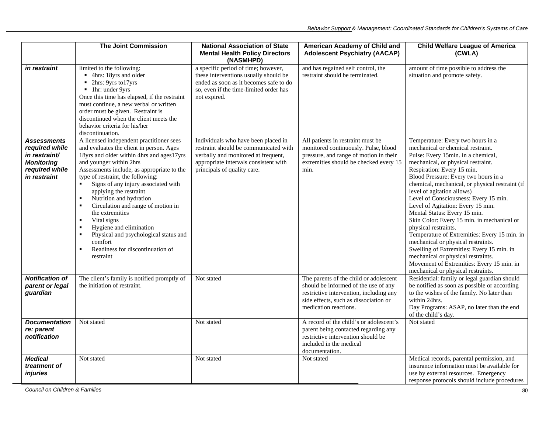|                                                                                                       | <b>The Joint Commission</b>                                                                                                                                                                                                                                                                                                                                                                                                                                                                                                                                                                                    | <b>National Association of State</b><br><b>Mental Health Policy Directors</b><br>(NASMHPD)                                                                                                  | American Academy of Child and<br><b>Adolescent Psychiatry (AACAP)</b>                                                                                                                       | <b>Child Welfare League of America</b><br>(CWLA)                                                                                                                                                                                                                                                                                                                                                                                                                                                                                                                                                                                                                                                                                                          |
|-------------------------------------------------------------------------------------------------------|----------------------------------------------------------------------------------------------------------------------------------------------------------------------------------------------------------------------------------------------------------------------------------------------------------------------------------------------------------------------------------------------------------------------------------------------------------------------------------------------------------------------------------------------------------------------------------------------------------------|---------------------------------------------------------------------------------------------------------------------------------------------------------------------------------------------|---------------------------------------------------------------------------------------------------------------------------------------------------------------------------------------------|-----------------------------------------------------------------------------------------------------------------------------------------------------------------------------------------------------------------------------------------------------------------------------------------------------------------------------------------------------------------------------------------------------------------------------------------------------------------------------------------------------------------------------------------------------------------------------------------------------------------------------------------------------------------------------------------------------------------------------------------------------------|
| <i>in restraint</i>                                                                                   | limited to the following:<br>■ 4hrs: 18yrs and older<br>• 2hrs: 9yrs to17yrs<br>lhr: under 9yrs<br>Once this time has elapsed, if the restraint<br>must continue, a new verbal or written<br>order must be given. Restraint is<br>discontinued when the client meets the<br>behavior criteria for his/her<br>discontinuation.                                                                                                                                                                                                                                                                                  | a specific period of time; however,<br>these interventions usually should be<br>ended as soon as it becomes safe to do<br>so, even if the time-limited order has<br>not expired.            | and has regained self control, the<br>restraint should be terminated.                                                                                                                       | amount of time possible to address the<br>situation and promote safety.                                                                                                                                                                                                                                                                                                                                                                                                                                                                                                                                                                                                                                                                                   |
| <b>Assessments</b><br>required while<br>in restraint/<br>Monitoring<br>required while<br>in restraint | A licensed independent practitioner sees<br>and evaluates the client in person. Ages<br>18yrs and older within 4hrs and ages17yrs<br>and younger within 2hrs<br>Assessments include, as appropriate to the<br>type of restraint, the following:<br>Signs of any injury associated with<br>applying the restraint<br>Nutrition and hydration<br>$\blacksquare$<br>Circulation and range of motion in<br>the extremities<br>Vital signs<br>$\blacksquare$<br>Hygiene and elimination<br>×<br>Physical and psychological status and<br>comfort<br>Readiness for discontinuation of<br>$\blacksquare$<br>restraint | Individuals who have been placed in<br>restraint should be communicated with<br>verbally and monitored at frequent,<br>appropriate intervals consistent with<br>principals of quality care. | All patients in restraint must be<br>monitored continuously. Pulse, blood<br>pressure, and range of motion in their<br>extremities should be checked every 15<br>min.                       | Temperature: Every two hours in a<br>mechanical or chemical restraint.<br>Pulse: Every 15min. in a chemical,<br>mechanical, or physical restraint.<br>Respiration: Every 15 min.<br>Blood Pressure: Every two hours in a<br>chemical, mechanical, or physical restraint (if<br>level of agitation allows)<br>Level of Consciousness: Every 15 min.<br>Level of Agitation: Every 15 min.<br>Mental Status: Every 15 min.<br>Skin Color: Every 15 min. in mechanical or<br>physical restraints.<br>Temperature of Extremities: Every 15 min. in<br>mechanical or physical restraints.<br>Swelling of Extremities: Every 15 min. in<br>mechanical or physical restraints.<br>Movement of Extremities: Every 15 min. in<br>mechanical or physical restraints. |
| <b>Notification of</b><br>parent or legal<br>guardian                                                 | The client's family is notified promptly of<br>the initiation of restraint.                                                                                                                                                                                                                                                                                                                                                                                                                                                                                                                                    | Not stated                                                                                                                                                                                  | The parents of the child or adolescent<br>should be informed of the use of any<br>restrictive intervention, including any<br>side effects, such as dissociation or<br>medication reactions. | Residential: family or legal guardian should<br>be notified as soon as possible or according<br>to the wishes of the family. No later than<br>within 24hrs.<br>Day Programs: ASAP, no later than the end<br>of the child's day.                                                                                                                                                                                                                                                                                                                                                                                                                                                                                                                           |
| <b>Documentation</b><br>re: parent<br>notification                                                    | Not stated                                                                                                                                                                                                                                                                                                                                                                                                                                                                                                                                                                                                     | Not stated                                                                                                                                                                                  | A record of the child's or adolescent's<br>parent being contacted regarding any<br>restrictive intervention should be<br>included in the medical<br>documentation.                          | Not stated                                                                                                                                                                                                                                                                                                                                                                                                                                                                                                                                                                                                                                                                                                                                                |
| <b>Medical</b><br>treatment of<br>injuries                                                            | Not stated                                                                                                                                                                                                                                                                                                                                                                                                                                                                                                                                                                                                     | Not stated                                                                                                                                                                                  | Not stated                                                                                                                                                                                  | Medical records, parental permission, and<br>insurance information must be available for<br>use by external resources. Emergency<br>response protocols should include procedures                                                                                                                                                                                                                                                                                                                                                                                                                                                                                                                                                                          |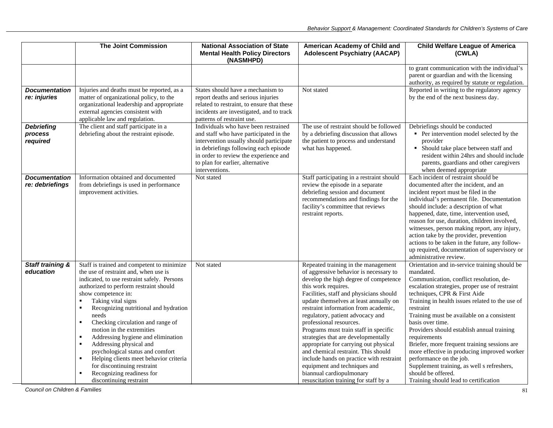|                                          | <b>The Joint Commission</b>                                                                                                                                                                                                                                                                                                                                                                                                                                                                                                                                                                                                                                           | <b>National Association of State</b><br><b>Mental Health Policy Directors</b><br>(NASMHPD)                                                                                                                                                                        | American Academy of Child and<br><b>Adolescent Psychiatry (AACAP)</b>                                                                                                                                                                                                                                                                                                                                                                                                                                                                                                                                                                                      | <b>Child Welfare League of America</b><br>(CWLA)                                                                                                                                                                                                                                                                                                                                                                                                                                                                                                                                                                               |
|------------------------------------------|-----------------------------------------------------------------------------------------------------------------------------------------------------------------------------------------------------------------------------------------------------------------------------------------------------------------------------------------------------------------------------------------------------------------------------------------------------------------------------------------------------------------------------------------------------------------------------------------------------------------------------------------------------------------------|-------------------------------------------------------------------------------------------------------------------------------------------------------------------------------------------------------------------------------------------------------------------|------------------------------------------------------------------------------------------------------------------------------------------------------------------------------------------------------------------------------------------------------------------------------------------------------------------------------------------------------------------------------------------------------------------------------------------------------------------------------------------------------------------------------------------------------------------------------------------------------------------------------------------------------------|--------------------------------------------------------------------------------------------------------------------------------------------------------------------------------------------------------------------------------------------------------------------------------------------------------------------------------------------------------------------------------------------------------------------------------------------------------------------------------------------------------------------------------------------------------------------------------------------------------------------------------|
| <b>Documentation</b><br>re: injuries     | Injuries and deaths must be reported, as a<br>matter of organizational policy, to the                                                                                                                                                                                                                                                                                                                                                                                                                                                                                                                                                                                 | States should have a mechanism to<br>report deaths and serious injuries                                                                                                                                                                                           | Not stated                                                                                                                                                                                                                                                                                                                                                                                                                                                                                                                                                                                                                                                 | to grant communication with the individual's<br>parent or guardian and with the licensing<br>authority, as required by statute or regulation.<br>Reported in writing to the regulatory agency<br>by the end of the next business day.                                                                                                                                                                                                                                                                                                                                                                                          |
|                                          | organizational leadership and appropriate<br>external agencies consistent with<br>applicable law and regulation.                                                                                                                                                                                                                                                                                                                                                                                                                                                                                                                                                      | related to restraint, to ensure that these<br>incidents are investigated, and to track<br>patterns of restraint use.                                                                                                                                              |                                                                                                                                                                                                                                                                                                                                                                                                                                                                                                                                                                                                                                                            |                                                                                                                                                                                                                                                                                                                                                                                                                                                                                                                                                                                                                                |
| <b>Debriefing</b><br>process<br>required | The client and staff participate in a<br>debriefing about the restraint episode.                                                                                                                                                                                                                                                                                                                                                                                                                                                                                                                                                                                      | Individuals who have been restrained<br>and staff who have participated in the<br>intervention usually should participate<br>in debriefings following each episode<br>in order to review the experience and<br>to plan for earlier, alternative<br>interventions. | The use of restraint should be followed<br>by a debriefing discussion that allows<br>the patient to process and understand<br>what has happened.                                                                                                                                                                                                                                                                                                                                                                                                                                                                                                           | Debriefings should be conducted<br>• Per intervention model selected by the<br>provider<br>• Should take place between staff and<br>resident within 24hrs and should include<br>parents, guardians and other caregivers<br>when deemed appropriate                                                                                                                                                                                                                                                                                                                                                                             |
| <b>Documentation</b><br>re: debriefings  | Information obtained and documented<br>from debriefings is used in performance<br>improvement activities.                                                                                                                                                                                                                                                                                                                                                                                                                                                                                                                                                             | Not stated                                                                                                                                                                                                                                                        | Staff participating in a restraint should<br>review the episode in a separate<br>debriefing session and document<br>recommendations and findings for the<br>facility's committee that reviews<br>restraint reports.                                                                                                                                                                                                                                                                                                                                                                                                                                        | Each incident of restraint should be<br>documented after the incident, and an<br>incident report must be filed in the<br>individual's permanent file. Documentation<br>should include: a description of what<br>happened, date, time, intervention used,<br>reason for use, duration, children involved,<br>witnesses, person making report, any injury,<br>action take by the provider, prevention<br>actions to be taken in the future, any follow-<br>up required, documentation of supervisory or<br>administrative review.                                                                                                |
| Staff training &<br>education            | Staff is trained and competent to minimize<br>the use of restraint and, when use is<br>indicated, to use restraint safely. Persons<br>authorized to perform restraint should<br>show competence in:<br>Taking vital signs<br>$\blacksquare$<br>Recognizing nutritional and hydration<br>$\blacksquare$<br>needs<br>Checking circulation and range of<br>$\blacksquare$<br>motion in the extremities<br>Addressing hygiene and elimination<br>$\blacksquare$<br>Addressing physical and<br>٠<br>psychological status and comfort<br>Helping clients meet behavior criteria<br>٠<br>for discontinuing restraint<br>Recognizing readiness for<br>discontinuing restraint | Not stated                                                                                                                                                                                                                                                        | Repeated training in the management<br>of aggressive behavior is necessary to<br>develop the high degree of competence<br>this work requires.<br>Facilities, staff and physicians should<br>update themselves at least annually on<br>restraint information from academic,<br>regulatory, patient advocacy and<br>professional resources.<br>Programs must train staff in specific<br>strategies that are developmentally<br>appropriate for carrying out physical<br>and chemical restraint. This should<br>include hands on practice with restraint<br>equipment and techniques and<br>biannual cardiopulmonary<br>resuscitation training for staff by a | Orientation and in-service training should be<br>mandated.<br>Communication, conflict resolution, de-<br>escalation strategies, proper use of restraint<br>techniques, CPR & First Aide<br>Training in health issues related to the use of<br>restraint<br>Training must be available on a consistent<br>basis over time.<br>Providers should establish annual training<br>requirements<br>Briefer, more frequent training sessions are<br>more effective in producing improved worker<br>performance on the job.<br>Supplement training, as well s refreshers,<br>should be offered.<br>Training should lead to certification |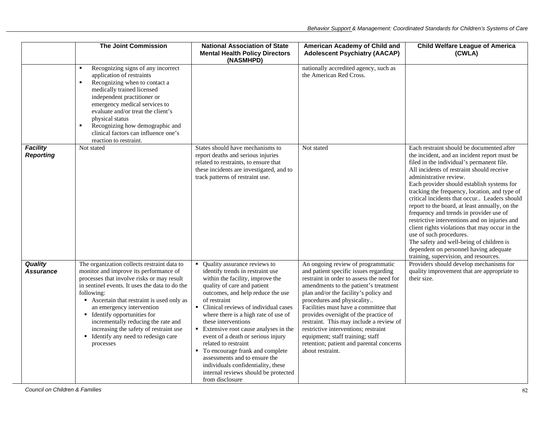|                                     | <b>The Joint Commission</b>                                                                                                                                                                                                                                                                                                                                                                                                                             | <b>National Association of State</b><br><b>Mental Health Policy Directors</b><br>(NASMHPD)                                                                                                                                                                                                                                                                                                                                                                                                                                                                                                         | American Academy of Child and<br><b>Adolescent Psychiatry (AACAP)</b>                                                                                                                                                                                                                                                                                                                                                                                                                                            | <b>Child Welfare League of America</b><br>(CWLA)                                                                                                                                                                                                                                                                                                                                                                                                                                                                                                                                                                                                                                                                       |
|-------------------------------------|---------------------------------------------------------------------------------------------------------------------------------------------------------------------------------------------------------------------------------------------------------------------------------------------------------------------------------------------------------------------------------------------------------------------------------------------------------|----------------------------------------------------------------------------------------------------------------------------------------------------------------------------------------------------------------------------------------------------------------------------------------------------------------------------------------------------------------------------------------------------------------------------------------------------------------------------------------------------------------------------------------------------------------------------------------------------|------------------------------------------------------------------------------------------------------------------------------------------------------------------------------------------------------------------------------------------------------------------------------------------------------------------------------------------------------------------------------------------------------------------------------------------------------------------------------------------------------------------|------------------------------------------------------------------------------------------------------------------------------------------------------------------------------------------------------------------------------------------------------------------------------------------------------------------------------------------------------------------------------------------------------------------------------------------------------------------------------------------------------------------------------------------------------------------------------------------------------------------------------------------------------------------------------------------------------------------------|
|                                     | Recognizing signs of any incorrect<br>application of restraints<br>Recognizing when to contact a<br>$\blacksquare$<br>medically trained licensed<br>independent practitioner or<br>emergency medical services to<br>evaluate and/or treat the client's<br>physical status<br>Recognizing how demographic and<br>$\blacksquare$<br>clinical factors can influence one's<br>reaction to restraint.                                                        |                                                                                                                                                                                                                                                                                                                                                                                                                                                                                                                                                                                                    | nationally accredited agency, such as<br>the American Red Cross.                                                                                                                                                                                                                                                                                                                                                                                                                                                 |                                                                                                                                                                                                                                                                                                                                                                                                                                                                                                                                                                                                                                                                                                                        |
| <b>Facility</b><br><b>Reporting</b> | Not stated                                                                                                                                                                                                                                                                                                                                                                                                                                              | States should have mechanisms to<br>report deaths and serious injuries<br>related to restraints, to ensure that<br>these incidents are investigated, and to<br>track patterns of restraint use.                                                                                                                                                                                                                                                                                                                                                                                                    | Not stated                                                                                                                                                                                                                                                                                                                                                                                                                                                                                                       | Each restraint should be documented after<br>the incident, and an incident report must be<br>filed in the individual's permanent file.<br>All incidents of restraint should receive<br>administrative review.<br>Each provider should establish systems for<br>tracking the frequency, location, and type of<br>critical incidents that occur Leaders should<br>report to the board, at least annually, on the<br>frequency and trends in provider use of<br>restrictive interventions and on injuries and<br>client rights violations that may occur in the<br>use of such procedures.<br>The safety and well-being of children is<br>dependent on personnel having adequate<br>training, supervision, and resources. |
| <b>Quality</b><br><b>Assurance</b>  | The organization collects restraint data to<br>monitor and improve its performance of<br>processes that involve risks or may result<br>in sentinel events. It uses the data to do the<br>following:<br>Ascertain that restraint is used only as<br>an emergency intervention<br><b>Identify opportunities for</b><br>incrementally reducing the rate and<br>increasing the safety of restraint use<br>• Identify any need to redesign care<br>processes | Quality assurance reviews to<br>$\blacksquare$<br>identify trends in restraint use<br>within the facility, improve the<br>quality of care and patient<br>outcomes, and help reduce the use<br>of restraint<br>• Clinical reviews of individual cases<br>where there is a high rate of use of<br>these interventions<br>• Extensive root cause analyses in the<br>event of a death or serious injury<br>related to restraint<br>• To encourage frank and complete<br>assessments and to ensure the<br>individuals confidentiality, these<br>internal reviews should be protected<br>from disclosure | An ongoing review of programmatic<br>and patient specific issues regarding<br>restraint in order to assess the need for<br>amendments to the patient's treatment<br>plan and/or the facility's policy and<br>procedures and physicality<br>Facilities must have a committee that<br>provides oversight of the practice of<br>restraint. This may include a review of<br>restrictive interventions; restraint<br>equipment; staff training; staff<br>retention; patient and parental concerns<br>about restraint. | Providers should develop mechanisms for<br>quality improvement that are appropriate to<br>their size.                                                                                                                                                                                                                                                                                                                                                                                                                                                                                                                                                                                                                  |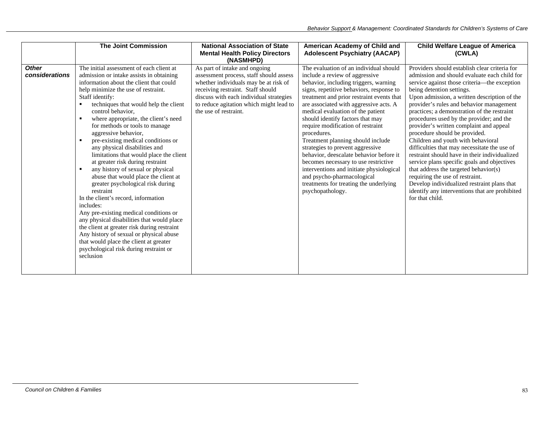|                                | <b>The Joint Commission</b>                                                                                                                                                                                                                                                                                                                                                                                                                                                                                                                                                                                                                                                                                                                                                                                                                                                                                                                                                                                               | <b>National Association of State</b><br><b>Mental Health Policy Directors</b><br>(NASMHPD)                                                                                                                                                                            | American Academy of Child and<br><b>Adolescent Psychiatry (AACAP)</b>                                                                                                                                                                                                                                                                                                                                                                                                                                                                                                                                                                                                                 | <b>Child Welfare League of America</b><br>(CWLA)                                                                                                                                                                                                                                                                                                                                                                                                                                                                                                                                                                                                                                                                                                                                                                                    |
|--------------------------------|---------------------------------------------------------------------------------------------------------------------------------------------------------------------------------------------------------------------------------------------------------------------------------------------------------------------------------------------------------------------------------------------------------------------------------------------------------------------------------------------------------------------------------------------------------------------------------------------------------------------------------------------------------------------------------------------------------------------------------------------------------------------------------------------------------------------------------------------------------------------------------------------------------------------------------------------------------------------------------------------------------------------------|-----------------------------------------------------------------------------------------------------------------------------------------------------------------------------------------------------------------------------------------------------------------------|---------------------------------------------------------------------------------------------------------------------------------------------------------------------------------------------------------------------------------------------------------------------------------------------------------------------------------------------------------------------------------------------------------------------------------------------------------------------------------------------------------------------------------------------------------------------------------------------------------------------------------------------------------------------------------------|-------------------------------------------------------------------------------------------------------------------------------------------------------------------------------------------------------------------------------------------------------------------------------------------------------------------------------------------------------------------------------------------------------------------------------------------------------------------------------------------------------------------------------------------------------------------------------------------------------------------------------------------------------------------------------------------------------------------------------------------------------------------------------------------------------------------------------------|
| <b>Other</b><br>considerations | The initial assessment of each client at<br>admission or intake assists in obtaining<br>information about the client that could<br>help minimize the use of restraint.<br>Staff identify:<br>techniques that would help the client<br>control behavior,<br>where appropriate, the client's need<br>$\blacksquare$<br>for methods or tools to manage<br>aggressive behavior,<br>pre-existing medical conditions or<br>any physical disabilities and<br>limitations that would place the client<br>at greater risk during restraint<br>any history of sexual or physical<br>$\blacksquare$<br>abuse that would place the client at<br>greater psychological risk during<br>restraint<br>In the client's record, information<br>includes:<br>Any pre-existing medical conditions or<br>any physical disabilities that would place<br>the client at greater risk during restraint<br>Any history of sexual or physical abuse<br>that would place the client at greater<br>psychological risk during restraint or<br>seclusion | As part of intake and ongoing<br>assessment process, staff should assess<br>whether individuals may be at risk of<br>receiving restraint. Staff should<br>discuss with each individual strategies<br>to reduce agitation which might lead to<br>the use of restraint. | The evaluation of an individual should<br>include a review of aggressive<br>behavior, including triggers, warning<br>signs, repetitive behaviors, response to<br>treatment and prior restraint events that<br>are associated with aggressive acts. A<br>medical evaluation of the patient<br>should identify factors that may<br>require modification of restraint<br>procedures.<br>Treatment planning should include<br>strategies to prevent aggressive<br>behavior, deescalate behavior before it<br>becomes necessary to use restrictive<br>interventions and initiate physiological<br>and psycho-pharmacological<br>treatments for treating the underlying<br>psychopathology. | Providers should establish clear criteria for<br>admission and should evaluate each child for<br>service against those criteria—the exception<br>being detention settings.<br>Upon admission, a written description of the<br>provider's rules and behavior management<br>practices; a demonstration of the restraint<br>procedures used by the provider; and the<br>provider's written complaint and appeal<br>procedure should be provided.<br>Children and youth with behavioral<br>difficulties that may necessitate the use of<br>restraint should have in their individualized<br>service plans specific goals and objectives<br>that address the targeted behavior(s)<br>requiring the use of restraint.<br>Develop individualized restraint plans that<br>identify any interventions that are prohibited<br>for that child. |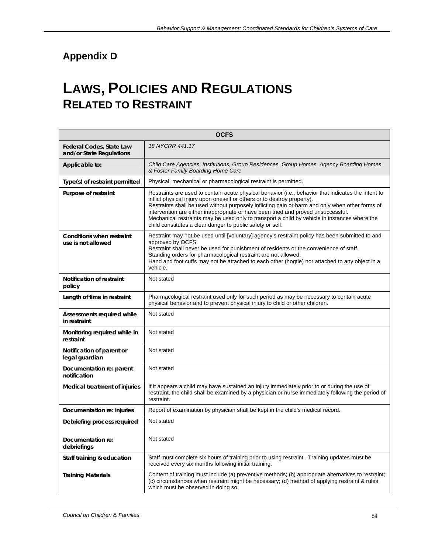# **Appendix D**

# **LAWS, POLICIES AND REGULATIONS RELATED TO RESTRAINT**

| <b>OCFS</b>                                            |                                                                                                                                                                                                                                                                                                                                                                                                                                                                                                                                       |  |
|--------------------------------------------------------|---------------------------------------------------------------------------------------------------------------------------------------------------------------------------------------------------------------------------------------------------------------------------------------------------------------------------------------------------------------------------------------------------------------------------------------------------------------------------------------------------------------------------------------|--|
| Federal Codes, State Law<br>and/or State Regulations   | 18 NYCRR 441.17                                                                                                                                                                                                                                                                                                                                                                                                                                                                                                                       |  |
| Applicable to:                                         | Child Care Agencies, Institutions, Group Residences, Group Homes, Agency Boarding Homes<br>& Foster Family Boarding Home Care                                                                                                                                                                                                                                                                                                                                                                                                         |  |
| Type(s) of restraint permitted                         | Physical, mechanical or pharmacological restraint is permitted.                                                                                                                                                                                                                                                                                                                                                                                                                                                                       |  |
| Purpose of restraint                                   | Restraints are used to contain acute physical behavior (i.e., behavior that indicates the intent to<br>inflict physical injury upon oneself or others or to destroy property).<br>Restraints shall be used without purposely inflicting pain or harm and only when other forms of<br>intervention are either inappropriate or have been tried and proved unsuccessful.<br>Mechanical restraints may be used only to transport a child by vehicle in instances where the<br>child constitutes a clear danger to public safety or self. |  |
| <b>Conditions when restraint</b><br>use is not allowed | Restraint may not be used until [voluntary] agency's restraint policy has been submitted to and<br>approved by OCFS.<br>Restraint shall never be used for punishment of residents or the convenience of staff.<br>Standing orders for pharmacological restraint are not allowed.<br>Hand and foot cuffs may not be attached to each other (hogtie) nor attached to any object in a<br>vehicle.                                                                                                                                        |  |
| Notification of restraint<br>policy                    | Not stated                                                                                                                                                                                                                                                                                                                                                                                                                                                                                                                            |  |
| Length of time in restraint                            | Pharmacological restraint used only for such period as may be necessary to contain acute<br>physical behavior and to prevent physical injury to child or other children.                                                                                                                                                                                                                                                                                                                                                              |  |
| Assessments required while<br>in restraint             | Not stated                                                                                                                                                                                                                                                                                                                                                                                                                                                                                                                            |  |
| Monitoring required while in<br>restraint              | Not stated                                                                                                                                                                                                                                                                                                                                                                                                                                                                                                                            |  |
| Notification of parent or<br>legal guardian            | Not stated                                                                                                                                                                                                                                                                                                                                                                                                                                                                                                                            |  |
| Documentation re: parent<br>notification               | Not stated                                                                                                                                                                                                                                                                                                                                                                                                                                                                                                                            |  |
| Medical treatment of injuries                          | If it appears a child may have sustained an injury immediately prior to or during the use of<br>restraint, the child shall be examined by a physician or nurse immediately following the period of<br>restraint.                                                                                                                                                                                                                                                                                                                      |  |
| Documentation re: injuries                             | Report of examination by physician shall be kept in the child's medical record.                                                                                                                                                                                                                                                                                                                                                                                                                                                       |  |
| Debriefing process required                            | Not stated                                                                                                                                                                                                                                                                                                                                                                                                                                                                                                                            |  |
| Documentation re:<br>debriefings                       | Not stated                                                                                                                                                                                                                                                                                                                                                                                                                                                                                                                            |  |
| Staff training & education                             | Staff must complete six hours of training prior to using restraint. Training updates must be<br>received every six months following initial training.                                                                                                                                                                                                                                                                                                                                                                                 |  |
| <b>Training Materials</b>                              | Content of training must include (a) preventive methods; (b) appropriate alternatives to restraint;<br>(c) circumstances when restraint might be necessary; (d) method of applying restraint & rules<br>which must be observed in doing so.                                                                                                                                                                                                                                                                                           |  |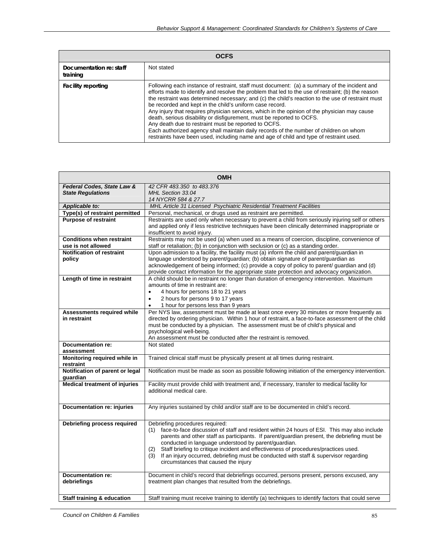| <b>OCFS</b>                         |                                                                                                                                                                                                                                                                                                                                                                                                                                                                                                                                                                                                                                                                                                                                                                                        |  |
|-------------------------------------|----------------------------------------------------------------------------------------------------------------------------------------------------------------------------------------------------------------------------------------------------------------------------------------------------------------------------------------------------------------------------------------------------------------------------------------------------------------------------------------------------------------------------------------------------------------------------------------------------------------------------------------------------------------------------------------------------------------------------------------------------------------------------------------|--|
| Documentation re: staff<br>training | Not stated                                                                                                                                                                                                                                                                                                                                                                                                                                                                                                                                                                                                                                                                                                                                                                             |  |
| <b>Facility reporting</b>           | Following each instance of restraint, staff must document: (a) a summary of the incident and<br>efforts made to identify and resolve the problem that led to the use of restraint; (b) the reason<br>the restraint was determined necessary; and (c) the child's reaction to the use of restraint must<br>be recorded and kept in the child's uniform case record.<br>Any injury that requires physician services, which in the opinion of the physician may cause<br>death, serious disability or disfigurement, must be reported to OCFS.<br>Any death due to restraint must be reported to OCFS.<br>Each authorized agency shall maintain daily records of the number of children on whom<br>restraints have been used, including name and age of child and type of restraint used. |  |

| <b>OMH</b>                                   |                                                                                                                                                                                          |  |
|----------------------------------------------|------------------------------------------------------------------------------------------------------------------------------------------------------------------------------------------|--|
| Federal Codes, State Law &                   | 42 CFR 483.350 to 483.376                                                                                                                                                                |  |
| <b>State Regulations</b>                     | MHL Section 33.04                                                                                                                                                                        |  |
| Applicable to:                               | 14 NYCRR 584 & 27.7<br>MHL Article 31 Licensed Psychiatric Residential Treatment Facilities                                                                                              |  |
| Type(s) of restraint permitted               | Personal, mechanical, or drugs used as restraint are permitted.                                                                                                                          |  |
| <b>Purpose of restraint</b>                  | Restraints are used only when necessary to prevent a child from seriously injuring self or others                                                                                        |  |
|                                              | and applied only if less restrictive techniques have been clinically determined inappropriate or                                                                                         |  |
|                                              | insufficient to avoid injury.                                                                                                                                                            |  |
| <b>Conditions when restraint</b>             | Restraints may not be used (a) when used as a means of coercion, discipline, convenience of                                                                                              |  |
| use is not allowed                           | staff or retaliation; (b) in conjunction with seclusion or (c) as a standing order.                                                                                                      |  |
| Notification of restraint                    | Upon admission to a facility, the facility must (a) inform the child and parent/guardian in                                                                                              |  |
| policy                                       | language understood by parent/guardian; (b) obtain signature of parent/guardian as                                                                                                       |  |
|                                              | acknowledgement of being informed; (c) provide a copy of policy to parent/ guardian and (d)                                                                                              |  |
| Length of time in restraint                  | provide contact information for the appropriate state protection and advocacy organization.<br>A child should be in restraint no longer than duration of emergency intervention. Maximum |  |
|                                              | amounts of time in restraint are:                                                                                                                                                        |  |
|                                              | 4 hours for persons 18 to 21 years<br>$\bullet$                                                                                                                                          |  |
|                                              | 2 hours for persons 9 to 17 years<br>$\bullet$                                                                                                                                           |  |
|                                              | 1 hour for persons less than 9 years<br>$\bullet$                                                                                                                                        |  |
| Assessments required while                   | Per NYS law, assessment must be made at least once every 30 minutes or more frequently as                                                                                                |  |
| in restraint                                 | directed by ordering physician. Within 1 hour of restraint, a face-to-face assessment of the child                                                                                       |  |
|                                              | must be conducted by a physician. The assessment must be of child's physical and                                                                                                         |  |
|                                              | psychological well-being.<br>An assessment must be conducted after the restraint is removed.                                                                                             |  |
| <b>Documentation re:</b>                     | Not stated                                                                                                                                                                               |  |
| assessment                                   |                                                                                                                                                                                          |  |
| Monitoring required while in                 | Trained clinical staff must be physically present at all times during restraint.                                                                                                         |  |
| restraint<br>Notification of parent or legal | Notification must be made as soon as possible following initiation of the emergency intervention.                                                                                        |  |
| guardian                                     |                                                                                                                                                                                          |  |
| <b>Medical treatment of injuries</b>         | Facility must provide child with treatment and, if necessary, transfer to medical facility for                                                                                           |  |
|                                              | additional medical care.                                                                                                                                                                 |  |
|                                              |                                                                                                                                                                                          |  |
| <b>Documentation re: injuries</b>            | Any injuries sustained by child and/or staff are to be documented in child's record.                                                                                                     |  |
|                                              |                                                                                                                                                                                          |  |
| Debriefing process required                  | Debriefing procedures required:                                                                                                                                                          |  |
|                                              | (1) face-to-face discussion of staff and resident within 24 hours of ESI. This may also include                                                                                          |  |
|                                              | parents and other staff as participants. If parent/guardian present, the debriefing must be                                                                                              |  |
|                                              | conducted in language understood by parent/guardian.<br>Staff briefing to critique incident and effectiveness of procedures/practices used.                                              |  |
|                                              | (2)<br>If an injury occurred, debriefing must be conducted with staff & supervisor regarding<br>(3)                                                                                      |  |
|                                              | circumstances that caused the injury                                                                                                                                                     |  |
|                                              |                                                                                                                                                                                          |  |
| Documentation re:                            | Document in child's record that debriefings occurred, persons present, persons excused, any                                                                                              |  |
| debriefings                                  | treatment plan changes that resulted from the debriefings.                                                                                                                               |  |
|                                              |                                                                                                                                                                                          |  |
| Staff training & education                   | Staff training must receive training to identify (a) techniques to identify factors that could serve                                                                                     |  |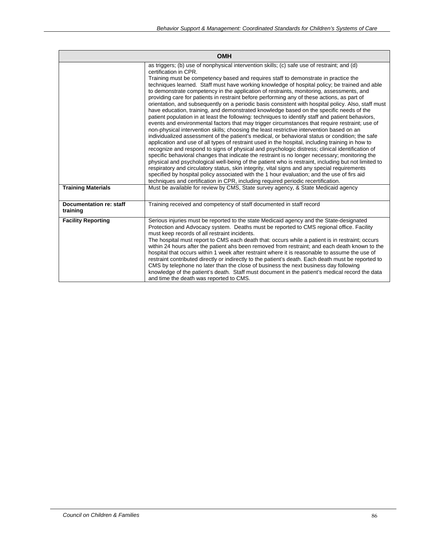|                                     | <b>OMH</b>                                                                                                                                                                                                                                                                                                                                                                                                                                                                                                                                                                                                                                                                                                                                                                                                                                                                                                                                                                                                                                                                                                                                                                                                                                                                                                                                                                                                                                                                                                                                                                                                                                                                                                                                                                                                           |
|-------------------------------------|----------------------------------------------------------------------------------------------------------------------------------------------------------------------------------------------------------------------------------------------------------------------------------------------------------------------------------------------------------------------------------------------------------------------------------------------------------------------------------------------------------------------------------------------------------------------------------------------------------------------------------------------------------------------------------------------------------------------------------------------------------------------------------------------------------------------------------------------------------------------------------------------------------------------------------------------------------------------------------------------------------------------------------------------------------------------------------------------------------------------------------------------------------------------------------------------------------------------------------------------------------------------------------------------------------------------------------------------------------------------------------------------------------------------------------------------------------------------------------------------------------------------------------------------------------------------------------------------------------------------------------------------------------------------------------------------------------------------------------------------------------------------------------------------------------------------|
|                                     | as triggers; (b) use of nonphysical intervention skills; (c) safe use of restraint; and (d)<br>certification in CPR.<br>Training must be competency based and requires staff to demonstrate in practice the<br>techniques learned. Staff must have working knowledge of hospital policy; be trained and able<br>to demonstrate competency in the application of restraints, monitoring, assessments, and<br>providing care for patients in restraint before performing any of these actions, as part of<br>orientation, and subsequently on a periodic basis consistent with hospital policy. Also, staff must<br>have education, training, and demonstrated knowledge based on the specific needs of the<br>patient population in at least the following: techniques to identify staff and patient behaviors,<br>events and environmental factors that may trigger circumstances that require restraint; use of<br>non-physical intervention skills; choosing the least restrictive intervention based on an<br>individualized assessment of the patient's medical, or behavioral status or condition; the safe<br>application and use of all types of restraint used in the hospital, including training in how to<br>recognize and respond to signs of physical and psychologic distress; clinical identification of<br>specific behavioral changes that indicate the restraint is no longer necessary; monitoring the<br>physical and psychological well-being of the patient who is restraint, including but not limited to<br>respiratory and circulatory status, skin integrity, vital signs and any special requirements<br>specified by hospital policy associated with the 1 hour evaluation; and the use of firs aid<br>techniques and certification in CPR, including required periodic recertification. |
| <b>Training Materials</b>           | Must be available for review by CMS, State survey agency, & State Medicaid agency                                                                                                                                                                                                                                                                                                                                                                                                                                                                                                                                                                                                                                                                                                                                                                                                                                                                                                                                                                                                                                                                                                                                                                                                                                                                                                                                                                                                                                                                                                                                                                                                                                                                                                                                    |
| Documentation re: staff<br>training | Training received and competency of staff documented in staff record                                                                                                                                                                                                                                                                                                                                                                                                                                                                                                                                                                                                                                                                                                                                                                                                                                                                                                                                                                                                                                                                                                                                                                                                                                                                                                                                                                                                                                                                                                                                                                                                                                                                                                                                                 |
| <b>Facility Reporting</b>           | Serious injuries must be reported to the state Medicaid agency and the State-designated<br>Protection and Advocacy system. Deaths must be reported to CMS regional office. Facility<br>must keep records of all restraint incidents.<br>The hospital must report to CMS each death that: occurs while a patient is in restraint; occurs<br>within 24 hours after the patient ahs been removed from restraint; and each death known to the<br>hospital that occurs within 1 week after restraint where it is reasonable to assume the use of<br>restraint contributed directly or indirectly to the patient's death. Each death must be reported to<br>CMS by telephone no later than the close of business the next business day following<br>knowledge of the patient's death. Staff must document in the patient's medical record the data<br>and time the death was reported to CMS.                                                                                                                                                                                                                                                                                                                                                                                                                                                                                                                                                                                                                                                                                                                                                                                                                                                                                                                              |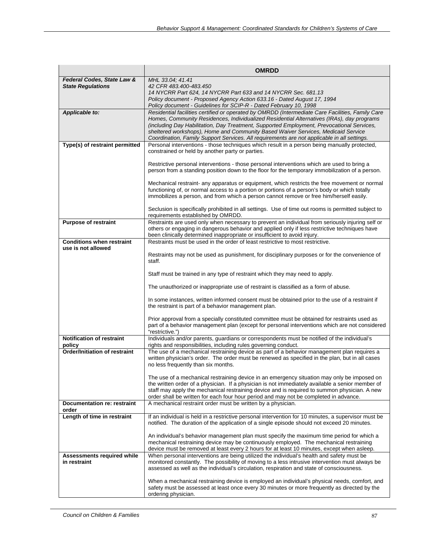|                                                        | <b>OMRDD</b>                                                                                                                                                                                                       |  |
|--------------------------------------------------------|--------------------------------------------------------------------------------------------------------------------------------------------------------------------------------------------------------------------|--|
| Federal Codes, State Law &                             | MHL 33.04; 41.41                                                                                                                                                                                                   |  |
| <b>State Regulations</b>                               | 42 CFR 483.400-483.450<br>14 NYCRR Part 624, 14 NYCRR Part 633 and 14 NYCRR Sec. 681.13                                                                                                                            |  |
|                                                        | Policy document - Proposed Agency Action 633.16 - Dated August 17, 1994                                                                                                                                            |  |
|                                                        | Policy document - Guidelines for SCIP-R - Dated February 10, 1998                                                                                                                                                  |  |
| Applicable to:                                         | Residential facilities certified or operated by OMRDD (Intermediate Care Facilities, Family Care                                                                                                                   |  |
|                                                        | Homes, Community Residences, Individualized Residential Alternatives (IRAs), day programs<br>(including Day Habilitation, Day Treatment, Supported Employment, Prevocational Services,                             |  |
|                                                        | sheltered workshops), Home and Community Based Waiver Services, Medicaid Service                                                                                                                                   |  |
|                                                        | Coordination, Family Support Services. All requirements are not applicable in all settings.                                                                                                                        |  |
| Type(s) of restraint permitted                         | Personal interventions - those techniques which result in a person being manually protected,                                                                                                                       |  |
|                                                        | constrained or held by another party or parties.                                                                                                                                                                   |  |
|                                                        | Restrictive personal interventions - those personal interventions which are used to bring a                                                                                                                        |  |
|                                                        | person from a standing position down to the floor for the temporary immobilization of a person.                                                                                                                    |  |
|                                                        | Mechanical restraint- any apparatus or equipment, which restricts the free movement or normal                                                                                                                      |  |
|                                                        | functioning of, or normal access to a portion or portions of a person's body or which totally                                                                                                                      |  |
|                                                        | immobilizes a person, and from which a person cannot remove or free him/herself easily.                                                                                                                            |  |
|                                                        |                                                                                                                                                                                                                    |  |
|                                                        | Seclusion is specifically prohibited in all settings. Use of time out rooms is permitted subject to<br>requirements established by OMRDD.                                                                          |  |
| <b>Purpose of restraint</b>                            | Restraints are used only when necessary to prevent an individual from seriously injuring self or                                                                                                                   |  |
|                                                        | others or engaging in dangerous behavior and applied only if less restrictive techniques have                                                                                                                      |  |
|                                                        | been clinically determined inappropriate or insufficient to avoid injury.                                                                                                                                          |  |
| <b>Conditions when restraint</b><br>use is not allowed | Restraints must be used in the order of least restrictive to most restrictive.                                                                                                                                     |  |
|                                                        | Restraints may not be used as punishment, for disciplinary purposes or for the convenience of                                                                                                                      |  |
|                                                        | staff.                                                                                                                                                                                                             |  |
|                                                        |                                                                                                                                                                                                                    |  |
|                                                        | Staff must be trained in any type of restraint which they may need to apply.                                                                                                                                       |  |
|                                                        | The unauthorized or inappropriate use of restraint is classified as a form of abuse.                                                                                                                               |  |
|                                                        | In some instances, written informed consent must be obtained prior to the use of a restraint if<br>the restraint is part of a behavior management plan.                                                            |  |
|                                                        | Prior approval from a specially constituted committee must be obtained for restraints used as<br>part of a behavior management plan (except for personal interventions which are not considered<br>"restrictive.") |  |
| Notification of restraint                              | Individuals and/or parents, guardians or correspondents must be notified of the individual's                                                                                                                       |  |
| policy<br><b>Order/Initiation of restraint</b>         | rights and responsibilities, including rules governing conduct.<br>The use of a mechanical restraining device as part of a behavior management plan requires a                                                     |  |
|                                                        | written physician's order. The order must be renewed as specified in the plan, but in all cases                                                                                                                    |  |
|                                                        | no less frequently than six months.                                                                                                                                                                                |  |
|                                                        |                                                                                                                                                                                                                    |  |
|                                                        | The use of a mechanical restraining device in an emergency situation may only be imposed on<br>the written order of a physician. If a physician is not immediately available a senior member of                    |  |
|                                                        | staff may apply the mechanical restraining device and is required to summon physician. A new                                                                                                                       |  |
|                                                        | order shall be written for each four hour period and may not be completed in advance.                                                                                                                              |  |
| <b>Documentation re: restraint</b><br>order            | A mechanical restraint order must be written by a physician.                                                                                                                                                       |  |
| Length of time in restraint                            | If an individual is held in a restrictive personal intervention for 10 minutes, a supervisor must be                                                                                                               |  |
|                                                        | notified. The duration of the application of a single episode should not exceed 20 minutes.                                                                                                                        |  |
|                                                        | An individual's behavior management plan must specify the maximum time period for which a                                                                                                                          |  |
|                                                        | mechanical restraining device may be continuously employed. The mechanical restraining                                                                                                                             |  |
|                                                        | device must be removed at least every 2 hours for at least 10 minutes, except when asleep.                                                                                                                         |  |
| <b>Assessments required while</b>                      | When personal interventions are being utilized the individual's health and safety must be                                                                                                                          |  |
| in restraint                                           | monitored constantly. The possibility of moving to a less intrusive intervention must always be<br>assessed as well as the individual's circulation, respiration and state of consciousness.                       |  |
|                                                        |                                                                                                                                                                                                                    |  |
|                                                        | When a mechanical restraining device is employed an individual's physical needs, comfort, and                                                                                                                      |  |
|                                                        | safety must be assessed at least once every 30 minutes or more frequently as directed by the                                                                                                                       |  |
|                                                        | ordering physician.                                                                                                                                                                                                |  |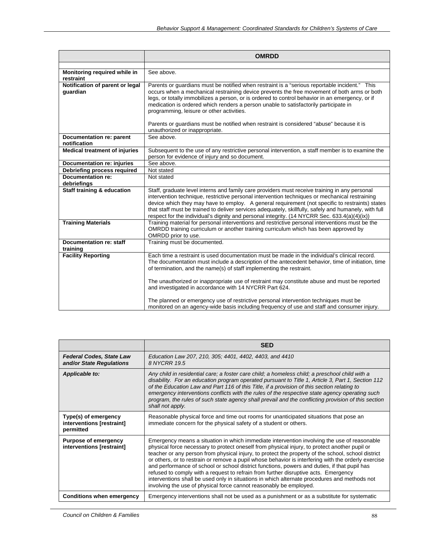|                                             | <b>OMRDD</b>                                                                                                                                                                                                                                                                                                                                                                                                                                                                                                                                                                                                                |
|---------------------------------------------|-----------------------------------------------------------------------------------------------------------------------------------------------------------------------------------------------------------------------------------------------------------------------------------------------------------------------------------------------------------------------------------------------------------------------------------------------------------------------------------------------------------------------------------------------------------------------------------------------------------------------------|
|                                             |                                                                                                                                                                                                                                                                                                                                                                                                                                                                                                                                                                                                                             |
| Monitoring required while in<br>restraint   | See above.                                                                                                                                                                                                                                                                                                                                                                                                                                                                                                                                                                                                                  |
| Notification of parent or legal<br>guardian | Parents or guardians must be notified when restraint is a "serious reportable incident." This<br>occurs when a mechanical restraining device prevents the free movement of both arms or both<br>legs, or totally immobilizes a person, or is ordered to control behavior in an emergency, or if<br>medication is ordered which renders a person unable to satisfactorily participate in<br>programming, leisure or other activities.                                                                                                                                                                                        |
|                                             | Parents or guardians must be notified when restraint is considered "abuse" because it is<br>unauthorized or inappropriate.                                                                                                                                                                                                                                                                                                                                                                                                                                                                                                  |
| Documentation re: parent<br>notification    | See above.                                                                                                                                                                                                                                                                                                                                                                                                                                                                                                                                                                                                                  |
| <b>Medical treatment of injuries</b>        | Subsequent to the use of any restrictive personal intervention, a staff member is to examine the<br>person for evidence of injury and so document.                                                                                                                                                                                                                                                                                                                                                                                                                                                                          |
| <b>Documentation re: injuries</b>           | See above.                                                                                                                                                                                                                                                                                                                                                                                                                                                                                                                                                                                                                  |
| Debriefing process required                 | Not stated                                                                                                                                                                                                                                                                                                                                                                                                                                                                                                                                                                                                                  |
| <b>Documentation re:</b>                    | Not stated                                                                                                                                                                                                                                                                                                                                                                                                                                                                                                                                                                                                                  |
| debriefings                                 |                                                                                                                                                                                                                                                                                                                                                                                                                                                                                                                                                                                                                             |
| <b>Staff training &amp; education</b>       | Staff, graduate level interns and family care providers must receive training in any personal<br>intervention technique, restrictive personal intervention techniques or mechanical restraining<br>device which they may have to employ. A general requirement (not specific to restraints) states<br>that staff must be trained to deliver services adequately, skillfully, safely and humanely, with full<br>respect for the individual's dignity and personal integrity. (14 NYCRR Sec. 633.4(a)(4)(ix))                                                                                                                 |
| <b>Training Materials</b>                   | Training material for personal interventions and restrictive personal interventions must be the<br>OMRDD training curriculum or another training curriculum which has been approved by<br>OMRDD prior to use.                                                                                                                                                                                                                                                                                                                                                                                                               |
| Documentation re: staff<br>training         | Training must be documented.                                                                                                                                                                                                                                                                                                                                                                                                                                                                                                                                                                                                |
| <b>Facility Reporting</b>                   | Each time a restraint is used documentation must be made in the individual's clinical record.<br>The documentation must include a description of the antecedent behavior, time of initiation, time<br>of termination, and the name(s) of staff implementing the restraint.<br>The unauthorized or inappropriate use of restraint may constitute abuse and must be reported<br>and investigated in accordance with 14 NYCRR Part 624.<br>The planned or emergency use of restrictive personal intervention techniques must be<br>monitored on an agency-wide basis including frequency of use and staff and consumer injury. |

|                                                                | <b>SED</b>                                                                                                                                                                                                                                                                                                                                                                                                                                                                                                                                                                                                                                                                                                                                                             |  |  |  |  |
|----------------------------------------------------------------|------------------------------------------------------------------------------------------------------------------------------------------------------------------------------------------------------------------------------------------------------------------------------------------------------------------------------------------------------------------------------------------------------------------------------------------------------------------------------------------------------------------------------------------------------------------------------------------------------------------------------------------------------------------------------------------------------------------------------------------------------------------------|--|--|--|--|
| <b>Federal Codes, State Law</b><br>and/or State Regulations    | Education Law 207, 210, 305; 4401, 4402, 4403, and 4410<br>8 NYCRR 19.5                                                                                                                                                                                                                                                                                                                                                                                                                                                                                                                                                                                                                                                                                                |  |  |  |  |
| Applicable to:                                                 | Any child in residential care; a foster care child; a homeless child; a preschool child with a<br>disability. For an education program operated pursuant to Title 1, Article 3, Part 1, Section 112<br>of the Education Law and Part 116 of this Title, if a provision of this section relating to<br>emergency interventions conflicts with the rules of the respective state agency operating such<br>program, the rules of such state agency shall prevail and the conflicting provision of this section<br>shall not apply.                                                                                                                                                                                                                                        |  |  |  |  |
| Type(s) of emergency<br>interventions [restraint]<br>permitted | Reasonable physical force and time out rooms for unanticipated situations that pose an<br>immediate concern for the physical safety of a student or others.                                                                                                                                                                                                                                                                                                                                                                                                                                                                                                                                                                                                            |  |  |  |  |
| <b>Purpose of emergency</b><br>interventions [restraint]       | Emergency means a situation in which immediate intervention involving the use of reasonable<br>physical force necessary to protect oneself from physical injury, to protect another pupil or<br>teacher or any person from physical injury, to protect the property of the school, school district<br>or others, or to restrain or remove a pupil whose behavior is interfering with the orderly exercise<br>and performance of school or school district functions, powers and duties, if that pupil has<br>refused to comply with a request to refrain from further disruptive acts. Emergency<br>interventions shall be used only in situations in which alternate procedures and methods not<br>involving the use of physical force cannot reasonably be employed. |  |  |  |  |
| <b>Conditions when emergency</b>                               | Emergency interventions shall not be used as a punishment or as a substitute for systematic                                                                                                                                                                                                                                                                                                                                                                                                                                                                                                                                                                                                                                                                            |  |  |  |  |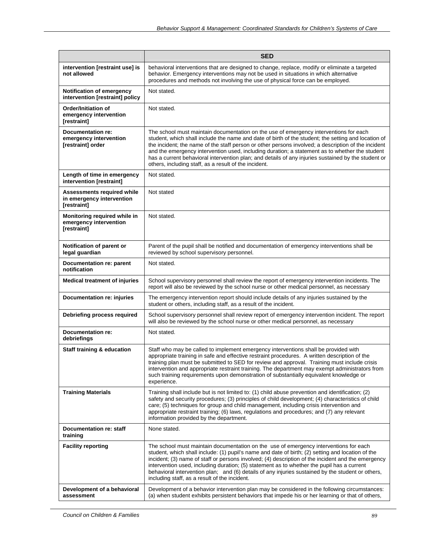|                                                                               | <b>SED</b>                                                                                                                                                                                                                                                                                                                                                                                                                                                                                                                                                            |  |  |  |  |
|-------------------------------------------------------------------------------|-----------------------------------------------------------------------------------------------------------------------------------------------------------------------------------------------------------------------------------------------------------------------------------------------------------------------------------------------------------------------------------------------------------------------------------------------------------------------------------------------------------------------------------------------------------------------|--|--|--|--|
| intervention [restraint use] is<br>not allowed                                | behavioral interventions that are designed to change, replace, modify or eliminate a targeted<br>behavior. Emergency interventions may not be used in situations in which alternative<br>procedures and methods not involving the use of physical force can be employed.                                                                                                                                                                                                                                                                                              |  |  |  |  |
| <b>Notification of emergency</b><br>intervention [restraint] policy           | Not stated.                                                                                                                                                                                                                                                                                                                                                                                                                                                                                                                                                           |  |  |  |  |
| Order/Initiation of<br>emergency intervention<br>[restraint]                  | Not stated.                                                                                                                                                                                                                                                                                                                                                                                                                                                                                                                                                           |  |  |  |  |
| Documentation re:<br>emergency intervention<br>[restraint] order              | The school must maintain documentation on the use of emergency interventions for each<br>student, which shall include the name and date of birth of the student; the setting and location of<br>the incident; the name of the staff person or other persons involved; a description of the incident<br>and the emergency intervention used, including duration; a statement as to whether the student<br>has a current behavioral intervention plan; and details of any injuries sustained by the student or<br>others, including staff, as a result of the incident. |  |  |  |  |
| Length of time in emergency<br>intervention [restraint]                       | Not stated.                                                                                                                                                                                                                                                                                                                                                                                                                                                                                                                                                           |  |  |  |  |
| <b>Assessments required while</b><br>in emergency intervention<br>[restraint] | Not stated                                                                                                                                                                                                                                                                                                                                                                                                                                                                                                                                                            |  |  |  |  |
| Monitoring required while in<br>emergency intervention<br>[restraint]         | Not stated.                                                                                                                                                                                                                                                                                                                                                                                                                                                                                                                                                           |  |  |  |  |
| Notification of parent or<br>legal guardian                                   | Parent of the pupil shall be notified and documentation of emergency interventions shall be<br>reviewed by school supervisory personnel.                                                                                                                                                                                                                                                                                                                                                                                                                              |  |  |  |  |
| Documentation re: parent<br>notification                                      | Not stated.                                                                                                                                                                                                                                                                                                                                                                                                                                                                                                                                                           |  |  |  |  |
| <b>Medical treatment of injuries</b>                                          | School supervisory personnel shall review the report of emergency intervention incidents. The<br>report will also be reviewed by the school nurse or other medical personnel, as necessary                                                                                                                                                                                                                                                                                                                                                                            |  |  |  |  |
| Documentation re: injuries                                                    | The emergency intervention report should include details of any injuries sustained by the<br>student or others, including staff, as a result of the incident.                                                                                                                                                                                                                                                                                                                                                                                                         |  |  |  |  |
| Debriefing process required                                                   | School supervisory personnel shall review report of emergency intervention incident. The report<br>will also be reviewed by the school nurse or other medical personnel, as necessary                                                                                                                                                                                                                                                                                                                                                                                 |  |  |  |  |
| Documentation re:<br>debriefings                                              | Not stated.                                                                                                                                                                                                                                                                                                                                                                                                                                                                                                                                                           |  |  |  |  |
| <b>Staff training &amp; education</b>                                         | Staff who may be called to implement emergency interventions shall be provided with<br>appropriate training in safe and effective restraint procedures. A written description of the<br>training plan must be submitted to SED for review and approval. Training must include crisis<br>intervention and appropriate restraint training. The department may exempt administrators from<br>such training requirements upon demonstration of substantially equivalent knowledge or<br>experience.                                                                       |  |  |  |  |
| <b>Training Materials</b>                                                     | Training shall include but is not limited to: (1) child abuse prevention and identification; (2)<br>safety and security procedures; (3) principles of child development; (4) characteristics of child<br>care; (5) techniques for group and child management, including crisis intervention and<br>appropriate restraint training; (6) laws, regulations and procedures; and (7) any relevant<br>information provided by the department.                                                                                                                              |  |  |  |  |
| Documentation re: staff<br>training                                           | None stated.                                                                                                                                                                                                                                                                                                                                                                                                                                                                                                                                                          |  |  |  |  |
| <b>Facility reporting</b>                                                     | The school must maintain documentation on the use of emergency interventions for each<br>student, which shall include: (1) pupil's name and date of birth; (2) setting and location of the<br>incident; (3) name of staff or persons involved; (4) description of the incident and the emergency<br>intervention used, including duration; (5) statement as to whether the pupil has a current<br>behavioral intervention plan; and (6) details of any injuries sustained by the student or others,<br>including staff, as a result of the incident.                  |  |  |  |  |
| Development of a behavioral<br>assessment                                     | Development of a behavior intervention plan may be considered in the following circumstances:<br>(a) when student exhibits persistent behaviors that impede his or her learning or that of others,                                                                                                                                                                                                                                                                                                                                                                    |  |  |  |  |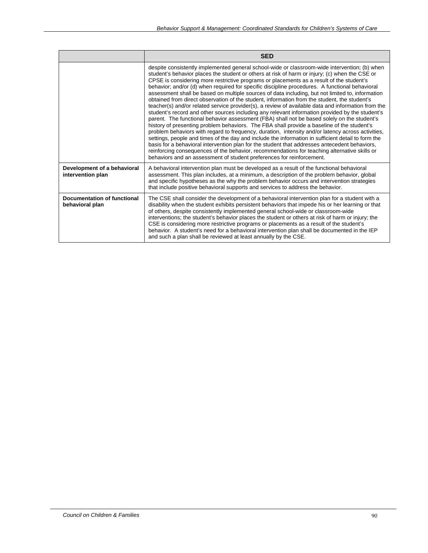|                                                       | <b>SED</b>                                                                                                                                                                                                                                                                                                                                                                                                                                                                                                                                                                                                                                                                                                                                                                                                                                                                                                                                                                                                                                                                                                                                                                                                                                                                                                                                                                                                                                                                                   |
|-------------------------------------------------------|----------------------------------------------------------------------------------------------------------------------------------------------------------------------------------------------------------------------------------------------------------------------------------------------------------------------------------------------------------------------------------------------------------------------------------------------------------------------------------------------------------------------------------------------------------------------------------------------------------------------------------------------------------------------------------------------------------------------------------------------------------------------------------------------------------------------------------------------------------------------------------------------------------------------------------------------------------------------------------------------------------------------------------------------------------------------------------------------------------------------------------------------------------------------------------------------------------------------------------------------------------------------------------------------------------------------------------------------------------------------------------------------------------------------------------------------------------------------------------------------|
|                                                       | despite consistently implemented general school-wide or classroom-wide intervention; (b) when<br>student's behavior places the student or others at risk of harm or injury; (c) when the CSE or<br>CPSE is considering more restrictive programs or placements as a result of the student's<br>behavior; and/or (d) when required for specific discipline procedures. A functional behavioral<br>assessment shall be based on multiple sources of data including, but not limited to, information<br>obtained from direct observation of the student, information from the student, the student's<br>teacher(s) and/or related service provider(s), a review of available data and information from the<br>student's record and other sources including any relevant information provided by the student's<br>parent. The functional behavior assessment (FBA) shall not be based solely on the student's<br>history of presenting problem behaviors. The FBA shall provide a baseline of the student's<br>problem behaviors with regard to frequency, duration, intensity and/or latency across activities,<br>settings, people and times of the day and include the information in sufficient detail to form the<br>basis for a behavioral intervention plan for the student that addresses antecedent behaviors,<br>reinforcing consequences of the behavior, recommendations for teaching alternative skills or<br>behaviors and an assessment of student preferences for reinforcement. |
| Development of a behavioral<br>intervention plan      | A behavioral intervention plan must be developed as a result of the functional behavioral<br>assessment. This plan includes, at a minimum, a description of the problem behavior, global<br>and specific hypotheses as the why the problem behavior occurs and intervention strategies<br>that include positive behavioral supports and services to address the behavior.                                                                                                                                                                                                                                                                                                                                                                                                                                                                                                                                                                                                                                                                                                                                                                                                                                                                                                                                                                                                                                                                                                                    |
| <b>Documentation of functional</b><br>behavioral plan | The CSE shall consider the development of a behavioral intervention plan for a student with a<br>disability when the student exhibits persistent behaviors that impede his or her learning or that<br>of others, despite consistently implemented general school-wide or classroom-wide<br>interventions; the student's behavior places the student or others at risk of harm or injury; the<br>CSE is considering more restrictive programs or placements as a result of the student's<br>behavior. A student's need for a behavioral intervention plan shall be documented in the IEP<br>and such a plan shall be reviewed at least annually by the CSE.                                                                                                                                                                                                                                                                                                                                                                                                                                                                                                                                                                                                                                                                                                                                                                                                                                   |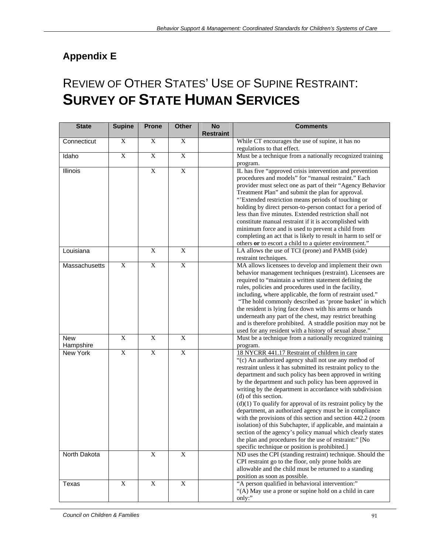# **Appendix E**

# REVIEW OF OTHER STATES' USE OF SUPINE RESTRAINT: **SURVEY OF STATE HUMAN SERVICES**

| <b>State</b>            | <b>Supine</b>  | <b>Prone</b>                           | <b>Other</b>              | <b>No</b><br><b>Restraint</b> | <b>Comments</b>                                                                                                                                                                                                                                                                                                                                                                                                                                                                                                                                                                                                                                                                                                                                                                                                                                                                      |
|-------------------------|----------------|----------------------------------------|---------------------------|-------------------------------|--------------------------------------------------------------------------------------------------------------------------------------------------------------------------------------------------------------------------------------------------------------------------------------------------------------------------------------------------------------------------------------------------------------------------------------------------------------------------------------------------------------------------------------------------------------------------------------------------------------------------------------------------------------------------------------------------------------------------------------------------------------------------------------------------------------------------------------------------------------------------------------|
| Connecticut             | $\mathbf X$    | $\mathbf X$                            | $\boldsymbol{\mathrm{X}}$ |                               | While CT encourages the use of supine, it has no<br>regulations to that effect.                                                                                                                                                                                                                                                                                                                                                                                                                                                                                                                                                                                                                                                                                                                                                                                                      |
| Idaho                   | $\overline{X}$ | $\overline{X}$                         | X                         |                               | Must be a technique from a nationally recognized training<br>program.                                                                                                                                                                                                                                                                                                                                                                                                                                                                                                                                                                                                                                                                                                                                                                                                                |
| Illinois                |                | $\mathbf X$                            | X                         |                               | IL has five "approved crisis intervention and prevention<br>procedures and models" for "manual restraint." Each<br>provider must select one as part of their "Agency Behavior<br>Treatment Plan" and submit the plan for approval.<br>"Extended restriction means periods of touching or<br>holding by direct person-to-person contact for a period of<br>less than five minutes. Extended restriction shall not<br>constitute manual restraint if it is accomplished with<br>minimum force and is used to prevent a child from<br>completing an act that is likely to result in harm to self or<br>others or to escort a child to a quieter environment."                                                                                                                                                                                                                           |
| Louisiana               |                | $\mathbf X$                            | $\overline{X}$            |                               | LA allows the use of TCI (prone) and PAMB (side)<br>restraint techniques.                                                                                                                                                                                                                                                                                                                                                                                                                                                                                                                                                                                                                                                                                                                                                                                                            |
| Massachusetts           | $\overline{X}$ | $\overline{X}$                         | $\overline{X}$            |                               | MA allows licensees to develop and implement their own<br>behavior management techniques (restraint). Licensees are<br>required to "maintain a written statement defining the<br>rules, policies and procedures used in the facility,<br>including, where applicable, the form of restraint used."<br>"The hold commonly described as 'prone basket' in which<br>the resident is lying face down with his arms or hands<br>underneath any part of the chest, may restrict breathing<br>and is therefore prohibited. A straddle position may not be<br>used for any resident with a history of sexual abuse."                                                                                                                                                                                                                                                                         |
| <b>New</b><br>Hampshire | $\overline{X}$ | $\overline{X}$                         | $\overline{X}$            |                               | Must be a technique from a nationally recognized training<br>program.                                                                                                                                                                                                                                                                                                                                                                                                                                                                                                                                                                                                                                                                                                                                                                                                                |
| New York                | $\overline{X}$ | $\overline{\mathbf{X}}$<br>$\mathbf X$ | $\overline{X}$            |                               | 18 NYCRR 441.17 Restraint of children in care<br>"(c) An authorized agency shall not use any method of<br>restraint unless it has submitted its restraint policy to the<br>department and such policy has been approved in writing<br>by the department and such policy has been approved in<br>writing by the department in accordance with subdivision<br>(d) of this section.<br>$(d)(1)$ To qualify for approval of its restraint policy by the<br>department, an authorized agency must be in compliance<br>with the provisions of this section and section 442.2 (room<br>isolation) of this Subchapter, if applicable, and maintain a<br>section of the agency's policy manual which clearly states<br>the plan and procedures for the use of restraint:" [No<br>specific technique or position is prohibited.]<br>ND uses the CPI (standing restraint) technique. Should the |
| North Dakota            |                |                                        | $\boldsymbol{\mathrm{X}}$ |                               | CPI restraint go to the floor, only prone holds are<br>allowable and the child must be returned to a standing<br>position as soon as possible.                                                                                                                                                                                                                                                                                                                                                                                                                                                                                                                                                                                                                                                                                                                                       |
| Texas                   | $\mathbf X$    | $\overline{X}$                         | $\boldsymbol{\mathrm{X}}$ |                               | "A person qualified in behavioral intervention:"<br>"(A) May use a prone or supine hold on a child in care<br>only:"                                                                                                                                                                                                                                                                                                                                                                                                                                                                                                                                                                                                                                                                                                                                                                 |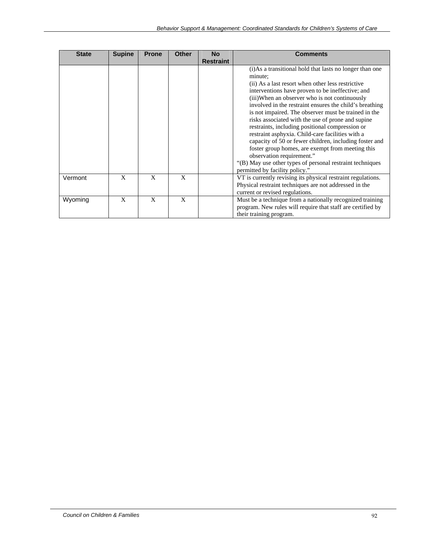| <b>State</b> | <b>Supine</b> | <b>Prone</b> | <b>Other</b> | <b>No</b>        | <b>Comments</b>                                                                                                                                                                                                                                                                                                                                                                                                                                                                                                                                                                                                                                                                                                                                         |
|--------------|---------------|--------------|--------------|------------------|---------------------------------------------------------------------------------------------------------------------------------------------------------------------------------------------------------------------------------------------------------------------------------------------------------------------------------------------------------------------------------------------------------------------------------------------------------------------------------------------------------------------------------------------------------------------------------------------------------------------------------------------------------------------------------------------------------------------------------------------------------|
|              |               |              |              | <b>Restraint</b> |                                                                                                                                                                                                                                                                                                                                                                                                                                                                                                                                                                                                                                                                                                                                                         |
|              |               |              |              |                  | (i) As a transitional hold that lasts no longer than one<br>minute:<br>(ii) As a last resort when other less restrictive<br>interventions have proven to be ineffective; and<br>(iii) When an observer who is not continuously<br>involved in the restraint ensures the child's breathing<br>is not impaired. The observer must be trained in the<br>risks associated with the use of prone and supine<br>restraints, including positional compression or<br>restraint asphyxia. Child-care facilities with a<br>capacity of 50 or fewer children, including foster and<br>foster group homes, are exempt from meeting this<br>observation requirement."<br>"(B) May use other types of personal restraint techniques<br>permitted by facility policy." |
| Vermont      | X             | X            | X            |                  | VT is currently revising its physical restraint regulations.<br>Physical restraint techniques are not addressed in the<br>current or revised regulations.                                                                                                                                                                                                                                                                                                                                                                                                                                                                                                                                                                                               |
| Wyoming      | X             | X            | X            |                  | Must be a technique from a nationally recognized training<br>program. New rules will require that staff are certified by<br>their training program.                                                                                                                                                                                                                                                                                                                                                                                                                                                                                                                                                                                                     |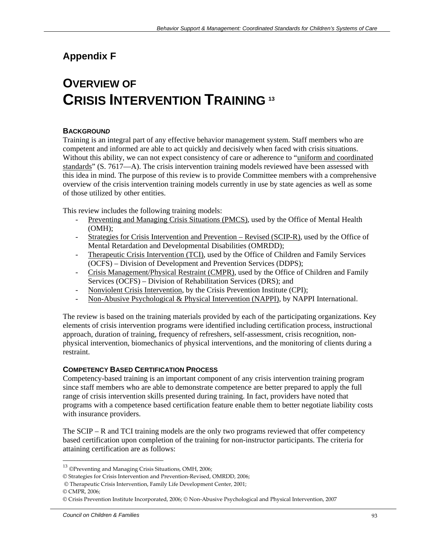# **Appendix F**

# **OVERVIEW OF CRISIS INTERVENTION TRAINING <sup>13</sup>**

#### **BACKGROUN***D*

Training is an integral part of any effective behavior management system. Staff members who are competent and informed are able to act quickly and decisively when faced with crisis situations. Without this ability, we can not expect consistency of care or adherence to "uniform and coordinated standards" (S. 7617—A). The crisis intervention training models reviewed have been assessed with this idea in mind. The purpose of this review is to provide Committee members with a comprehensive overview of the crisis intervention training models currently in use by state agencies as well as some of those utilized by other entities.

This review includes the following training models:

- Preventing and Managing Crisis Situations (PMCS), used by the Office of Mental Health (OMH);
- Strategies for Crisis Intervention and Prevention Revised (SCIP-R), used by the Office of Mental Retardation and Developmental Disabilities (OMRDD);
- Therapeutic Crisis Intervention (TCI), used by the Office of Children and Family Services (OCFS) – Division of Development and Prevention Services (DDPS);
- Crisis Management/Physical Restraint (CMPR), used by the Office of Children and Family Services (OCFS) – Division of Rehabilitation Services (DRS); and
- Nonviolent Crisis Intervention, by the Crisis Prevention Institute (CPI);
- Non-Abusive Psychological & Physical Intervention (NAPPI), by NAPPI International.

The review is based on the training materials provided by each of the participating organizations. Key elements of crisis intervention programs were identified including certification process, instructional approach, duration of training, frequency of refreshers, self-assessment, crisis recognition, nonphysical intervention, biomechanics of physical interventions, and the monitoring of clients during a restraint.

#### **COMPETENCY BASED CERTIFICATION PROCESS**

Competency-based training is an important component of any crisis intervention training program since staff members who are able to demonstrate competence are better prepared to apply the full range of crisis intervention skills presented during training. In fact, providers have noted that programs with a competence based certification feature enable them to better negotiate liability costs with insurance providers.

The SCIP – R and TCI training models are the only two programs reviewed that offer competency based certification upon completion of the training for non-instructor participants. The criteria for attaining certification are as follows:

© CMPR, 2006;

 $\overline{a}$ 

<sup>13</sup> ©Preventing and Managing Crisis Situations, OMH, 2006;

<sup>©</sup> Strategies for Crisis Intervention and Prevention‐Revised, OMRDD, 2006;

<sup>©</sup> Therapeutic Crisis Intervention, Family Life Development Center, 2001;

<sup>©</sup> Crisis Prevention Institute Incorporated, 2006; © Non‐Abusive Psychological and Physical Intervention, 2007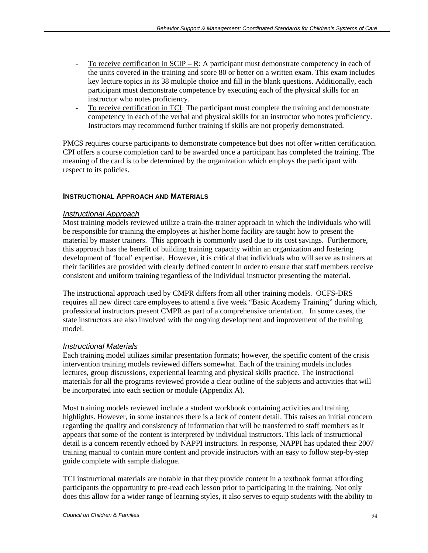- To receive certification in  $SCIP R$ : A participant must demonstrate competency in each of the units covered in the training and score 80 or better on a written exam. This exam includes key lecture topics in its 38 multiple choice and fill in the blank questions. Additionally, each participant must demonstrate competence by executing each of the physical skills for an instructor who notes proficiency.
- To receive certification in TCI: The participant must complete the training and demonstrate competency in each of the verbal and physical skills for an instructor who notes proficiency. Instructors may recommend further training if skills are not properly demonstrated.

PMCS requires course participants to demonstrate competence but does not offer written certification. CPI offers a course completion card to be awarded once a participant has completed the training. The meaning of the card is to be determined by the organization which employs the participant with respect to its policies.

# **INSTRUCTIONAL APPROACH AND MATERIALS**

## *Instructional Approach*

Most training models reviewed utilize a train-the-trainer approach in which the individuals who will be responsible for training the employees at his/her home facility are taught how to present the material by master trainers. This approach is commonly used due to its cost savings. Furthermore, this approach has the benefit of building training capacity within an organization and fostering development of 'local' expertise. However, it is critical that individuals who will serve as trainers at their facilities are provided with clearly defined content in order to ensure that staff members receive consistent and uniform training regardless of the individual instructor presenting the material.

The instructional approach used by CMPR differs from all other training models. OCFS-DRS requires all new direct care employees to attend a five week "Basic Academy Training" during which, professional instructors present CMPR as part of a comprehensive orientation. In some cases, the state instructors are also involved with the ongoing development and improvement of the training model.

# *Instructional Materials*

Each training model utilizes similar presentation formats; however, the specific content of the crisis intervention training models reviewed differs somewhat. Each of the training models includes lectures, group discussions, experiential learning and physical skills practice. The instructional materials for all the programs reviewed provide a clear outline of the subjects and activities that will be incorporated into each section or module (Appendix A).

Most training models reviewed include a student workbook containing activities and training highlights. However, in some instances there is a lack of content detail. This raises an initial concern regarding the quality and consistency of information that will be transferred to staff members as it appears that some of the content is interpreted by individual instructors. This lack of instructional detail is a concern recently echoed by NAPPI instructors. In response, NAPPI has updated their 2007 training manual to contain more content and provide instructors with an easy to follow step-by-step guide complete with sample dialogue.

TCI instructional materials are notable in that they provide content in a textbook format affording participants the opportunity to pre-read each lesson prior to participating in the training. Not only does this allow for a wider range of learning styles, it also serves to equip students with the ability to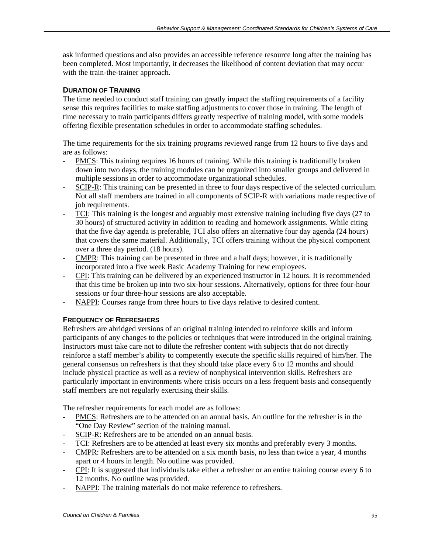ask informed questions and also provides an accessible reference resource long after the training has been completed. Most importantly, it decreases the likelihood of content deviation that may occur with the train-the-trainer approach.

## **DURATION OF TRAINING**

The time needed to conduct staff training can greatly impact the staffing requirements of a facility sense this requires facilities to make staffing adjustments to cover those in training. The length of time necessary to train participants differs greatly respective of training model, with some models offering flexible presentation schedules in order to accommodate staffing schedules.

The time requirements for the six training programs reviewed range from 12 hours to five days and are as follows:

- PMCS: This training requires 16 hours of training. While this training is traditionally broken down into two days, the training modules can be organized into smaller groups and delivered in multiple sessions in order to accommodate organizational schedules.
- SCIP-R: This training can be presented in three to four days respective of the selected curriculum. Not all staff members are trained in all components of SCIP-R with variations made respective of job requirements.
- TCI: This training is the longest and arguably most extensive training including five days (27 to 30 hours) of structured activity in addition to reading and homework assignments. While citing that the five day agenda is preferable, TCI also offers an alternative four day agenda (24 hours) that covers the same material. Additionally, TCI offers training without the physical component over a three day period. (18 hours).
- CMPR: This training can be presented in three and a half days; however, it is traditionally incorporated into a five week Basic Academy Training for new employees.
- CPI: This training can be delivered by an experienced instructor in 12 hours. It is recommended that this time be broken up into two six-hour sessions. Alternatively, options for three four-hour sessions or four three-hour sessions are also acceptable.
- NAPPI: Courses range from three hours to five days relative to desired content.

#### **FREQUENCY OF REFRESHERS**

Refreshers are abridged versions of an original training intended to reinforce skills and inform participants of any changes to the policies or techniques that were introduced in the original training. Instructors must take care not to dilute the refresher content with subjects that do not directly reinforce a staff member's ability to competently execute the specific skills required of him/her. The general consensus on refreshers is that they should take place every 6 to 12 months and should include physical practice as well as a review of nonphysical intervention skills. Refreshers are particularly important in environments where crisis occurs on a less frequent basis and consequently staff members are not regularly exercising their skills.

The refresher requirements for each model are as follows:

- PMCS: Refreshers are to be attended on an annual basis. An outline for the refresher is in the "One Day Review" section of the training manual.
- SCIP-R: Refreshers are to be attended on an annual basis.
- TCI: Refreshers are to be attended at least every six months and preferably every 3 months.
- CMPR: Refreshers are to be attended on a six month basis, no less than twice a year, 4 months apart or 4 hours in length. No outline was provided.
- CPI: It is suggested that individuals take either a refresher or an entire training course every 6 to 12 months. No outline was provided.
- NAPPI: The training materials do not make reference to refreshers.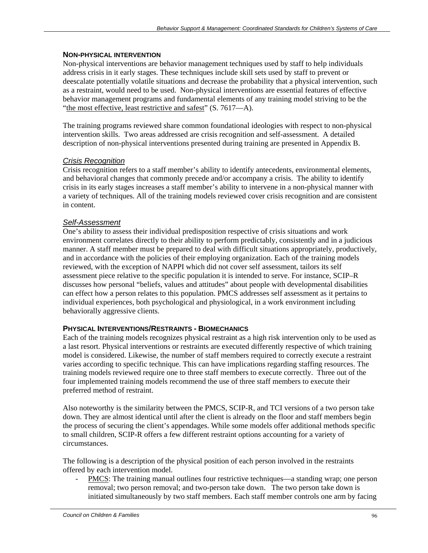#### **NON-PHYSICAL INTERVENTION**

Non-physical interventions are behavior management techniques used by staff to help individuals address crisis in it early stages. These techniques include skill sets used by staff to prevent or deescalate potentially volatile situations and decrease the probability that a physical intervention, such as a restraint, would need to be used. Non-physical interventions are essential features of effective behavior management programs and fundamental elements of any training model striving to be the "the most effective, least restrictive and safest" (S. 7617-A).

The training programs reviewed share common foundational ideologies with respect to non-physical intervention skills. Two areas addressed are crisis recognition and self-assessment. A detailed description of non-physical interventions presented during training are presented in Appendix B.

# *Crisis Recognition*

Crisis recognition refers to a staff member's ability to identify antecedents, environmental elements, and behavioral changes that commonly precede and/or accompany a crisis. The ability to identify crisis in its early stages increases a staff member's ability to intervene in a non-physical manner with a variety of techniques. All of the training models reviewed cover crisis recognition and are consistent in content.

## *Self-Assessment*

One's ability to assess their individual predisposition respective of crisis situations and work environment correlates directly to their ability to perform predictably, consistently and in a judicious manner. A staff member must be prepared to deal with difficult situations appropriately, productively, and in accordance with the policies of their employing organization. Each of the training models reviewed, with the exception of NAPPI which did not cover self assessment, tailors its self assessment piece relative to the specific population it is intended to serve. For instance, SCIP–R discusses how personal "beliefs, values and attitudes" about people with developmental disabilities can effect how a person relates to this population. PMCS addresses self assessment as it pertains to individual experiences, both psychological and physiological, in a work environment including behaviorally aggressive clients.

#### **PHYSICAL INTERVENTIONS/RESTRAINTS - BIOMECHANICS**

Each of the training models recognizes physical restraint as a high risk intervention only to be used as a last resort. Physical interventions or restraints are executed differently respective of which training model is considered. Likewise, the number of staff members required to correctly execute a restraint varies according to specific technique. This can have implications regarding staffing resources. The training models reviewed require one to three staff members to execute correctly. Three out of the four implemented training models recommend the use of three staff members to execute their preferred method of restraint.

Also noteworthy is the similarity between the PMCS, SCIP-R, and TCI versions of a two person take down. They are almost identical until after the client is already on the floor and staff members begin the process of securing the client's appendages. While some models offer additional methods specific to small children, SCIP-R offers a few different restraint options accounting for a variety of circumstances.

The following is a description of the physical position of each person involved in the restraints offered by each intervention model.

PMCS: The training manual outlines four restrictive techniques—a standing wrap; one person removal; two person removal; and two-person take down. The two person take down is initiated simultaneously by two staff members. Each staff member controls one arm by facing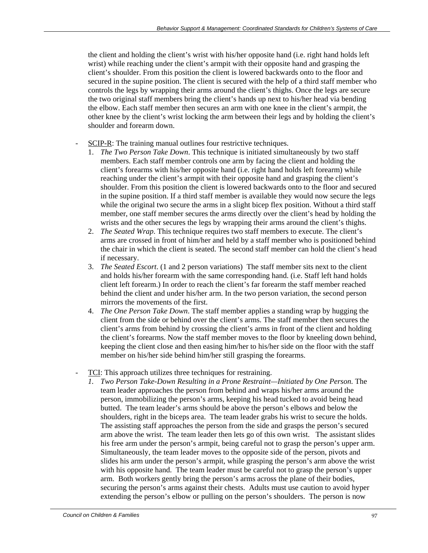the client and holding the client's wrist with his/her opposite hand (i.e. right hand holds left wrist) while reaching under the client's armpit with their opposite hand and grasping the client's shoulder. From this position the client is lowered backwards onto to the floor and secured in the supine position. The client is secured with the help of a third staff member who controls the legs by wrapping their arms around the client's thighs. Once the legs are secure the two original staff members bring the client's hands up next to his/her head via bending the elbow. Each staff member then secures an arm with one knee in the client's armpit, the other knee by the client's wrist locking the arm between their legs and by holding the client's shoulder and forearm down.

- SCIP-R: The training manual outlines four restrictive techniques.
	- 1. *The Two Person Take Down*. This technique is initiated simultaneously by two staff members. Each staff member controls one arm by facing the client and holding the client's forearms with his/her opposite hand (i.e. right hand holds left forearm) while reaching under the client's armpit with their opposite hand and grasping the client's shoulder. From this position the client is lowered backwards onto to the floor and secured in the supine position. If a third staff member is available they would now secure the legs while the original two secure the arms in a slight bicep flex position. Without a third staff member, one staff member secures the arms directly over the client's head by holding the wrists and the other secures the legs by wrapping their arms around the client's thighs.
	- 2. *The Seated Wrap*. This technique requires two staff members to execute. The client's arms are crossed in front of him/her and held by a staff member who is positioned behind the chair in which the client is seated. The second staff member can hold the client's head if necessary.
	- 3. *The Seated Escort*. (1 and 2 person variations) The staff member sits next to the client and holds his/her forearm with the same corresponding hand. (i.e. Staff left hand holds client left forearm.) In order to reach the client's far forearm the staff member reached behind the client and under his/her arm. In the two person variation, the second person mirrors the movements of the first.
	- 4. *The One Person Take Down*. The staff member applies a standing wrap by hugging the client from the side or behind over the client's arms. The staff member then secures the client's arms from behind by crossing the client's arms in front of the client and holding the client's forearms. Now the staff member moves to the floor by kneeling down behind, keeping the client close and then easing him/her to his/her side on the floor with the staff member on his/her side behind him/her still grasping the forearms.
- TCI: This approach utilizes three techniques for restraining.
	- *1. Two Person Take-Down Resulting in a Prone Restraint—Initiated by One Person.* The team leader approaches the person from behind and wraps his/her arms around the person, immobilizing the person's arms, keeping his head tucked to avoid being head butted. The team leader's arms should be above the person's elbows and below the shoulders, right in the biceps area. The team leader grabs his wrist to secure the holds. The assisting staff approaches the person from the side and grasps the person's secured arm above the wrist. The team leader then lets go of this own wrist. The assistant slides his free arm under the person's armpit, being careful not to grasp the person's upper arm. Simultaneously, the team leader moves to the opposite side of the person, pivots and slides his arm under the person's armpit, while grasping the person's arm above the wrist with his opposite hand. The team leader must be careful not to grasp the person's upper arm. Both workers gently bring the person's arms across the plane of their bodies, securing the person's arms against their chests. Adults must use caution to avoid hyper extending the person's elbow or pulling on the person's shoulders. The person is now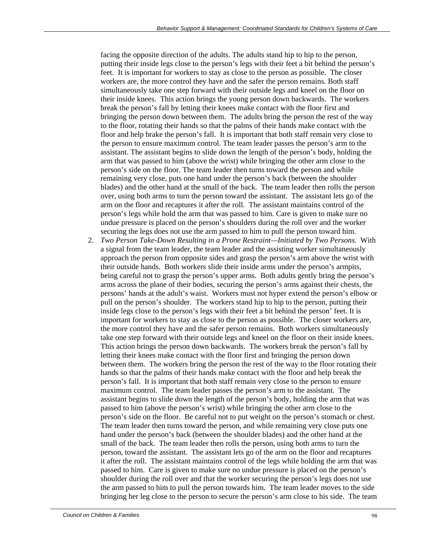facing the opposite direction of the adults. The adults stand hip to hip to the person, putting their inside legs close to the person's legs with their feet a bit behind the person's feet. It is important for workers to stay as close to the person as possible. The closer workers are, the more control they have and the safer the person remains. Both staff simultaneously take one step forward with their outside legs and kneel on the floor on their inside knees. This action brings the young person down backwards. The workers break the person's fall by letting their knees make contact with the floor first and bringing the person down between them. The adults bring the person the rest of the way to the floor, rotating their hands so that the palms of their hands make contact with the floor and help brake the person's fall. It is important that both staff remain very close to the person to ensure maximum control. The team leader passes the person's arm to the assistant. The assistant begins to slide down the length of the person's body, holding the arm that was passed to him (above the wrist) while bringing the other arm close to the person's side on the floor. The team leader then turns toward the person and while remaining very close, puts one hand under the person's back (between the shoulder blades) and the other hand at the small of the back. The team leader then rolls the person over, using both arms to turn the person toward the assistant. The assistant lets go of the arm on the floor and recaptures it after the roll. The assistant maintains control of the person's legs while hold the arm that was passed to him. Care is given to make sure no undue pressure is placed on the person's shoulders during the roll over and the worker securing the legs does not use the arm passed to him to pull the person toward him.

2. *Two Person Take-Down Resulting in a Prone Restraint—Initiated by Two Persons.* With a signal from the team leader, the team leader and the assisting worker simultaneously approach the person from opposite sides and grasp the person's arm above the wrist with their outside hands. Both workers slide their inside arms under the person's armpits, being careful not to grasp the person's upper arms. Both adults gently bring the person's arms across the plane of their bodies, securing the person's arms against their chests, the persons' hands at the adult's waist. Workers must not hyper extend the person's elbow or pull on the person's shoulder. The workers stand hip to hip to the person, putting their inside legs close to the person's legs with their feet a bit behind the person' feet. It is important for workers to stay as close to the person as possible. The closer workers are, the more control they have and the safer person remains. Both workers simultaneously take one step forward with their outside legs and kneel on the floor on their inside knees. This action brings the person down backwards. The workers break the person's fall by letting their knees make contact with the floor first and bringing the person down between them. The workers bring the person the rest of the way to the floor rotating their hands so that the palms of their hands make contact with the floor and help break the person's fall. It is important that both staff remain very close to the person to ensure maximum control. The team leader passes the person's arm to the assistant. The assistant begins to slide down the length of the person's body, holding the arm that was passed to him (above the person's wrist) while bringing the other arm close to the person's side on the floor. Be careful not to put weight on the person's stomach or chest. The team leader then turns toward the person, and while remaining very close puts one hand under the person's back (between the shoulder blades) and the other hand at the small of the back. The team leader then rolls the person, using both arms to turn the person, toward the assistant. The assistant lets go of the arm on the floor and recaptures it after the roll. The assistant maintains control of the legs while holding the arm that was passed to him. Care is given to make sure no undue pressure is placed on the person's shoulder during the roll over and that the worker securing the person's legs does not use the arm passed to him to pull the person towards him. The team leader moves to the side bringing her leg close to the person to secure the person's arm close to his side. The team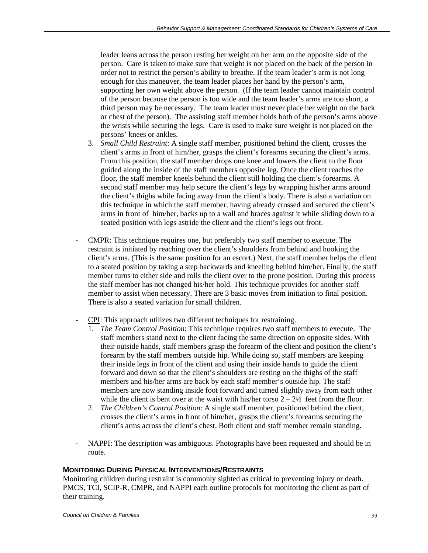leader leans across the person resting her weight on her arm on the opposite side of the person. Care is taken to make sure that weight is not placed on the back of the person in order not to restrict the person's ability to breathe. If the team leader's arm is not long enough for this maneuver, the team leader places her hand by the person's arm, supporting her own weight above the person. (If the team leader cannot maintain control of the person because the person is too wide and the team leader's arms are too short, a third person may be necessary. The team leader must never place her weight on the back or chest of the person). The assisting staff member holds both of the person's arms above the wrists while securing the legs. Care is used to make sure weight is not placed on the persons' knees or ankles.

- 3. *Small Child Restraint*: A single staff member, positioned behind the client, crosses the client's arms in front of him/her, grasps the client's forearms securing the client's arms. From this position, the staff member drops one knee and lowers the client to the floor guided along the inside of the staff members opposite leg. Once the client reaches the floor, the staff member kneels behind the client still holding the client's forearms. A second staff member may help secure the client's legs by wrapping his/her arms around the client's thighs while facing away from the client's body. There is also a variation on this technique in which the staff member, having already crossed and secured the client's arms in front of him/her, backs up to a wall and braces against it while sliding down to a seated position with legs astride the client and the client's legs out front.
- CMPR: This technique requires one, but preferably two staff member to execute. The restraint is initiated by reaching over the client's shoulders from behind and hooking the client's arms. (This is the same position for an escort.) Next, the staff member helps the client to a seated position by taking a step backwards and kneeling behind him/her. Finally, the staff member turns to either side and rolls the client over to the prone position. During this process the staff member has not changed his/her hold. This technique provides for another staff member to assist when necessary. There are 3 basic moves from initiation to final position. There is also a seated variation for small children.
- CPI: This approach utilizes two different techniques for restraining.
	- 1. *The Team Control Position*: This technique requires two staff members to execute. The staff members stand next to the client facing the same direction on opposite sides. With their outside hands, staff members grasp the forearm of the client and position the client's forearm by the staff members outside hip. While doing so, staff members are keeping their inside legs in front of the client and using their inside hands to guide the client forward and down so that the client's shoulders are resting on the thighs of the staff members and his/her arms are back by each staff member's outside hip. The staff members are now standing inside foot forward and turned slightly away from each other while the client is bent over at the waist with his/her torso  $2 - 2\frac{1}{2}$  feet from the floor.
	- 2. *The Children's Control Position*: A single staff member, positioned behind the client, crosses the client's arms in front of him/her, grasps the client's forearms securing the client's arms across the client's chest. Both client and staff member remain standing.
- NAPPI: The description was ambiguous. Photographs have been requested and should be in route.

#### **MONITORING DURING PHYSICAL INTERVENTIONS/RESTRAINTS**

Monitoring children during restraint is commonly sighted as critical to preventing injury or death. PMCS, TCI, SCIP-R, CMPR, and NAPPI each outline protocols for monitoring the client as part of their training.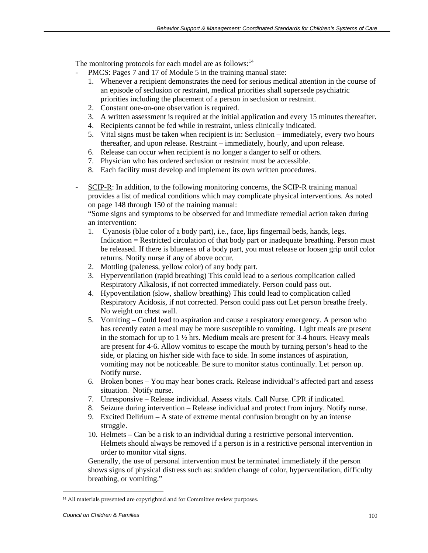The monitoring protocols for each model are as follows: $14$ 

- PMCS: Pages 7 and 17 of Module 5 in the training manual state:
	- 1. Whenever a recipient demonstrates the need for serious medical attention in the course of an episode of seclusion or restraint, medical priorities shall supersede psychiatric priorities including the placement of a person in seclusion or restraint.
	- 2. Constant one-on-one observation is required.
	- 3. A written assessment is required at the initial application and every 15 minutes thereafter.
	- 4. Recipients cannot be fed while in restraint, unless clinically indicated.
	- 5. Vital signs must be taken when recipient is in: Seclusion immediately, every two hours thereafter, and upon release. Restraint – immediately, hourly, and upon release.
	- 6. Release can occur when recipient is no longer a danger to self or others.
	- 7. Physician who has ordered seclusion or restraint must be accessible.
	- 8. Each facility must develop and implement its own written procedures.
- SCIP-R: In addition, to the following monitoring concerns, the SCIP-R training manual provides a list of medical conditions which may complicate physical interventions. As noted on page 148 through 150 of the training manual:

"Some signs and symptoms to be observed for and immediate remedial action taken during an intervention:

- 1. Cyanosis (blue color of a body part), i.e., face, lips fingernail beds, hands, legs. Indication = Restricted circulation of that body part or inadequate breathing. Person must be released. If there is blueness of a body part, you must release or loosen grip until color returns. Notify nurse if any of above occur.
- 2. Mottling (paleness, yellow color) of any body part.
- 3. Hyperventilation (rapid breathing) This could lead to a serious complication called Respiratory Alkalosis, if not corrected immediately. Person could pass out.
- 4. Hypoventilation (slow, shallow breathing) This could lead to complication called Respiratory Acidosis, if not corrected. Person could pass out Let person breathe freely. No weight on chest wall.
- 5. Vomiting Could lead to aspiration and cause a respiratory emergency. A person who has recently eaten a meal may be more susceptible to vomiting. Light meals are present in the stomach for up to  $1 \frac{1}{2}$  hrs. Medium meals are present for 3-4 hours. Heavy meals are present for 4-6. Allow vomitus to escape the mouth by turning person's head to the side, or placing on his/her side with face to side. In some instances of aspiration, vomiting may not be noticeable. Be sure to monitor status continually. Let person up. Notify nurse.
- 6. Broken bones You may hear bones crack. Release individual's affected part and assess situation. Notify nurse.
- 7. Unresponsive Release individual. Assess vitals. Call Nurse. CPR if indicated.
- 8. Seizure during intervention Release individual and protect from injury. Notify nurse.
- 9. Excited Delirium A state of extreme mental confusion brought on by an intense struggle.
- 10. Helmets Can be a risk to an individual during a restrictive personal intervention. Helmets should always be removed if a person is in a restrictive personal intervention in order to monitor vital signs.

Generally, the use of personal intervention must be terminated immediately if the person shows signs of physical distress such as: sudden change of color, hyperventilation, difficulty breathing, or vomiting."

 $\overline{a}$ 

<sup>&</sup>lt;sup>14</sup> All materials presented are copyrighted and for Committee review purposes.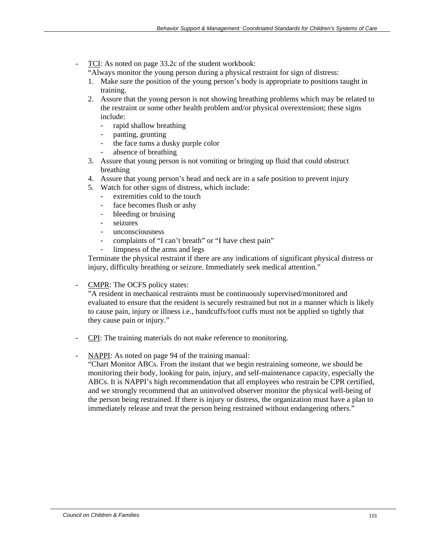TCI: As noted on page 33.2c of the student workbook:

"Always monitor the young person during a physical restraint for sign of distress:

- 1. Make sure the position of the young person's body is appropriate to positions taught in training.
- 2. Assure that the young person is not showing breathing problems which may be related to the restraint or some other health problem and/or physical overextension; these signs include:
	- rapid shallow breathing
	- panting, grunting
	- the face turns a dusky purple color
	- absence of breathing
- 3. Assure that young person is not vomiting or bringing up fluid that could obstruct breathing
- 4. Assure that young person's head and neck are in a safe position to prevent injury
- 5. Watch for other signs of distress, which include:
	- extremities cold to the touch
	- face becomes flush or ashy
	- bleeding or bruising
	- seizures
	- unconsciousness
	- complaints of "I can't breath" or "I have chest pain"
	- limpness of the arms and legs

Terminate the physical restraint if there are any indications of significant physical distress or injury, difficulty breathing or seizure. Immediately seek medical attention."

CMPR: The OCFS policy states:

"A resident in mechanical restraints must be continuously supervised/monitored and evaluated to ensure that the resident is securely restrained but not in a manner which is likely to cause pain, injury or illness i.e., handcuffs/foot cuffs must not be applied so tightly that they cause pain or injury."

- CPI: The training materials do not make reference to monitoring.
- NAPPI: As noted on page 94 of the training manual:

"Chart Monitor ABCs. From the instant that we begin restraining someone, we should be monitoring their body, looking for pain, injury, and self-maintenance capacity, especially the ABCs. It is NAPPI's high recommendation that all employees who restrain be CPR certified, and we strongly recommend that an uninvolved observer monitor the physical well-being of the person being restrained. If there is injury or distress, the organization must have a plan to immediately release and treat the person being restrained without endangering others."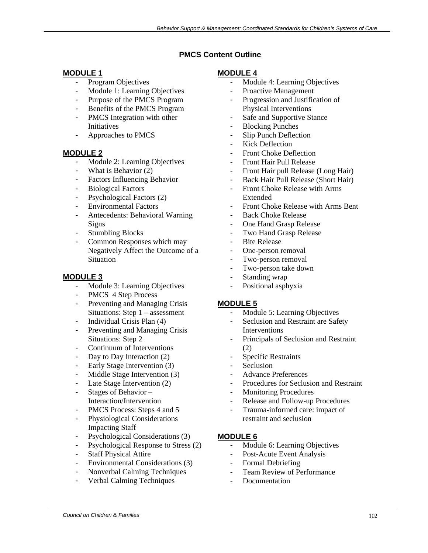## **PMCS Content Outline**

## **MODULE 1**

- Program Objectives
- Module 1: Learning Objectives
- Purpose of the PMCS Program
- Benefits of the PMCS Program
- PMCS Integration with other Initiatives
- Approaches to PMCS

#### **MODULE 2**

- Module 2: Learning Objectives
- What is Behavior (2)
- Factors Influencing Behavior
- Biological Factors
- Psychological Factors (2)
- Environmental Factors
- Antecedents: Behavioral Warning Signs
- Stumbling Blocks
- Common Responses which may Negatively Affect the Outcome of a **Situation**

#### **MODULE 3**

- Module 3: Learning Objectives
- PMCS 4 Step Process
- Preventing and Managing Crisis Situations: Step 1 – assessment
- Individual Crisis Plan (4)
- Preventing and Managing Crisis Situations: Step 2
- Continuum of Interventions
- Day to Day Interaction (2)
- Early Stage Intervention (3)
- Middle Stage Intervention (3)
- Late Stage Intervention (2)
- Stages of Behavior Interaction/Intervention
- PMCS Process: Steps 4 and 5
- Physiological Considerations Impacting Staff
- Psychological Considerations (3)
- Psychological Response to Stress (2)
- Staff Physical Attire
- Environmental Considerations (3)
- Nonverbal Calming Techniques
- Verbal Calming Techniques

#### **MODULE 4**

- Module 4: Learning Objectives
- Proactive Management
- Progression and Justification of Physical Interventions
- Safe and Supportive Stance
- Blocking Punches
- Slip Punch Deflection
- Kick Deflection
- Front Choke Deflection
- Front Hair Pull Release
- Front Hair pull Release (Long Hair)
- Back Hair Pull Release (Short Hair)
- Front Choke Release with Arms Extended
- Front Choke Release with Arms Bent
- Back Choke Release
- One Hand Grasp Release
- Two Hand Grasp Release
- Bite Release
- One-person removal
- Two-person removal
- Two-person take down
- Standing wrap
- Positional asphyxia

#### **MODULE 5**

- Module 5: Learning Objectives
- Seclusion and Restraint are Safety **Interventions**
- Principals of Seclusion and Restraint (2)
- Specific Restraints
- Seclusion
- Advance Preferences
- Procedures for Seclusion and Restraint
- Monitoring Procedures
- Release and Follow-up Procedures
- Trauma-informed care: impact of restraint and seclusion

#### **MODULE 6**

- Module 6: Learning Objectives
- Post-Acute Event Analysis
- Formal Debriefing
- Team Review of Performance
- **Documentation**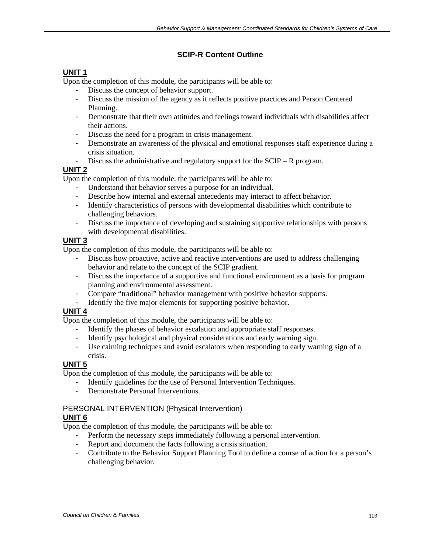# **SCIP-R Content Outline**

# **UNIT 1**

Upon the completion of this module, the participants will be able to:

- Discuss the concept of behavior support.
- Discuss the mission of the agency as it reflects positive practices and Person Centered Planning.
- Demonstrate that their own attitudes and feelings toward individuals with disabilities affect their actions.
- Discuss the need for a program in crisis management.
- Demonstrate an awareness of the physical and emotional responses staff experience during a crisis situation.
- Discuss the administrative and regulatory support for the SCIP R program.

# **UNIT 2**

Upon the completion of this module, the participants will be able to:

- Understand that behavior serves a purpose for an individual.
- Describe how internal and external antecedents may interact to affect behavior.
- Identify characteristics of persons with developmental disabilities which contribute to challenging behaviors.
- Discuss the importance of developing and sustaining supportive relationships with persons with developmental disabilities.

# **UNIT 3**

Upon the completion of this module, the participants will be able to:

- Discuss how proactive, active and reactive interventions are used to address challenging behavior and relate to the concept of the SCIP gradient.
- Discuss the importance of a supportive and functional environment as a basis for program planning and environmental assessment.
- Compare "traditional" behavior management with positive behavior supports.
- Identify the five major elements for supporting positive behavior.

# **UNIT 4**

Upon the completion of this module, the participants will be able to:

- Identify the phases of behavior escalation and appropriate staff responses.
- Identify psychological and physical considerations and early warning sign.
- Use calming techniques and avoid escalators when responding to early warning sign of a crisis.

# **UNIT 5**

Upon the completion of this module, the participants will be able to:

- Identify guidelines for the use of Personal Intervention Techniques.
- Demonstrate Personal Interventions.

# PERSONAL INTERVENTION (Physical Intervention)

# **UNIT 6**

Upon the completion of this module, the participants will be able to:

- Perform the necessary steps immediately following a personal intervention.
- Report and document the facts following a crisis situation.
- Contribute to the Behavior Support Planning Tool to define a course of action for a person's challenging behavior.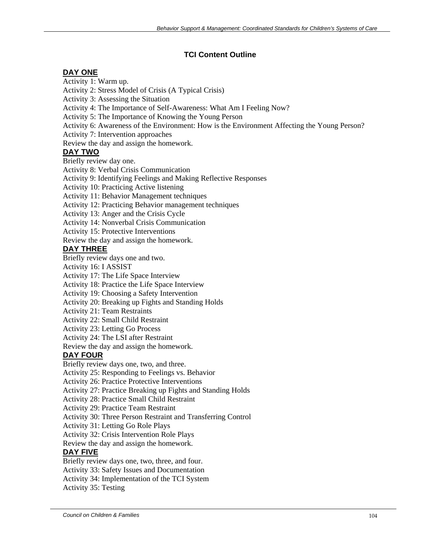## **TCI Content Outline**

### **DAY ONE**

Activity 1: Warm up.

Activity 2: Stress Model of Crisis (A Typical Crisis)

Activity 3: Assessing the Situation

Activity 4: The Importance of Self-Awareness: What Am I Feeling Now?

Activity 5: The Importance of Knowing the Young Person

Activity 6: Awareness of the Environment: How is the Environment Affecting the Young Person?

Activity 7: Intervention approaches

Review the day and assign the homework.

### **DAY TWO**

Briefly review day one.

Activity 8: Verbal Crisis Communication

Activity 9: Identifying Feelings and Making Reflective Responses

Activity 10: Practicing Active listening

Activity 11: Behavior Management techniques

Activity 12: Practicing Behavior management techniques

Activity 13: Anger and the Crisis Cycle

Activity 14: Nonverbal Crisis Communication

Activity 15: Protective Interventions

Review the day and assign the homework.

## **DAY THREE**

Briefly review days one and two.

Activity 16: I ASSIST

Activity 17: The Life Space Interview

Activity 18: Practice the Life Space Interview

Activity 19: Choosing a Safety Intervention

Activity 20: Breaking up Fights and Standing Holds

Activity 21: Team Restraints

Activity 22: Small Child Restraint

Activity 23: Letting Go Process

Activity 24: The LSI after Restraint

Review the day and assign the homework.

# **DAY FOUR**

Briefly review days one, two, and three.

Activity 25: Responding to Feelings vs. Behavior

Activity 26: Practice Protective Interventions

Activity 27: Practice Breaking up Fights and Standing Holds

Activity 28: Practice Small Child Restraint

Activity 29: Practice Team Restraint

Activity 30: Three Person Restraint and Transferring Control

Activity 31: Letting Go Role Plays

Activity 32: Crisis Intervention Role Plays

Review the day and assign the homework.

#### **DAY FIVE**

Briefly review days one, two, three, and four.

Activity 33: Safety Issues and Documentation

Activity 34: Implementation of the TCI System

Activity 35: Testing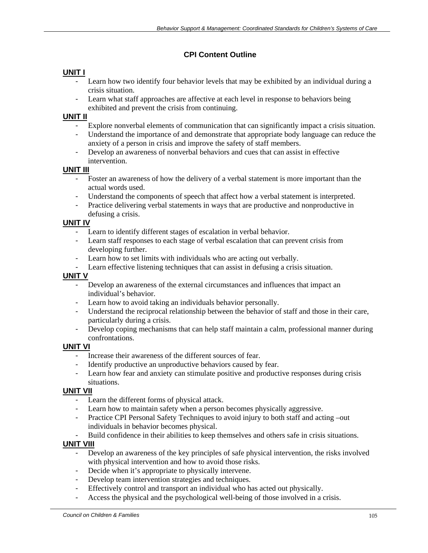## **CPI Content Outline**

## **UNIT I**

- Learn how two identify four behavior levels that may be exhibited by an individual during a crisis situation.
- Learn what staff approaches are affective at each level in response to behaviors being exhibited and prevent the crisis from continuing.

#### **UNIT II**

- Explore nonverbal elements of communication that can significantly impact a crisis situation.
- Understand the importance of and demonstrate that appropriate body language can reduce the anxiety of a person in crisis and improve the safety of staff members.
- Develop an awareness of nonverbal behaviors and cues that can assist in effective intervention.

#### **UNIT III**

- Foster an awareness of how the delivery of a verbal statement is more important than the actual words used.
- Understand the components of speech that affect how a verbal statement is interpreted.
- Practice delivering verbal statements in ways that are productive and nonproductive in defusing a crisis.

#### **UNIT IV**

- Learn to identify different stages of escalation in verbal behavior.
- Learn staff responses to each stage of verbal escalation that can prevent crisis from developing further.
- Learn how to set limits with individuals who are acting out verbally.
- Learn effective listening techniques that can assist in defusing a crisis situation.

#### **UNIT V**

- Develop an awareness of the external circumstances and influences that impact an individual's behavior.
- Learn how to avoid taking an individuals behavior personally.
- Understand the reciprocal relationship between the behavior of staff and those in their care, particularly during a crisis.
- Develop coping mechanisms that can help staff maintain a calm, professional manner during confrontations.

#### **UNIT VI**

- Increase their awareness of the different sources of fear.
- Identify productive an unproductive behaviors caused by fear.
- Learn how fear and anxiety can stimulate positive and productive responses during crisis situations.

#### **UNIT VII**

- Learn the different forms of physical attack.
- Learn how to maintain safety when a person becomes physically aggressive.
- Practice CPI Personal Safety Techniques to avoid injury to both staff and acting –out individuals in behavior becomes physical.
- Build confidence in their abilities to keep themselves and others safe in crisis situations.

#### **UNIT VIII**

- Develop an awareness of the key principles of safe physical intervention, the risks involved with physical intervention and how to avoid those risks.
- Decide when it's appropriate to physically intervene.
- Develop team intervention strategies and techniques.
- Effectively control and transport an individual who has acted out physically.
- Access the physical and the psychological well-being of those involved in a crisis.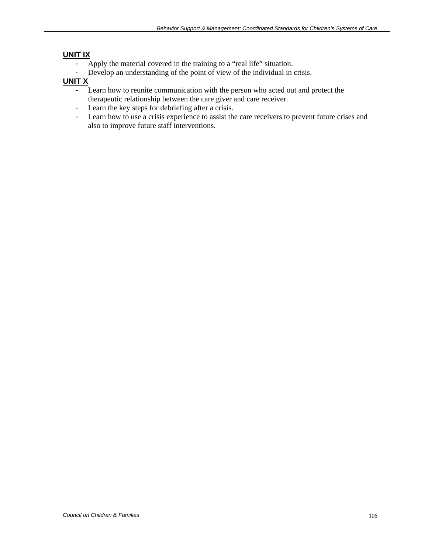# **UNIT IX**

- Apply the material covered in the training to a "real life" situation.
- Develop an understanding of the point of view of the individual in crisis.

# **UNIT X**

- Learn how to reunite communication with the person who acted out and protect the therapeutic relationship between the care giver and care receiver.
- Learn the key steps for debriefing after a crisis.
- Learn how to use a crisis experience to assist the care receivers to prevent future crises and also to improve future staff interventions.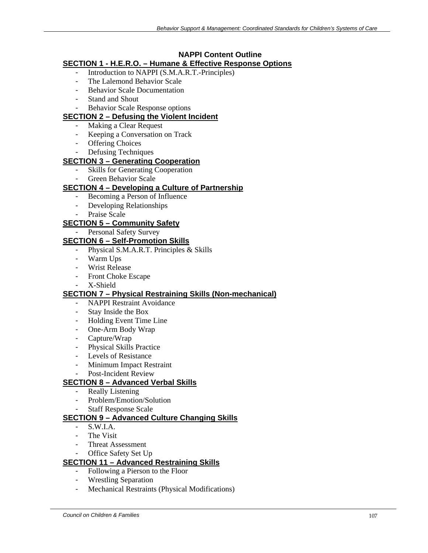# **NAPPI Content Outline**

# **SECTION 1 - H.E.R.O. – Humane & Effective Response Options**

- Introduction to NAPPI (S.M.A.R.T.-Principles)
- The Lalemond Behavior Scale
- Behavior Scale Documentation
- Stand and Shout
- Behavior Scale Response options

## **SECTION 2 – Defusing the Violent Incident**

- Making a Clear Request
- Keeping a Conversation on Track
- Offering Choices
- Defusing Techniques

# **SECTION 3 – Generating Cooperation**

- Skills for Generating Cooperation
- Green Behavior Scale

# **SECTION 4 – Developing a Culture of Partnership**

- Becoming a Person of Influence
- Developing Relationships
- Praise Scale

# **SECTION 5 – Community Safety**

Personal Safety Survey

# **SECTION 6 – Self-Promotion Skills**

- Physical S.M.A.R.T. Principles & Skills
- Warm Ups
- Wrist Release
- Front Choke Escape
- X-Shield

# **SECTION 7 – Physical Restraining Skills (Non-mechanical)**

- NAPPI Restraint Avoidance
- Stay Inside the Box
- Holding Event Time Line
- One-Arm Body Wrap
- Capture/Wrap
- Physical Skills Practice
- Levels of Resistance
- Minimum Impact Restraint
- Post-Incident Review

# **SECTION 8 – Advanced Verbal Skills**

- Really Listening
- Problem/Emotion/Solution
- Staff Response Scale

# **SECTION 9 – Advanced Culture Changing Skills**

- $-S.W.I.A.$
- The Visit
- Threat Assessment
- Office Safety Set Up

# **SECTION 11 – Advanced Restraining Skills**

- Following a Pierson to the Floor
- Wrestling Separation
- Mechanical Restraints (Physical Modifications)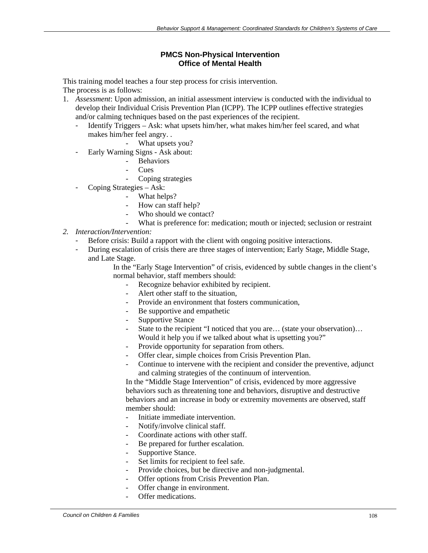#### **PMCS Non-Physical Intervention Office of Mental Health**

This training model teaches a four step process for crisis intervention. The process is as follows:

- 1. *Assessment*: Upon admission, an initial assessment interview is conducted with the individual to develop their Individual Crisis Prevention Plan (ICPP). The ICPP outlines effective strategies and/or calming techniques based on the past experiences of the recipient.
	- Identify Triggers Ask: what upsets him/her, what makes him/her feel scared, and what makes him/her feel angry. .
		- What upsets you?
	- Early Warning Signs Ask about:
		- **Behaviors**
		- Cues
		- Coping strategies
	- Coping Strategies Ask:
		- What helps?
			- How can staff help?
			- Who should we contact?
			- What is preference for: medication; mouth or injected; seclusion or restraint
- *2. Interaction/Intervention:* 
	- Before crisis: Build a rapport with the client with ongoing positive interactions.
	- During escalation of crisis there are three stages of intervention; Early Stage, Middle Stage, and Late Stage.

In the "Early Stage Intervention" of crisis, evidenced by subtle changes in the client's normal behavior, staff members should:

- Recognize behavior exhibited by recipient.
- A lert other staff to the situation.
- Provide an environment that fosters communication.
- Be supportive and empathetic
- Supportive Stance
- State to the recipient "I noticed that you are… (state your observation)… Would it help you if we talked about what is upsetting you?"
- Provide opportunity for separation from others.
- Offer clear, simple choices from Crisis Prevention Plan.
- Continue to intervene with the recipient and consider the preventive, adjunct and calming strategies of the continuum of intervention.

In the "Middle Stage Intervention" of crisis, evidenced by more aggressive behaviors such as threatening tone and behaviors, disruptive and destructive behaviors and an increase in body or extremity movements are observed, staff member should:

- Initiate immediate intervention.
- Notify/involve clinical staff.
- Coordinate actions with other staff.
- Be prepared for further escalation.
- Supportive Stance.
- Set limits for recipient to feel safe.
- Provide choices, but be directive and non-judgmental.
- Offer options from Crisis Prevention Plan.
- Offer change in environment.
- Offer medications.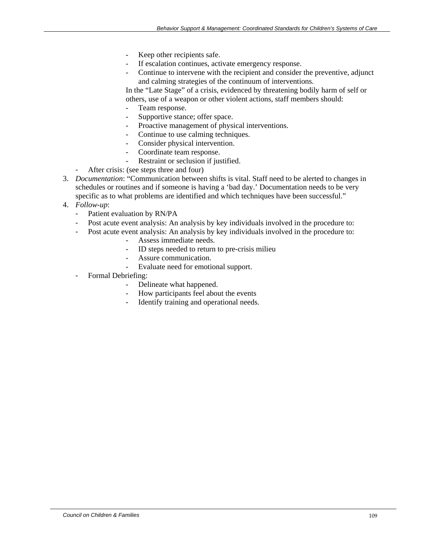- Keep other recipients safe.
- If escalation continues, activate emergency response.
- Continue to intervene with the recipient and consider the preventive, adjunct and calming strategies of the continuum of interventions.

In the "Late Stage" of a crisis, evidenced by threatening bodily harm of self or others, use of a weapon or other violent actions, staff members should:

- Team response.
- Supportive stance; offer space.
- Proactive management of physical interventions.
- Continue to use calming techniques.
- Consider physical intervention.
- Coordinate team response.
	- Restraint or seclusion if justified.
- After crisis: (see steps three and four)
- 3. *Documentation*: "Communication between shifts is vital. Staff need to be alerted to changes in schedules or routines and if someone is having a 'bad day.' Documentation needs to be very specific as to what problems are identified and which techniques have been successful."
- 4. *Follow-up*:
	- Patient evaluation by RN/PA
	- Post acute event analysis: An analysis by key individuals involved in the procedure to:
	- Post acute event analysis: An analysis by key individuals involved in the procedure to:
		- Assess immediate needs.
		- ID steps needed to return to pre-crisis milieu
		- Assure communication.
		- Evaluate need for emotional support.
	- Formal Debriefing:
		- Delineate what happened.
			- How participants feel about the events
			- Identify training and operational needs.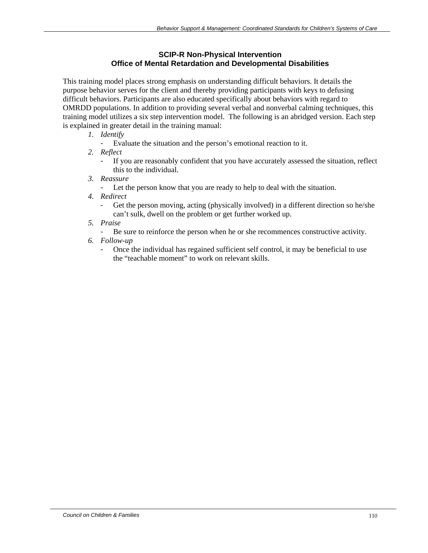### **SCIP-R Non-Physical Intervention Office of Mental Retardation and Developmental Disabilities**

This training model places strong emphasis on understanding difficult behaviors. It details the purpose behavior serves for the client and thereby providing participants with keys to defusing difficult behaviors. Participants are also educated specifically about behaviors with regard to OMRDD populations. In addition to providing several verbal and nonverbal calming techniques, this training model utilizes a six step intervention model. The following is an abridged version. Each step is explained in greater detail in the training manual:

- *1. Identify* 
	- Evaluate the situation and the person's emotional reaction to it.
- *2. Reflect* 
	- If you are reasonably confident that you have accurately assessed the situation, reflect this to the individual.
- *3. Reassure* 
	- Let the person know that you are ready to help to deal with the situation.
- *4. Redirect* 
	- Get the person moving, acting (physically involved) in a different direction so he/she can't sulk, dwell on the problem or get further worked up.
- *5. Praise* 
	- Be sure to reinforce the person when he or she recommences constructive activity.
- *6. Follow-up* 
	- Once the individual has regained sufficient self control, it may be beneficial to use the "teachable moment" to work on relevant skills.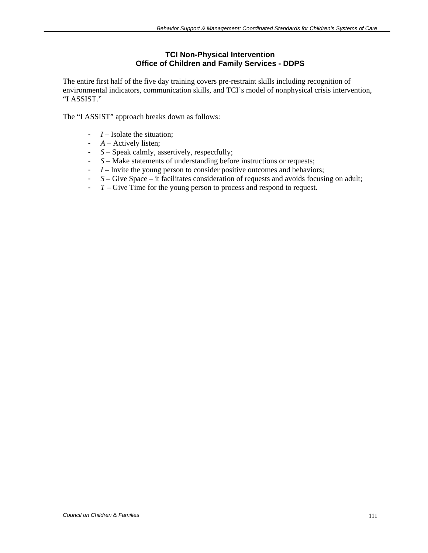#### **TCI Non-Physical Intervention Office of Children and Family Services - DDPS**

The entire first half of the five day training covers pre-restraint skills including recognition of environmental indicators, communication skills, and TCI's model of nonphysical crisis intervention, "I ASSIST."

The "I ASSIST" approach breaks down as follows:

- *I* Isolate the situation;
- *A* Actively listen;
- *S* Speak calmly, assertively, respectfully;
- *S* Make statements of understanding before instructions or requests;
- *I* Invite the young person to consider positive outcomes and behaviors;
- *S* Give Space it facilitates consideration of requests and avoids focusing on adult;
- *T* Give Time for the young person to process and respond to request.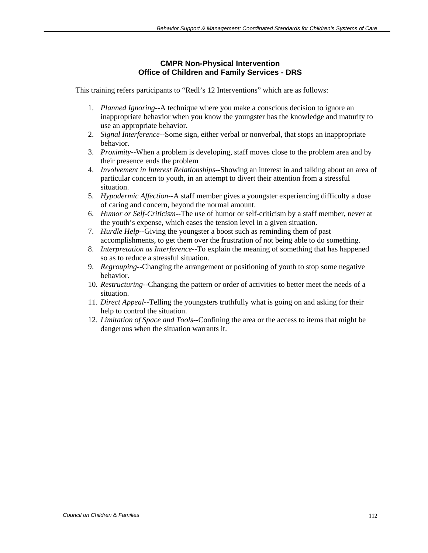#### **CMPR Non-Physical Intervention Office of Children and Family Services - DRS**

This training refers participants to "Redl's 12 Interventions" which are as follows:

- 1. *Planned Ignoring*--A technique where you make a conscious decision to ignore an inappropriate behavior when you know the youngster has the knowledge and maturity to use an appropriate behavior.
- 2. *Signal Interference*--Some sign, either verbal or nonverbal, that stops an inappropriate behavior.
- 3. *Proximity*--When a problem is developing, staff moves close to the problem area and by their presence ends the problem
- 4. *Involvement in Interest Relationships*--Showing an interest in and talking about an area of particular concern to youth, in an attempt to divert their attention from a stressful situation.
- 5. *Hypodermic Affection*--A staff member gives a youngster experiencing difficulty a dose of caring and concern, beyond the normal amount.
- 6. *Humor or Self-Criticism*--The use of humor or self-criticism by a staff member, never at the youth's expense, which eases the tension level in a given situation.
- 7. *Hurdle Help*--Giving the youngster a boost such as reminding them of past accomplishments, to get them over the frustration of not being able to do something.
- 8. *Interpretation as Interference*--To explain the meaning of something that has happened so as to reduce a stressful situation.
- 9. *Regrouping*--Changing the arrangement or positioning of youth to stop some negative behavior.
- 10. *Restructuring*--Changing the pattern or order of activities to better meet the needs of a situation.
- 11. *Direct Appeal*--Telling the youngsters truthfully what is going on and asking for their help to control the situation.
- 12. *Limitation of Space and Tools*--Confining the area or the access to items that might be dangerous when the situation warrants it.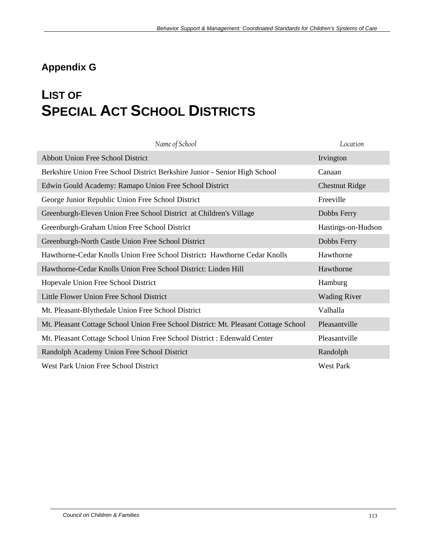## **Appendix G**

# **LIST OF SPECIAL ACT SCHOOL DISTRICTS**

| Name of School                                                                      | Location              |
|-------------------------------------------------------------------------------------|-----------------------|
| <b>Abbott Union Free School District</b>                                            | Irvington             |
| Berkshire Union Free School District Berkshire Junior - Senior High School          | Canaan                |
| Edwin Gould Academy: Ramapo Union Free School District                              | <b>Chestnut Ridge</b> |
| George Junior Republic Union Free School District                                   | Freeville             |
| Greenburgh-Eleven Union Free School District at Children's Village                  | Dobbs Ferry           |
| Greenburgh-Graham Union Free School District                                        | Hastings-on-Hudson    |
| Greenburgh-North Castle Union Free School District                                  | Dobbs Ferry           |
| Hawthorne-Cedar Knolls Union Free School District: Hawthorne Cedar Knolls           | Hawthorne             |
| Hawthorne-Cedar Knolls Union Free School District: Linden Hill                      | Hawthorne             |
| Hopevale Union Free School District                                                 | Hamburg               |
| Little Flower Union Free School District                                            | <b>Wading River</b>   |
| Mt. Pleasant-Blythedale Union Free School District                                  | Valhalla              |
| Mt. Pleasant Cottage School Union Free School District: Mt. Pleasant Cottage School | Pleasantville         |
| Mt. Pleasant Cottage School Union Free School District : Edenwald Center            | Pleasantville         |
| Randolph Academy Union Free School District                                         | Randolph              |
| West Park Union Free School District                                                | <b>West Park</b>      |